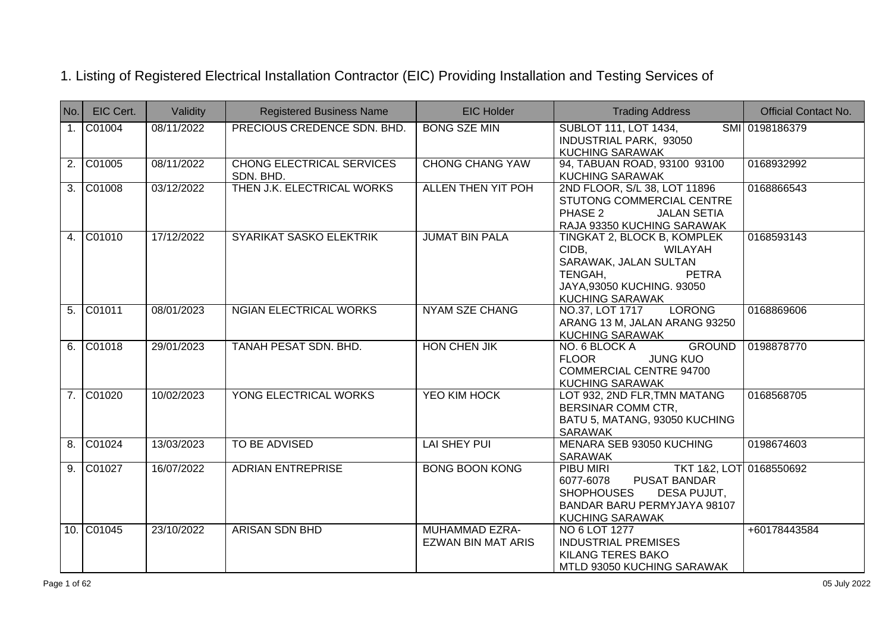| No.            | EIC Cert.   | Validity   | <b>Registered Business Name</b>               | <b>EIC Holder</b>                                  | <b>Trading Address</b>                                                                                                                                                | <b>Official Contact No.</b> |
|----------------|-------------|------------|-----------------------------------------------|----------------------------------------------------|-----------------------------------------------------------------------------------------------------------------------------------------------------------------------|-----------------------------|
|                | 1. C01004   | 08/11/2022 | PRECIOUS CREDENCE SDN. BHD.                   | <b>BONG SZE MIN</b>                                | <b>SUBLOT 111, LOT 1434,</b><br>INDUSTRIAL PARK, 93050<br><b>KUCHING SARAWAK</b>                                                                                      | SMI 0198186379              |
|                | 2. C01005   | 08/11/2022 | <b>CHONG ELECTRICAL SERVICES</b><br>SDN. BHD. | <b>CHONG CHANG YAW</b>                             | 94, TABUAN ROAD, 93100 93100<br><b>KUCHING SARAWAK</b>                                                                                                                | 0168932992                  |
|                | 3. C01008   | 03/12/2022 | THEN J.K. ELECTRICAL WORKS                    | <b>ALLEN THEN YIT POH</b>                          | 2ND FLOOR, S/L 38, LOT 11896<br>STUTONG COMMERCIAL CENTRE<br>PHASE 2<br><b>JALAN SETIA</b><br>RAJA 93350 KUCHING SARAWAK                                              | 0168866543                  |
|                | 4. C01010   | 17/12/2022 | SYARIKAT SASKO ELEKTRIK                       | <b>JUMAT BIN PALA</b>                              | TINGKAT 2, BLOCK B, KOMPLEK<br>CIDB.<br>WILAYAH<br>SARAWAK, JALAN SULTAN<br>TENGAH,<br><b>PETRA</b><br>JAYA,93050 KUCHING. 93050<br><b>KUCHING SARAWAK</b>            | 0168593143                  |
|                | 5. C01011   | 08/01/2023 | <b>NGIAN ELECTRICAL WORKS</b>                 | <b>NYAM SZE CHANG</b>                              | NO.37, LOT 1717 LORONG<br>ARANG 13 M, JALAN ARANG 93250<br><b>KUCHING SARAWAK</b>                                                                                     | 0168869606                  |
|                | $6.$ C01018 | 29/01/2023 | <b>TANAH PESAT SDN. BHD.</b>                  | <b>HON CHEN JIK</b>                                | NO. 6 BLOCK A<br><b>GROUND</b><br><b>FLOOR</b><br><b>JUNG KUO</b><br><b>COMMERCIAL CENTRE 94700</b><br><b>KUCHING SARAWAK</b>                                         | 0198878770                  |
| 7 <sup>1</sup> | C01020      | 10/02/2023 | YONG ELECTRICAL WORKS                         | <b>YEO KIM HOCK</b>                                | LOT 932, 2ND FLR, TMN MATANG<br><b>BERSINAR COMM CTR,</b><br>BATU 5, MATANG, 93050 KUCHING<br><b>SARAWAK</b>                                                          | 0168568705                  |
| 8.             | C01024      | 13/03/2023 | <b>TO BE ADVISED</b>                          | <b>LAI SHEY PUI</b>                                | MENARA SEB 93050 KUCHING<br>SARAWAK                                                                                                                                   | 0198674603                  |
| 9.             | C01027      | 16/07/2022 | <b>ADRIAN ENTREPRISE</b>                      | <b>BONG BOON KONG</b>                              | PIBU MIRI<br>TKT 1&2, LOT 0168550692<br>6077-6078<br><b>PUSAT BANDAR</b><br>DESA PUJUT,<br><b>SHOPHOUSES</b><br>BANDAR BARU PERMYJAYA 98107<br><b>KUCHING SARAWAK</b> |                             |
|                | 10. C01045  | 23/10/2022 | <b>ARISAN SDN BHD</b>                         | <b>MUHAMMAD EZRA-</b><br><b>EZWAN BIN MAT ARIS</b> | NO 6 LOT 1277<br><b>INDUSTRIAL PREMISES</b><br><b>KILANG TERES BAKO</b><br>MTLD 93050 KUCHING SARAWAK                                                                 | +60178443584                |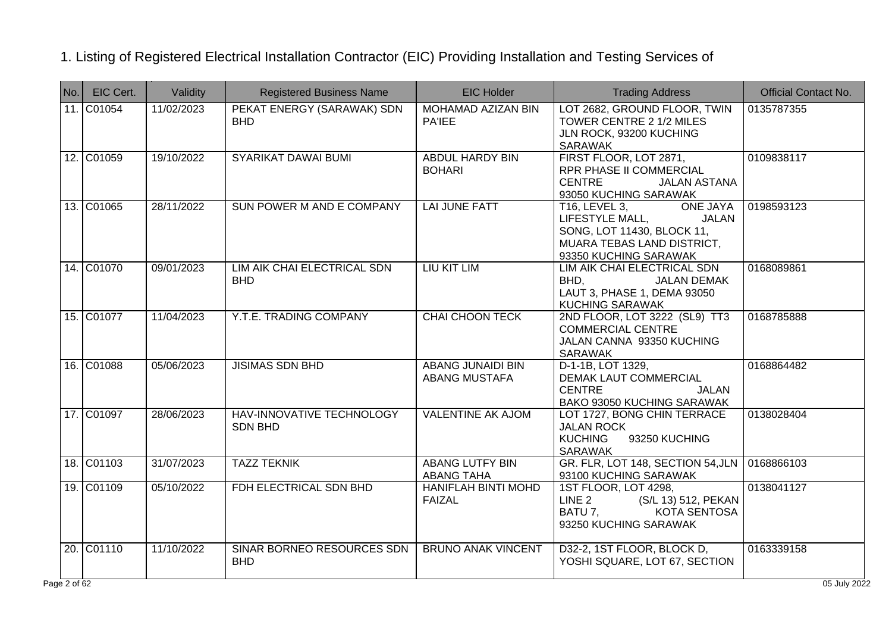| No.            | EIC Cert.  | Validity   | <b>Registered Business Name</b>             | <b>EIC Holder</b>                           | <b>Trading Address</b>                                                                                                                                          | <b>Official Contact No.</b> |
|----------------|------------|------------|---------------------------------------------|---------------------------------------------|-----------------------------------------------------------------------------------------------------------------------------------------------------------------|-----------------------------|
|                | 11. C01054 | 11/02/2023 | PEKAT ENERGY (SARAWAK) SDN<br><b>BHD</b>    | MOHAMAD AZIZAN BIN<br><b>PA'IEE</b>         | LOT 2682, GROUND FLOOR, TWIN<br>TOWER CENTRE 2 1/2 MILES<br>JLN ROCK, 93200 KUCHING<br><b>SARAWAK</b>                                                           | 0135787355                  |
|                | 12. C01059 | 19/10/2022 | SYARIKAT DAWAI BUMI                         | <b>ABDUL HARDY BIN</b><br><b>BOHARI</b>     | FIRST FLOOR, LOT 2871,<br>RPR PHASE II COMMERCIAL<br><b>CENTRE</b><br><b>JALAN ASTANA</b><br>93050 KUCHING SARAWAK                                              | 0109838117                  |
|                | 13. C01065 | 28/11/2022 | SUN POWER M AND E COMPANY                   | <b>LAI JUNE FATT</b>                        | <b>T16, LEVEL 3,</b><br><b>ONE JAYA</b><br>LIFESTYLE MALL,<br><b>JALAN</b><br>SONG, LOT 11430, BLOCK 11,<br>MUARA TEBAS LAND DISTRICT,<br>93350 KUCHING SARAWAK | 0198593123                  |
|                | 14. C01070 | 09/01/2023 | LIM AIK CHAI ELECTRICAL SDN<br><b>BHD</b>   | LIU KIT LIM                                 | LIM AIK CHAI ELECTRICAL SDN<br>BHD,<br><b>JALAN DEMAK</b><br>LAUT 3, PHASE 1, DEMA 93050<br>KUCHING SARAWAK                                                     | 0168089861                  |
|                | 15. C01077 | 11/04/2023 | Y.T.E. TRADING COMPANY                      | <b>CHAI CHOON TECK</b>                      | 2ND FLOOR, LOT 3222 (SL9) TT3<br><b>COMMERCIAL CENTRE</b><br>JALAN CANNA 93350 KUCHING<br>SARAWAK                                                               | 0168785888                  |
|                | 16. C01088 | 05/06/2023 | <b>JISIMAS SDN BHD</b>                      | <b>ABANG JUNAIDI BIN</b><br>ABANG MUSTAFA   | D-1-1B, LOT 1329,<br>DEMAK LAUT COMMERCIAL<br><b>CENTRE</b><br><b>JALAN</b><br>BAKO 93050 KUCHING SARAWAK                                                       | 0168864482                  |
|                | 17. C01097 | 28/06/2023 | HAV-INNOVATIVE TECHNOLOGY<br><b>SDN BHD</b> | <b>VALENTINE AK AJOM</b>                    | LOT 1727, BONG CHIN TERRACE<br><b>JALAN ROCK</b><br>93250 KUCHING<br><b>KUCHING</b><br>SARAWAK                                                                  | 0138028404                  |
|                | 18. C01103 | 31/07/2023 | <b>TAZZ TEKNIK</b>                          | <b>ABANG LUTFY BIN</b><br><b>ABANG TAHA</b> | GR. FLR, LOT 148, SECTION 54, JLN<br>93100 KUCHING SARAWAK                                                                                                      | 0168866103                  |
|                | 19. C01109 | 05/10/2022 | FDH ELECTRICAL SDN BHD                      | <b>HANIFLAH BINTI MOHD</b><br><b>FAIZAL</b> | 1ST FLOOR, LOT 4298,<br>LINE 2<br>(S/L 13) 512, PEKAN<br>BATU 7.<br><b>KOTA SENTOSA</b><br>93250 KUCHING SARAWAK                                                | 0138041127                  |
|                | 20. C01110 | 11/10/2022 | SINAR BORNEO RESOURCES SDN<br><b>BHD</b>    | <b>BRUNO ANAK VINCENT</b>                   | D32-2, 1ST FLOOR, BLOCK D,<br>YOSHI SQUARE, LOT 67, SECTION                                                                                                     | 0163339158                  |
| ge $2$ of $62$ |            |            |                                             |                                             |                                                                                                                                                                 | 05 July 2022                |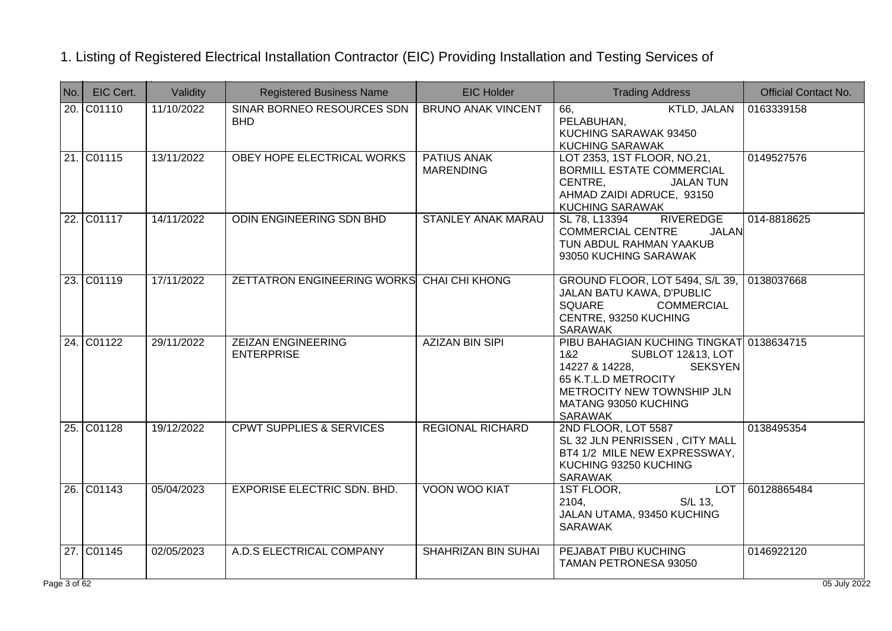| No.        | EIC Cert.  | Validity   | <b>Registered Business Name</b>                | <b>EIC Holder</b>                      | <b>Trading Address</b>                                                                                                                                                                                              | <b>Official Contact No.</b> |
|------------|------------|------------|------------------------------------------------|----------------------------------------|---------------------------------------------------------------------------------------------------------------------------------------------------------------------------------------------------------------------|-----------------------------|
|            | 20. C01110 | 11/10/2022 | SINAR BORNEO RESOURCES SDN<br><b>BHD</b>       | <b>BRUNO ANAK VINCENT</b>              | <b>KTLD, JALAN</b><br>66,<br>PELABUHAN,<br>KUCHING SARAWAK 93450<br><b>KUCHING SARAWAK</b>                                                                                                                          | 0163339158                  |
|            | 21. C01115 | 13/11/2022 | OBEY HOPE ELECTRICAL WORKS                     | <b>PATIUS ANAK</b><br><b>MARENDING</b> | LOT 2353, 1ST FLOOR, NO.21,<br>BORMILL ESTATE COMMERCIAL<br>CENTRE,<br><b>JALAN TUN</b><br>AHMAD ZAIDI ADRUCE, 93150<br><b>KUCHING SARAWAK</b>                                                                      | 0149527576                  |
|            | 22. C01117 | 14/11/2022 | ODIN ENGINEERING SDN BHD                       | <b>STANLEY ANAK MARAU</b>              | SL 78, L13394<br><b>RIVEREDGE</b><br><b>COMMERCIAL CENTRE</b><br><b>JALAN</b><br>TUN ABDUL RAHMAN YAAKUB<br>93050 KUCHING SARAWAK                                                                                   | 014-8818625                 |
|            | 23. C01119 | 17/11/2022 | ZETTATRON ENGINEERING WORKS CHAI CHI KHONG     |                                        | GROUND FLOOR, LOT 5494, S/L 39,<br>JALAN BATU KAWA, D'PUBLIC<br><b>SQUARE</b><br><b>COMMERCIAL</b><br>CENTRE, 93250 KUCHING<br><b>SARAWAK</b>                                                                       | 0138037668                  |
|            | 24. C01122 | 29/11/2022 | <b>ZEIZAN ENGINEERING</b><br><b>ENTERPRISE</b> | <b>AZIZAN BIN SIPI</b>                 | PIBU BAHAGIAN KUCHING TINGKAT 0138634715<br><b>SUBLOT 12&amp;13, LOT</b><br>1&2<br>14227 & 14228,<br><b>SEKSYEN</b><br>65 K.T.L.D METROCITY<br>METROCITY NEW TOWNSHIP JLN<br>MATANG 93050 KUCHING<br><b>SARAWAK</b> |                             |
|            | 25. C01128 | 19/12/2022 | <b>CPWT SUPPLIES &amp; SERVICES</b>            | <b>REGIONAL RICHARD</b>                | 2ND FLOOR, LOT 5587<br>SL 32 JLN PENRISSEN, CITY MALL<br>BT4 1/2 MILE NEW EXPRESSWAY,<br>KUCHING 93250 KUCHING<br>SARAWAK                                                                                           | 0138495354                  |
|            | 26. C01143 | 05/04/2023 | <b>EXPORISE ELECTRIC SDN. BHD.</b>             | <b>VOON WOO KIAT</b>                   | 1ST FLOOR,<br><b>LOT</b><br>2104,<br>S/L 13.<br>JALAN UTAMA, 93450 KUCHING<br><b>SARAWAK</b>                                                                                                                        | 60128865484                 |
|            | 27. C01145 | 02/05/2023 | A.D.S ELECTRICAL COMPANY                       | <b>SHAHRIZAN BIN SUHAI</b>             | PEJABAT PIBU KUCHING<br>TAMAN PETRONESA 93050                                                                                                                                                                       | 0146922120                  |
| ge 3 of 62 |            |            |                                                |                                        |                                                                                                                                                                                                                     | 05 July 2022                |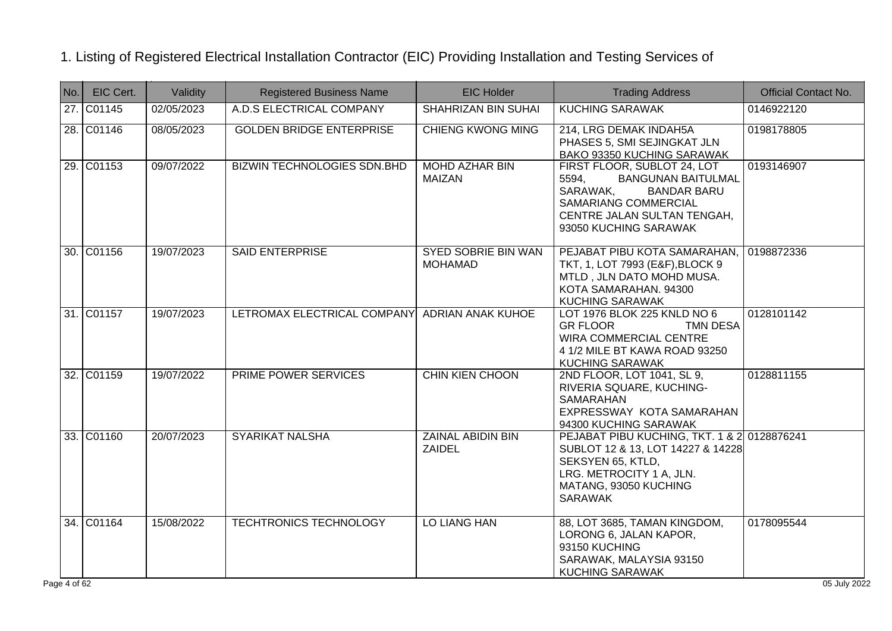| No. | EIC Cert.  | Validity   | <b>Registered Business Name</b>    | <b>EIC Holder</b>                         | <b>Trading Address</b>                                                                                                                                                                     | <b>Official Contact No.</b> |
|-----|------------|------------|------------------------------------|-------------------------------------------|--------------------------------------------------------------------------------------------------------------------------------------------------------------------------------------------|-----------------------------|
|     | 27. C01145 | 02/05/2023 | A.D.S ELECTRICAL COMPANY           | <b>SHAHRIZAN BIN SUHAI</b>                | <b>KUCHING SARAWAK</b>                                                                                                                                                                     | 0146922120                  |
|     | 28. C01146 | 08/05/2023 | <b>GOLDEN BRIDGE ENTERPRISE</b>    | <b>CHIENG KWONG MING</b>                  | 214, LRG DEMAK INDAH5A<br>PHASES 5, SMI SEJINGKAT JLN<br>BAKO 93350 KUCHING SARAWAK                                                                                                        | 0198178805                  |
|     | 29. C01153 | 09/07/2022 | <b>BIZWIN TECHNOLOGIES SDN.BHD</b> | <b>MOHD AZHAR BIN</b><br><b>MAIZAN</b>    | FIRST FLOOR, SUBLOT 24, LOT<br><b>BANGUNAN BAITULMAL</b><br>5594,<br>SARAWAK,<br><b>BANDAR BARU</b><br><b>SAMARIANG COMMERCIAL</b><br>CENTRE JALAN SULTAN TENGAH,<br>93050 KUCHING SARAWAK | 0193146907                  |
|     | 30. C01156 | 19/07/2023 | <b>SAID ENTERPRISE</b>             | SYED SOBRIE BIN WAN<br><b>MOHAMAD</b>     | PEJABAT PIBU KOTA SAMARAHAN,<br>TKT, 1, LOT 7993 (E&F), BLOCK 9<br>MTLD, JLN DATO MOHD MUSA.<br>KOTA SAMARAHAN. 94300<br><b>KUCHING SARAWAK</b>                                            | 0198872336                  |
|     | 31. C01157 | 19/07/2023 | LETROMAX ELECTRICAL COMPANY        | <b>ADRIAN ANAK KUHOE</b>                  | LOT 1976 BLOK 225 KNLD NO 6<br><b>GR FLOOR</b><br><b>TMN DESA</b><br><b>WIRA COMMERCIAL CENTRE</b><br>4 1/2 MILE BT KAWA ROAD 93250<br><b>KUCHING SARAWAK</b>                              | 0128101142                  |
|     | 32. C01159 | 19/07/2022 | PRIME POWER SERVICES               | <b>CHIN KIEN CHOON</b>                    | 2ND FLOOR, LOT 1041, SL 9,<br>RIVERIA SQUARE, KUCHING-<br>SAMARAHAN<br>EXPRESSWAY KOTA SAMARAHAN<br>94300 KUCHING SARAWAK                                                                  | 0128811155                  |
|     | 33. C01160 | 20/07/2023 | <b>SYARIKAT NALSHA</b>             | <b>ZAINAL ABIDIN BIN</b><br><b>ZAIDEL</b> | PEJABAT PIBU KUCHING, TKT. 1 & 2 0128876241<br>SUBLOT 12 & 13, LOT 14227 & 14228<br>SEKSYEN 65, KTLD,<br>LRG. METROCITY 1 A, JLN.<br>MATANG, 93050 KUCHING<br><b>SARAWAK</b>               |                             |
|     | 34. C01164 | 15/08/2022 | <b>TECHTRONICS TECHNOLOGY</b>      | LO LIANG HAN                              | 88, LOT 3685, TAMAN KINGDOM,<br>LORONG 6, JALAN KAPOR,<br>93150 KUCHING<br>SARAWAK, MALAYSIA 93150<br><b>KUCHING SARAWAK</b>                                                               | 0178095544                  |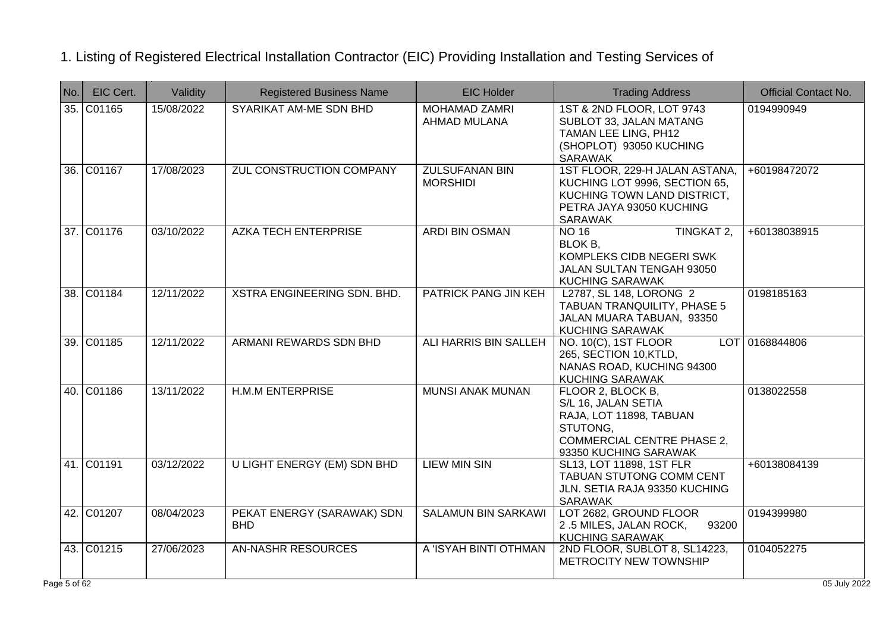| No.            | EIC Cert.  | Validity   | <b>Registered Business Name</b>          | <b>EIC Holder</b>                        | <b>Trading Address</b>                                                                                                                        | <b>Official Contact No.</b> |
|----------------|------------|------------|------------------------------------------|------------------------------------------|-----------------------------------------------------------------------------------------------------------------------------------------------|-----------------------------|
|                | 35. C01165 | 15/08/2022 | SYARIKAT AM-ME SDN BHD                   | <b>MOHAMAD ZAMRI</b><br>AHMAD MULANA     | 1ST & 2ND FLOOR, LOT 9743<br>SUBLOT 33, JALAN MATANG<br>TAMAN LEE LING, PH12<br>(SHOPLOT) 93050 KUCHING<br><b>SARAWAK</b>                     | 0194990949                  |
|                | 36. C01167 | 17/08/2023 | ZUL CONSTRUCTION COMPANY                 | <b>ZULSUFANAN BIN</b><br><b>MORSHIDI</b> | 1ST FLOOR, 229-H JALAN ASTANA,<br>KUCHING LOT 9996, SECTION 65,<br>KUCHING TOWN LAND DISTRICT.<br>PETRA JAYA 93050 KUCHING<br><b>SARAWAK</b>  | +60198472072                |
|                | 37. C01176 | 03/10/2022 | <b>AZKA TECH ENTERPRISE</b>              | <b>ARDI BIN OSMAN</b>                    | TINGKAT 2,<br><b>NO 16</b><br>BLOK B,<br>KOMPLEKS CIDB NEGERI SWK<br>JALAN SULTAN TENGAH 93050<br><b>KUCHING SARAWAK</b>                      | +60138038915                |
|                | 38. C01184 | 12/11/2022 | XSTRA ENGINEERING SDN. BHD.              | PATRICK PANG JIN KEH                     | L2787, SL 148, LORONG 2<br><b>TABUAN TRANQUILITY, PHASE 5</b><br>JALAN MUARA TABUAN, 93350<br><b>KUCHING SARAWAK</b>                          | 0198185163                  |
|                | 39. C01185 | 12/11/2022 | ARMANI REWARDS SDN BHD                   | ALI HARRIS BIN SALLEH                    | NO. 10(C), 1ST FLOOR<br><b>LOT</b><br>265, SECTION 10, KTLD,<br>NANAS ROAD, KUCHING 94300<br><b>KUCHING SARAWAK</b>                           | 0168844806                  |
|                | 40. C01186 | 13/11/2022 | <b>H.M.M ENTERPRISE</b>                  | <b>MUNSI ANAK MUNAN</b>                  | FLOOR 2, BLOCK B,<br>S/L 16, JALAN SETIA<br>RAJA, LOT 11898, TABUAN<br>STUTONG,<br><b>COMMERCIAL CENTRE PHASE 2,</b><br>93350 KUCHING SARAWAK | 0138022558                  |
|                | 41. C01191 | 03/12/2022 | <b>U LIGHT ENERGY (EM) SDN BHD</b>       | <b>LIEW MIN SIN</b>                      | SL13, LOT 11898, 1ST FLR<br>TABUAN STUTONG COMM CENT<br>JLN. SETIA RAJA 93350 KUCHING<br><b>SARAWAK</b>                                       | +60138084139                |
|                | 42. C01207 | 08/04/2023 | PEKAT ENERGY (SARAWAK) SDN<br><b>BHD</b> | <b>SALAMUN BIN SARKAWI</b>               | LOT 2682, GROUND FLOOR<br>2.5 MILES, JALAN ROCK,<br>93200<br><b>KUCHING SARAWAK</b>                                                           | 0194399980                  |
|                | 43. C01215 | 27/06/2023 | <b>AN-NASHR RESOURCES</b>                | A 'ISYAH BINTI OTHMAN                    | 2ND FLOOR, SUBLOT 8, SL14223,<br>METROCITY NEW TOWNSHIP                                                                                       | 0104052275                  |
| $ge 5$ of $62$ |            |            |                                          |                                          |                                                                                                                                               | 05 July 2022                |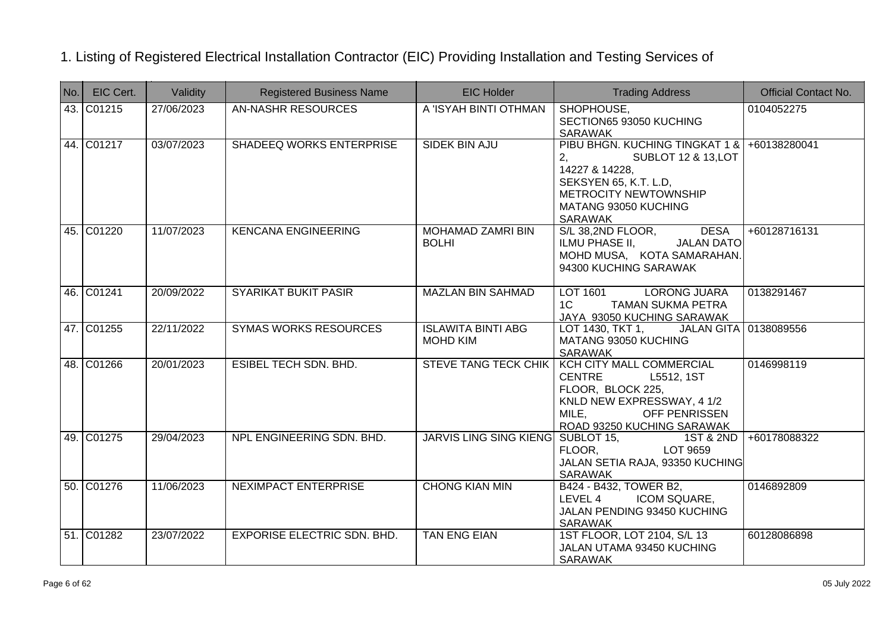| No. | EIC Cert.  | Validity   | <b>Registered Business Name</b>    | <b>EIC Holder</b>                            | <b>Trading Address</b>                                                                                                                                                          | <b>Official Contact No.</b> |
|-----|------------|------------|------------------------------------|----------------------------------------------|---------------------------------------------------------------------------------------------------------------------------------------------------------------------------------|-----------------------------|
|     | 43. C01215 | 27/06/2023 | <b>AN-NASHR RESOURCES</b>          | A 'ISYAH BINTI OTHMAN                        | SHOPHOUSE,<br>SECTION65 93050 KUCHING<br>SARAWAK                                                                                                                                | 0104052275                  |
|     | 44. C01217 | 03/07/2023 | <b>SHADEEQ WORKS ENTERPRISE</b>    | <b>SIDEK BIN AJU</b>                         | PIBU BHGN. KUCHING TINGKAT 1 & +60138280041<br>2,<br>SUBLOT 12 & 13, LOT<br>14227 & 14228,<br>SEKSYEN 65, K.T. L.D,<br>METROCITY NEWTOWNSHIP<br>MATANG 93050 KUCHING<br>SARAWAK |                             |
|     | 45. C01220 | 11/07/2023 | <b>KENCANA ENGINEERING</b>         | <b>MOHAMAD ZAMRI BIN</b><br><b>BOLHI</b>     | S/L 38,2ND FLOOR,<br><b>DESA</b><br><b>JALAN DATO</b><br>ILMU PHASE II,<br>MOHD MUSA, KOTA SAMARAHAN.<br>94300 KUCHING SARAWAK                                                  | +60128716131                |
|     | 46. C01241 | 20/09/2022 | <b>SYARIKAT BUKIT PASIR</b>        | <b>MAZLAN BIN SAHMAD</b>                     | LOT 1601<br><b>LORONG JUARA</b><br>1C<br><b>TAMAN SUKMA PETRA</b><br>JAYA 93050 KUCHING SARAWAK                                                                                 | 0138291467                  |
|     | 47. C01255 | 22/11/2022 | <b>SYMAS WORKS RESOURCES</b>       | <b>ISLAWITA BINTI ABG</b><br><b>MOHD KIM</b> | LOT 1430, TKT 1, JALAN GITA 0138089556<br>MATANG 93050 KUCHING<br>SARAWAK                                                                                                       |                             |
|     | 48. C01266 | 20/01/2023 | <b>ESIBEL TECH SDN, BHD.</b>       | <b>STEVE TANG TECK CHIK</b>                  | <b>KCH CITY MALL COMMERCIAL</b><br><b>CENTRE</b><br>L5512, 1ST<br>FLOOR, BLOCK 225,<br>KNLD NEW EXPRESSWAY, 4 1/2<br>MILE,<br>OFF PENRISSEN<br>ROAD 93250 KUCHING SARAWAK       | 0146998119                  |
|     | 49. C01275 | 29/04/2023 | NPL ENGINEERING SDN. BHD.          | <b>JARVIS LING SING KIENG</b>                | SUBLOT 15,<br>1ST & 2ND<br>FLOOR,<br>LOT 9659<br>JALAN SETIA RAJA, 93350 KUCHING<br><b>SARAWAK</b>                                                                              | +60178088322                |
|     | 50. C01276 | 11/06/2023 | <b>NEXIMPACT ENTERPRISE</b>        | <b>CHONG KIAN MIN</b>                        | B424 - B432, TOWER B2,<br>LEVEL 4<br>ICOM SQUARE,<br>JALAN PENDING 93450 KUCHING<br>SARAWAK                                                                                     | 0146892809                  |
|     | 51. C01282 | 23/07/2022 | <b>EXPORISE ELECTRIC SDN. BHD.</b> | <b>TAN ENG EIAN</b>                          | 1ST FLOOR, LOT 2104, S/L 13<br>JALAN UTAMA 93450 KUCHING<br><b>SARAWAK</b>                                                                                                      | 60128086898                 |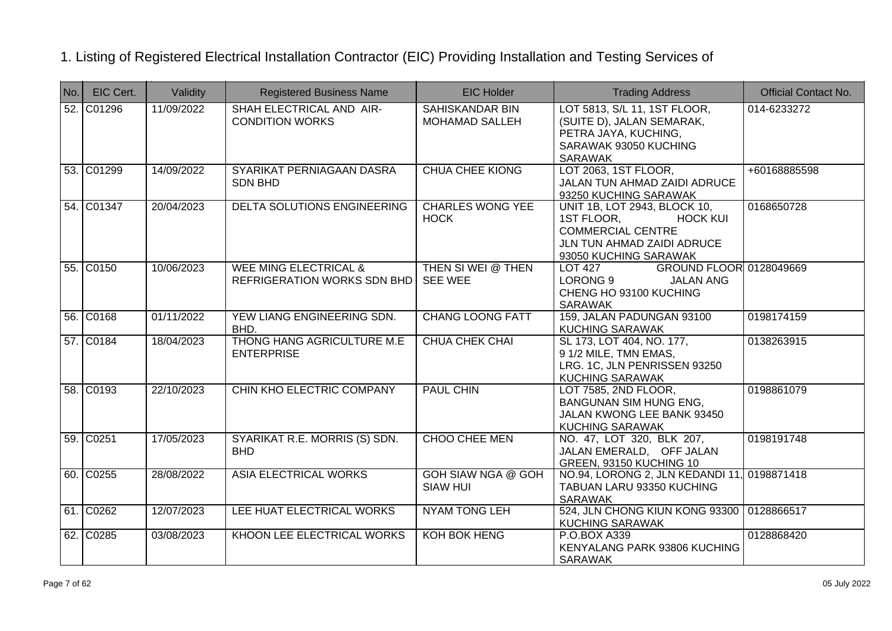| No. | EIC Cert.  | Validity   | <b>Registered Business Name</b>                                 | <b>EIC Holder</b>                            | <b>Trading Address</b>                                                                                                                           | <b>Official Contact No.</b> |
|-----|------------|------------|-----------------------------------------------------------------|----------------------------------------------|--------------------------------------------------------------------------------------------------------------------------------------------------|-----------------------------|
|     | 52. C01296 | 11/09/2022 | SHAH ELECTRICAL AND AIR-<br><b>CONDITION WORKS</b>              | SAHISKANDAR BIN<br><b>MOHAMAD SALLEH</b>     | LOT 5813, S/L 11, 1ST FLOOR,<br>(SUITE D), JALAN SEMARAK,<br>PETRA JAYA, KUCHING,<br>SARAWAK 93050 KUCHING<br><b>SARAWAK</b>                     | 014-6233272                 |
|     | 53. C01299 | 14/09/2022 | SYARIKAT PERNIAGAAN DASRA<br>SDN BHD                            | <b>CHUA CHEE KIONG</b>                       | LOT 2063, 1ST FLOOR,<br>JALAN TUN AHMAD ZAIDI ADRUCE<br>93250 KUCHING SARAWAK                                                                    | +60168885598                |
|     | 54. C01347 | 20/04/2023 | DELTA SOLUTIONS ENGINEERING                                     | <b>CHARLES WONG YEE</b><br><b>HOCK</b>       | UNIT 1B, LOT 2943, BLOCK 10,<br>1ST FLOOR,<br><b>HOCK KUI</b><br><b>COMMERCIAL CENTRE</b><br>JLN TUN AHMAD ZAIDI ADRUCE<br>93050 KUCHING SARAWAK | 0168650728                  |
|     | 55. C0150  | 10/06/2023 | <b>WEE MING ELECTRICAL &amp;</b><br>REFRIGERATION WORKS SDN BHD | THEN SI WEI @ THEN<br><b>SEE WEE</b>         | GROUND FLOOR 0128049669<br><b>LOT 427</b><br>LORONG 9<br><b>JALAN ANG</b><br>CHENG HO 93100 KUCHING<br><b>SARAWAK</b>                            |                             |
|     | 56. C0168  | 01/11/2022 | YEW LIANG ENGINEERING SDN.<br>BHD.                              | <b>CHANG LOONG FATT</b>                      | 159, JALAN PADUNGAN 93100<br><b>KUCHING SARAWAK</b>                                                                                              | 0198174159                  |
|     | 57. C0184  | 18/04/2023 | THONG HANG AGRICULTURE M.E<br><b>ENTERPRISE</b>                 | <b>CHUA CHEK CHAI</b>                        | SL 173, LOT 404, NO. 177,<br>9 1/2 MILE, TMN EMAS,<br>LRG. 1C, JLN PENRISSEN 93250<br><b>KUCHING SARAWAK</b>                                     | 0138263915                  |
|     | 58. C0193  | 22/10/2023 | CHIN KHO ELECTRIC COMPANY                                       | <b>PAUL CHIN</b>                             | LOT 7585, 2ND FLOOR,<br><b>BANGUNAN SIM HUNG ENG,</b><br>JALAN KWONG LEE BANK 93450<br><b>KUCHING SARAWAK</b>                                    | 0198861079                  |
|     | 59. C0251  | 17/05/2023 | SYARIKAT R.E. MORRIS (S) SDN.<br><b>BHD</b>                     | <b>CHOO CHEE MEN</b>                         | NO. 47, LOT 320, BLK 207,<br>JALAN EMERALD, OFF JALAN<br><b>GREEN, 93150 KUCHING 10</b>                                                          | 0198191748                  |
|     | 60. C0255  | 28/08/2022 | <b>ASIA ELECTRICAL WORKS</b>                                    | <b>GOH SIAW NGA @ GOH</b><br><b>SIAW HUI</b> | NO.94, LORONG 2, JLN KEDANDI 11, 0198871418<br>TABUAN LARU 93350 KUCHING<br><b>SARAWAK</b>                                                       |                             |
|     | 61. C0262  | 12/07/2023 | LEE HUAT ELECTRICAL WORKS                                       | <b>NYAM TONG LEH</b>                         | 524, JLN CHONG KIUN KONG 93300   0128866517<br><b>KUCHING SARAWAK</b>                                                                            |                             |
|     | 62. C0285  | 03/08/2023 | KHOON LEE ELECTRICAL WORKS                                      | <b>KOH BOK HENG</b>                          | P.O.BOX A339<br>KENYALANG PARK 93806 KUCHING<br><b>SARAWAK</b>                                                                                   | 0128868420                  |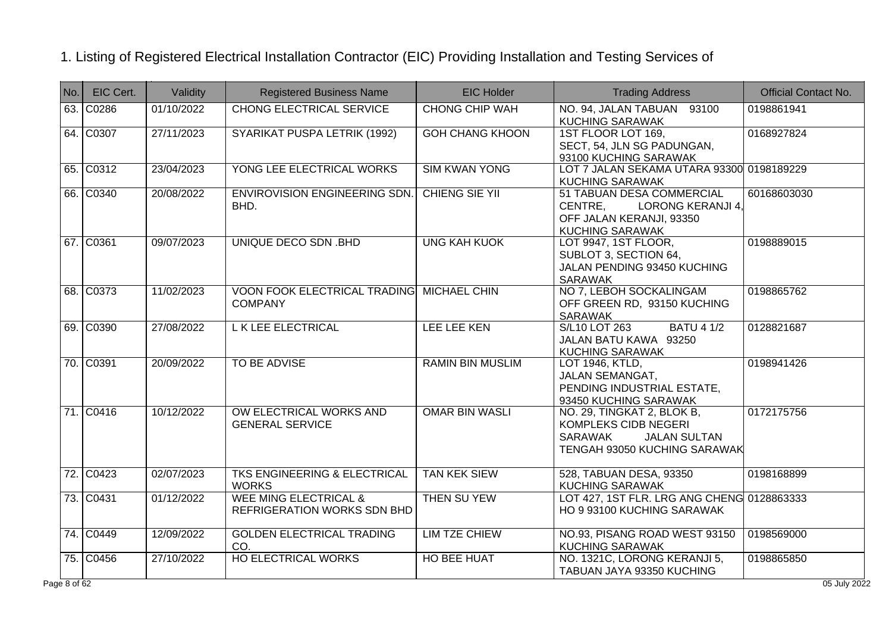| No. | EIC Cert. | Validity   | <b>Registered Business Name</b>                                 | <b>EIC Holder</b>       | <b>Trading Address</b>                                                                                                                    | Official Contact No. |
|-----|-----------|------------|-----------------------------------------------------------------|-------------------------|-------------------------------------------------------------------------------------------------------------------------------------------|----------------------|
|     | 63. C0286 | 01/10/2022 | <b>CHONG ELECTRICAL SERVICE</b>                                 | <b>CHONG CHIP WAH</b>   | NO. 94, JALAN TABUAN 93100<br><b>KUCHING SARAWAK</b>                                                                                      | 0198861941           |
|     | 64. C0307 | 27/11/2023 | SYARIKAT PUSPA LETRIK (1992)                                    | <b>GOH CHANG KHOON</b>  | 1ST FLOOR LOT 169.<br>SECT, 54, JLN SG PADUNGAN,<br>93100 KUCHING SARAWAK                                                                 | 0168927824           |
|     | 65. C0312 | 23/04/2023 | YONG LEE ELECTRICAL WORKS                                       | <b>SIM KWAN YONG</b>    | LOT 7 JALAN SEKAMA UTARA 93300 0198189229<br><b>KUCHING SARAWAK</b>                                                                       |                      |
|     | 66. C0340 | 20/08/2022 | ENVIROVISION ENGINEERING SDN.<br>BHD.                           | <b>CHIENG SIE YII</b>   | 51 TABUAN DESA COMMERCIAL<br><b>LORONG KERANJI 4.</b><br>CENTRE,<br>OFF JALAN KERANJI, 93350<br><b>KUCHING SARAWAK</b>                    | 60168603030          |
|     | 67. C0361 | 09/07/2023 | UNIQUE DECO SDN .BHD                                            | <b>UNG KAH KUOK</b>     | LOT 9947, 1ST FLOOR,<br>SUBLOT 3, SECTION 64,<br>JALAN PENDING 93450 KUCHING<br><b>SARAWAK</b>                                            | 0198889015           |
|     | 68. C0373 | 11/02/2023 | VOON FOOK ELECTRICAL TRADING MICHAEL CHIN<br><b>COMPANY</b>     |                         | NO 7, LEBOH SOCKALINGAM<br>OFF GREEN RD, 93150 KUCHING<br><b>SARAWAK</b>                                                                  | 0198865762           |
|     | 69. C0390 | 27/08/2022 | L K LEE ELECTRICAL                                              | <b>LEE LEE KEN</b>      | <b>BATU 4 1/2</b><br>S/L10 LOT 263<br>JALAN BATU KAWA 93250<br><b>KUCHING SARAWAK</b>                                                     | 0128821687           |
|     | 70. C0391 | 20/09/2022 | TO BE ADVISE                                                    | <b>RAMIN BIN MUSLIM</b> | LOT 1946, KTLD,<br>JALAN SEMANGAT,<br>PENDING INDUSTRIAL ESTATE,<br>93450 KUCHING SARAWAK                                                 | 0198941426           |
|     | 71. C0416 | 10/12/2022 | OW ELECTRICAL WORKS AND<br><b>GENERAL SERVICE</b>               | <b>OMAR BIN WASLI</b>   | NO. 29, TINGKAT 2, BLOK B,<br><b>KOMPLEKS CIDB NEGERI</b><br><b>SARAWAK</b><br><b>JALAN SULTAN</b><br><b>TENGAH 93050 KUCHING SARAWAK</b> | 0172175756           |
|     | 72. C0423 | 02/07/2023 | TKS ENGINEERING & ELECTRICAL<br><b>WORKS</b>                    | <b>TAN KEK SIEW</b>     | 528, TABUAN DESA, 93350<br><b>KUCHING SARAWAK</b>                                                                                         | 0198168899           |
|     | 73. C0431 | 01/12/2022 | <b>WEE MING ELECTRICAL &amp;</b><br>REFRIGERATION WORKS SDN BHD | <b>THEN SU YEW</b>      | LOT 427, 1ST FLR. LRG ANG CHENG 0128863333<br>HO 9 93100 KUCHING SARAWAK                                                                  |                      |
|     | 74. C0449 | 12/09/2022 | <b>GOLDEN ELECTRICAL TRADING</b><br>CO.                         | <b>LIM TZE CHIEW</b>    | NO.93, PISANG ROAD WEST 93150<br><b>KUCHING SARAWAK</b>                                                                                   | 0198569000           |
|     | 75. C0456 | 27/10/2022 | <b>HO ELECTRICAL WORKS</b>                                      | <b>HO BEE HUAT</b>      | NO. 1321C, LORONG KERANJI 5,<br>TABUAN JAYA 93350 KUCHING                                                                                 | 0198865850           |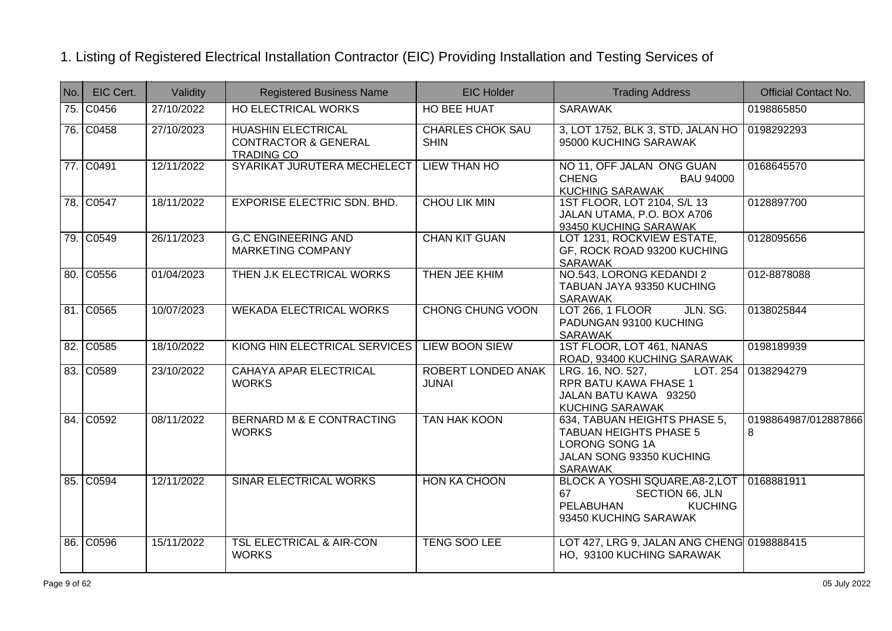| No. | EIC Cert. | Validity   | <b>Registered Business Name</b>                                                   | <b>EIC Holder</b>                      | <b>Trading Address</b>                                                                                                               | <b>Official Contact No.</b> |
|-----|-----------|------------|-----------------------------------------------------------------------------------|----------------------------------------|--------------------------------------------------------------------------------------------------------------------------------------|-----------------------------|
|     | 75. C0456 | 27/10/2022 | <b>HO ELECTRICAL WORKS</b>                                                        | <b>HO BEE HUAT</b>                     | <b>SARAWAK</b>                                                                                                                       | 0198865850                  |
|     | 76. C0458 | 27/10/2023 | <b>HUASHIN ELECTRICAL</b><br><b>CONTRACTOR &amp; GENERAL</b><br><b>TRADING CO</b> | <b>CHARLES CHOK SAU</b><br><b>SHIN</b> | 3, LOT 1752, BLK 3, STD, JALAN HO<br>95000 KUCHING SARAWAK                                                                           | 0198292293                  |
|     | 77. C0491 | 12/11/2022 | SYARIKAT JURUTERA MECHELECT                                                       | LIEW THAN HO                           | NO 11, OFF JALAN ONG GUAN<br><b>CHENG</b><br><b>BAU 94000</b><br><b>KUCHING SARAWAK</b>                                              | 0168645570                  |
|     | 78. C0547 | 18/11/2022 | <b>EXPORISE ELECTRIC SDN. BHD.</b>                                                | <b>CHOU LIK MIN</b>                    | 1ST FLOOR, LOT 2104, S/L 13<br>JALAN UTAMA, P.O. BOX A706<br>93450 KUCHING SARAWAK                                                   | 0128897700                  |
|     | 79. C0549 | 26/11/2023 | <b>G.C ENGINEERING AND</b><br><b>MARKETING COMPANY</b>                            | <b>CHAN KIT GUAN</b>                   | LOT 1231, ROCKVIEW ESTATE,<br>GF, ROCK ROAD 93200 KUCHING<br><b>SARAWAK</b>                                                          | 0128095656                  |
|     | 80. C0556 | 01/04/2023 | THEN J.K ELECTRICAL WORKS                                                         | THEN JEE KHIM                          | NO.543, LORONG KEDANDI 2<br>TABUAN JAYA 93350 KUCHING<br><b>SARAWAK</b>                                                              | 012-8878088                 |
|     | 81. C0565 | 10/07/2023 | <b>WEKADA ELECTRICAL WORKS</b>                                                    | <b>CHONG CHUNG VOON</b>                | JLN. SG.<br><b>LOT 266, 1 FLOOR</b><br>PADUNGAN 93100 KUCHING<br><b>SARAWAK</b>                                                      | 0138025844                  |
|     | 82. C0585 | 18/10/2022 | KIONG HIN ELECTRICAL SERVICES                                                     | <b>LIEW BOON SIEW</b>                  | 1ST FLOOR, LOT 461, NANAS<br>ROAD, 93400 KUCHING SARAWAK                                                                             | 0198189939                  |
|     | 83. C0589 | 23/10/2022 | CAHAYA APAR ELECTRICAL<br><b>WORKS</b>                                            | ROBERT LONDED ANAK<br><b>JUNAI</b>     | LRG. 16, NO. 527,<br>LOT. 254<br>RPR BATU KAWA FHASE 1<br>JALAN BATU KAWA 93250<br><b>KUCHING SARAWAK</b>                            | 0138294279                  |
|     | 84. C0592 | 08/11/2022 | BERNARD M & E CONTRACTING<br><b>WORKS</b>                                         | <b>TAN HAK KOON</b>                    | 634, TABUAN HEIGHTS PHASE 5,<br><b>TABUAN HEIGHTS PHASE 5</b><br>LORONG SONG 1A<br>JALAN SONG 93350 KUCHING<br><b>SARAWAK</b>        | 0198864987/012887866<br>8   |
|     | 85. C0594 | 12/11/2022 | SINAR ELECTRICAL WORKS                                                            | HON KA CHOON                           | BLOCK A YOSHI SQUARE, A8-2, LOT   0168881911<br>67<br>SECTION 66, JLN<br><b>PELABUHAN</b><br><b>KUCHING</b><br>93450 KUCHING SARAWAK |                             |
|     | 86. C0596 | 15/11/2022 | <b>TSL ELECTRICAL &amp; AIR-CON</b><br><b>WORKS</b>                               | <b>TENG SOO LEE</b>                    | LOT 427, LRG 9, JALAN ANG CHENG 0198888415<br>HO, 93100 KUCHING SARAWAK                                                              |                             |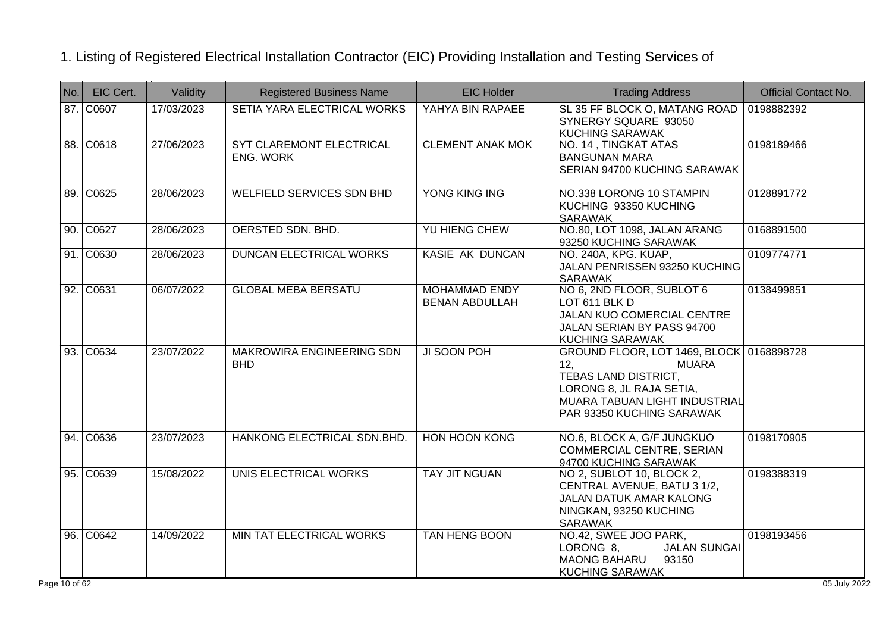| No. | EIC Cert. | Validity   | <b>Registered Business Name</b>                | <b>EIC Holder</b>                             | <b>Trading Address</b>                                                                                                                                                            | <b>Official Contact No.</b> |
|-----|-----------|------------|------------------------------------------------|-----------------------------------------------|-----------------------------------------------------------------------------------------------------------------------------------------------------------------------------------|-----------------------------|
|     | 87. C0607 | 17/03/2023 | SETIA YARA ELECTRICAL WORKS                    | YAHYA BIN RAPAEE                              | SL 35 FF BLOCK O, MATANG ROAD<br>SYNERGY SQUARE 93050<br><b>KUCHING SARAWAK</b>                                                                                                   | 0198882392                  |
|     | 88. C0618 | 27/06/2023 | SYT CLAREMONT ELECTRICAL<br><b>ENG. WORK</b>   | <b>CLEMENT ANAK MOK</b>                       | NO. 14, TINGKAT ATAS<br><b>BANGUNAN MARA</b><br>SERIAN 94700 KUCHING SARAWAK                                                                                                      | 0198189466                  |
|     | 89. C0625 | 28/06/2023 | <b>WELFIELD SERVICES SDN BHD</b>               | YONG KING ING                                 | NO.338 LORONG 10 STAMPIN<br>KUCHING 93350 KUCHING<br><b>SARAWAK</b>                                                                                                               | 0128891772                  |
|     | 90. C0627 | 28/06/2023 | OERSTED SDN. BHD.                              | YU HIENG CHEW                                 | NO.80, LOT 1098, JALAN ARANG<br>93250 KUCHING SARAWAK                                                                                                                             | 0168891500                  |
|     | 91. C0630 | 28/06/2023 | DUNCAN ELECTRICAL WORKS                        | KASIE AK DUNCAN                               | NO. 240A, KPG. KUAP,<br>JALAN PENRISSEN 93250 KUCHING<br>SARAWAK                                                                                                                  | 0109774771                  |
|     | 92. C0631 | 06/07/2022 | <b>GLOBAL MEBA BERSATU</b>                     | <b>MOHAMMAD ENDY</b><br><b>BENAN ABDULLAH</b> | NO 6, 2ND FLOOR, SUBLOT 6<br>LOT 611 BLK D<br>JALAN KUO COMERCIAL CENTRE<br>JALAN SERIAN BY PASS 94700<br><b>KUCHING SARAWAK</b>                                                  | 0138499851                  |
|     | 93. C0634 | 23/07/2022 | <b>MAKROWIRA ENGINEERING SDN</b><br><b>BHD</b> | JI SOON POH                                   | GROUND FLOOR, LOT 1469, BLOCK 0168898728<br>12.<br><b>MUARA</b><br>TEBAS LAND DISTRICT,<br>LORONG 8, JL RAJA SETIA,<br>MUARA TABUAN LIGHT INDUSTRIAL<br>PAR 93350 KUCHING SARAWAK |                             |
|     | 94. C0636 | 23/07/2023 | HANKONG ELECTRICAL SDN.BHD.                    | <b>HON HOON KONG</b>                          | NO.6, BLOCK A, G/F JUNGKUO<br>COMMERCIAL CENTRE, SERIAN<br>94700 KUCHING SARAWAK                                                                                                  | 0198170905                  |
|     | 95. C0639 | 15/08/2022 | UNIS ELECTRICAL WORKS                          | <b>TAY JIT NGUAN</b>                          | NO 2, SUBLOT 10, BLOCK 2,<br>CENTRAL AVENUE, BATU 3 1/2,<br>JALAN DATUK AMAR KALONG<br>NINGKAN, 93250 KUCHING<br><b>SARAWAK</b>                                                   | 0198388319                  |
|     | 96. C0642 | 14/09/2022 | MIN TAT ELECTRICAL WORKS                       | TAN HENG BOON                                 | NO.42, SWEE JOO PARK,<br><b>JALAN SUNGAI</b><br>LORONG 8,<br><b>MAONG BAHARU</b><br>93150<br><b>KUCHING SARAWAK</b>                                                               | 0198193456                  |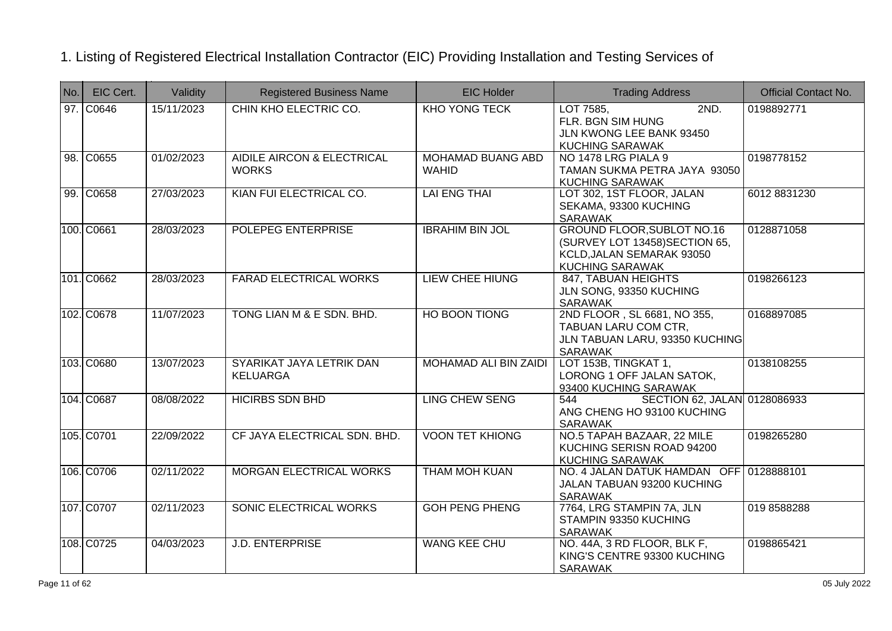| No. | EIC Cert.  | Validity   | <b>Registered Business Name</b>             | <b>EIC Holder</b>                        | <b>Trading Address</b>                                                                                                     | <b>Official Contact No.</b> |
|-----|------------|------------|---------------------------------------------|------------------------------------------|----------------------------------------------------------------------------------------------------------------------------|-----------------------------|
|     | 97. C0646  | 15/11/2023 | CHIN KHO ELECTRIC CO.                       | <b>KHO YONG TECK</b>                     | 2ND.<br>LOT 7585,<br>FLR. BGN SIM HUNG<br>JLN KWONG LEE BANK 93450<br><b>KUCHING SARAWAK</b>                               | 0198892771                  |
|     | 98. C0655  | 01/02/2023 | AIDILE AIRCON & ELECTRICAL<br><b>WORKS</b>  | <b>MOHAMAD BUANG ABD</b><br><b>WAHID</b> | NO 1478 LRG PIALA 9<br>TAMAN SUKMA PETRA JAYA 93050<br><b>KUCHING SARAWAK</b>                                              | 0198778152                  |
|     | 99. C0658  | 27/03/2023 | KIAN FUI ELECTRICAL CO.                     | <b>LAI ENG THAI</b>                      | LOT 302, 1ST FLOOR, JALAN<br>SEKAMA, 93300 KUCHING<br><b>SARAWAK</b>                                                       | 6012 8831230                |
|     | 100. C0661 | 28/03/2023 | POLEPEG ENTERPRISE                          | <b>IBRAHIM BIN JOL</b>                   | <b>GROUND FLOOR, SUBLOT NO.16</b><br>(SURVEY LOT 13458) SECTION 65,<br>KCLD, JALAN SEMARAK 93050<br><b>KUCHING SARAWAK</b> | 0128871058                  |
|     | 101. C0662 | 28/03/2023 | <b>FARAD ELECTRICAL WORKS</b>               | <b>LIEW CHEE HIUNG</b>                   | 847, TABUAN HEIGHTS<br>JLN SONG, 93350 KUCHING<br><b>SARAWAK</b>                                                           | 0198266123                  |
|     | 102. C0678 | 11/07/2023 | TONG LIAN M & E SDN. BHD.                   | <b>HO BOON TIONG</b>                     | 2ND FLOOR, SL 6681, NO 355,<br>TABUAN LARU COM CTR,<br>JLN TABUAN LARU, 93350 KUCHING<br><b>SARAWAK</b>                    | 0168897085                  |
|     | 103. C0680 | 13/07/2023 | SYARIKAT JAYA LETRIK DAN<br><b>KELUARGA</b> | MOHAMAD ALI BIN ZAIDI                    | LOT 153B, TINGKAT 1,<br>LORONG 1 OFF JALAN SATOK,<br>93400 KUCHING SARAWAK                                                 | 0138108255                  |
|     | 104. C0687 | 08/08/2022 | <b>HICIRBS SDN BHD</b>                      | <b>LING CHEW SENG</b>                    | SECTION 62, JALAN 0128086933<br>544<br>ANG CHENG HO 93100 KUCHING<br><b>SARAWAK</b>                                        |                             |
|     | 105. C0701 | 22/09/2022 | CF JAYA ELECTRICAL SDN. BHD.                | <b>VOON TET KHIONG</b>                   | NO.5 TAPAH BAZAAR, 22 MILE<br>KUCHING SERISN ROAD 94200<br><b>KUCHING SARAWAK</b>                                          | 0198265280                  |
|     | 106. C0706 | 02/11/2022 | <b>MORGAN ELECTRICAL WORKS</b>              | <b>THAM MOH KUAN</b>                     | NO. 4 JALAN DATUK HAMDAN OFF 0128888101<br>JALAN TABUAN 93200 KUCHING<br><b>SARAWAK</b>                                    |                             |
|     | 107. C0707 | 02/11/2023 | <b>SONIC ELECTRICAL WORKS</b>               | <b>GOH PENG PHENG</b>                    | 7764, LRG STAMPIN 7A, JLN<br>STAMPIN 93350 KUCHING<br><b>SARAWAK</b>                                                       | 019 8588288                 |
|     | 108. C0725 | 04/03/2023 | <b>J.D. ENTERPRISE</b>                      | <b>WANG KEE CHU</b>                      | NO. 44A, 3 RD FLOOR, BLK F,<br>KING'S CENTRE 93300 KUCHING<br><b>SARAWAK</b>                                               | 0198865421                  |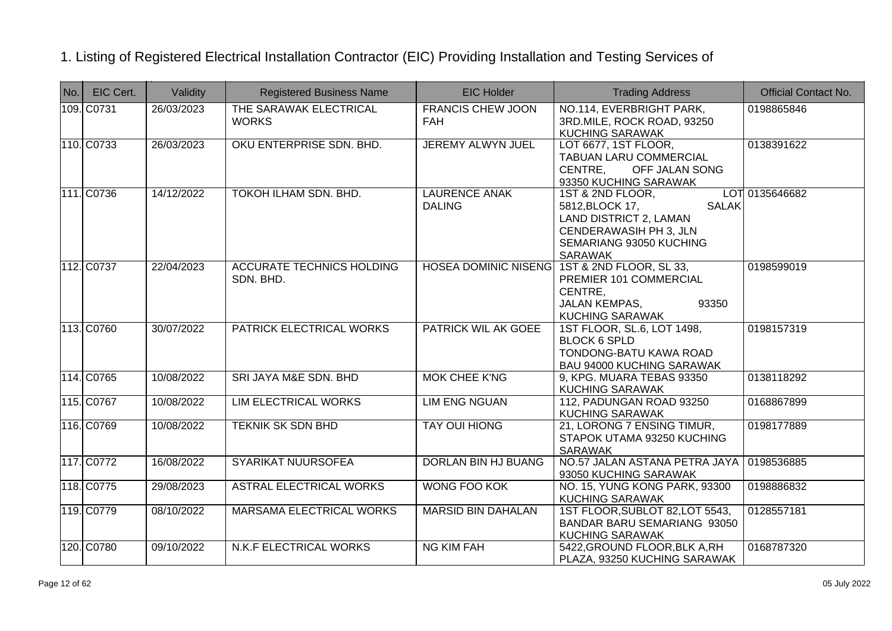| $N$ o. | EIC Cert.  | Validity   | <b>Registered Business Name</b>               | <b>EIC Holder</b>                      | <b>Trading Address</b>                                                                                                                                      | <b>Official Contact No.</b> |
|--------|------------|------------|-----------------------------------------------|----------------------------------------|-------------------------------------------------------------------------------------------------------------------------------------------------------------|-----------------------------|
|        | 109. C0731 | 26/03/2023 | THE SARAWAK ELECTRICAL<br><b>WORKS</b>        | <b>FRANCIS CHEW JOON</b><br><b>FAH</b> | NO.114, EVERBRIGHT PARK,<br>3RD.MILE, ROCK ROAD, 93250<br><b>KUCHING SARAWAK</b>                                                                            | 0198865846                  |
|        | 110. C0733 | 26/03/2023 | OKU ENTERPRISE SDN. BHD.                      | <b>JEREMY ALWYN JUEL</b>               | LOT 6677, 1ST FLOOR,<br><b>TABUAN LARU COMMERCIAL</b><br>CENTRE,<br>OFF JALAN SONG<br>93350 KUCHING SARAWAK                                                 | 0138391622                  |
|        | 111. C0736 | 14/12/2022 | <b>TOKOH ILHAM SDN. BHD.</b>                  | <b>LAURENCE ANAK</b><br><b>DALING</b>  | 1ST & 2ND FLOOR,<br><b>SALAK</b><br>5812, BLOCK 17,<br>LAND DISTRICT 2, LAMAN<br><b>CENDERAWASIH PH 3, JLN</b><br>SEMARIANG 93050 KUCHING<br><b>SARAWAK</b> | LOT 0135646682              |
|        | 112. C0737 | 22/04/2023 | <b>ACCURATE TECHNICS HOLDING</b><br>SDN. BHD. |                                        | HOSEA DOMINIC NISENG 1ST & 2ND FLOOR, SL 33,<br>PREMIER 101 COMMERCIAL<br>CENTRE,<br><b>JALAN KEMPAS,</b><br>93350<br><b>KUCHING SARAWAK</b>                | 0198599019                  |
|        | 113. C0760 | 30/07/2022 | PATRICK ELECTRICAL WORKS                      | PATRICK WIL AK GOEE                    | 1ST FLOOR, SL.6, LOT 1498,<br><b>BLOCK 6 SPLD</b><br>TONDONG-BATU KAWA ROAD<br><b>BAU 94000 KUCHING SARAWAK</b>                                             | 0198157319                  |
|        | 114. C0765 | 10/08/2022 | SRI JAYA M&E SDN. BHD                         | <b>MOK CHEE K'NG</b>                   | 9, KPG. MUARA TEBAS 93350<br><b>KUCHING SARAWAK</b>                                                                                                         | 0138118292                  |
|        | 115. C0767 | 10/08/2022 | <b>LIM ELECTRICAL WORKS</b>                   | <b>LIM ENG NGUAN</b>                   | 112, PADUNGAN ROAD 93250<br><b>KUCHING SARAWAK</b>                                                                                                          | 0168867899                  |
|        | 116. C0769 | 10/08/2022 | <b>TEKNIK SK SDN BHD</b>                      | <b>TAY OUI HIONG</b>                   | 21, LORONG 7 ENSING TIMUR,<br>STAPOK UTAMA 93250 KUCHING<br><b>SARAWAK</b>                                                                                  | 0198177889                  |
|        | 117. C0772 | 16/08/2022 | SYARIKAT NUURSOFEA                            | DORLAN BIN HJ BUANG                    | NO.57 JALAN ASTANA PETRA JAYA<br>93050 KUCHING SARAWAK                                                                                                      | 0198536885                  |
|        | 118. C0775 | 29/08/2023 | <b>ASTRAL ELECTRICAL WORKS</b>                | <b>WONG FOO KOK</b>                    | NO. 15, YUNG KONG PARK, 93300<br><b>KUCHING SARAWAK</b>                                                                                                     | 0198886832                  |
|        | 119. C0779 | 08/10/2022 | MARSAMA ELECTRICAL WORKS                      | <b>MARSID BIN DAHALAN</b>              | 1ST FLOOR, SUBLOT 82, LOT 5543,<br>BANDAR BARU SEMARIANG 93050<br><b>KUCHING SARAWAK</b>                                                                    | 0128557181                  |
|        | 120. C0780 | 09/10/2022 | N.K.F ELECTRICAL WORKS                        | <b>NG KIM FAH</b>                      | 5422, GROUND FLOOR, BLK A, RH<br>PLAZA, 93250 KUCHING SARAWAK                                                                                               | 0168787320                  |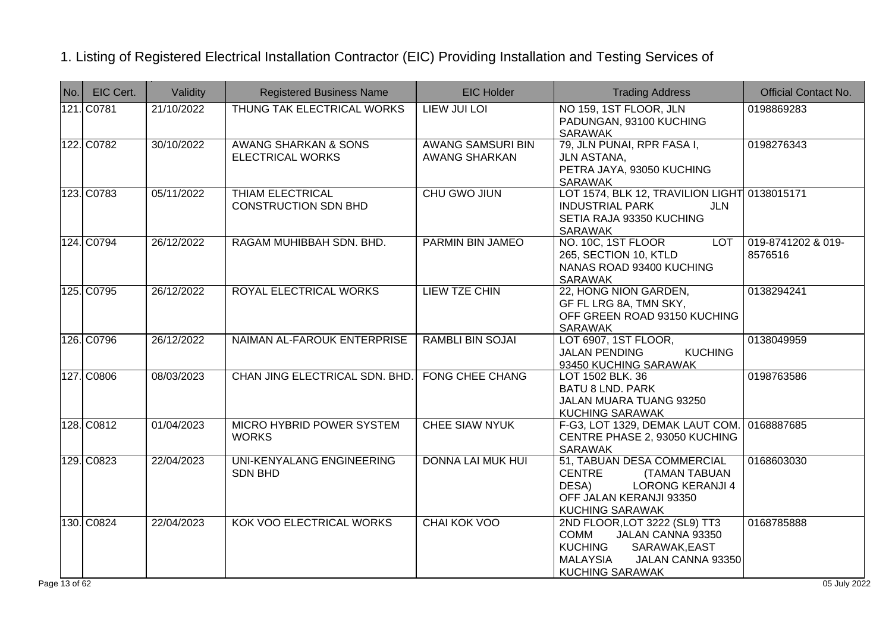| No. | EIC Cert.  | Validity   | <b>Registered Business Name</b>                        | <b>EIC Holder</b>                                | <b>Trading Address</b>                                                                                                                                          | <b>Official Contact No.</b>   |
|-----|------------|------------|--------------------------------------------------------|--------------------------------------------------|-----------------------------------------------------------------------------------------------------------------------------------------------------------------|-------------------------------|
|     | 121. C0781 | 21/10/2022 | THUNG TAK ELECTRICAL WORKS                             | <b>LIEW JUI LOI</b>                              | NO 159, 1ST FLOOR, JLN<br>PADUNGAN, 93100 KUCHING<br><b>SARAWAK</b>                                                                                             | 0198869283                    |
|     | 122. C0782 | 30/10/2022 | AWANG SHARKAN & SONS<br><b>ELECTRICAL WORKS</b>        | <b>AWANG SAMSURI BIN</b><br><b>AWANG SHARKAN</b> | 79, JLN PUNAI, RPR FASA I,<br>JLN ASTANA,<br>PETRA JAYA, 93050 KUCHING<br>SARAWAK                                                                               | 0198276343                    |
|     | 123. C0783 | 05/11/2022 | <b>THIAM ELECTRICAL</b><br><b>CONSTRUCTION SDN BHD</b> | <b>CHU GWO JIUN</b>                              | LOT 1574, BLK 12, TRAVILION LIGHT 0138015171<br><b>INDUSTRIAL PARK</b><br><b>JLN</b><br>SETIA RAJA 93350 KUCHING<br><b>SARAWAK</b>                              |                               |
|     | 124. C0794 | 26/12/2022 | RAGAM MUHIBBAH SDN. BHD.                               | PARMIN BIN JAMEO                                 | NO. 10C, 1ST FLOOR<br><b>LOT</b><br>265, SECTION 10, KTLD<br>NANAS ROAD 93400 KUCHING<br>SARAWAK                                                                | 019-8741202 & 019-<br>8576516 |
|     | 125. C0795 | 26/12/2022 | ROYAL ELECTRICAL WORKS                                 | <b>LIEW TZE CHIN</b>                             | 22, HONG NION GARDEN,<br>GF FL LRG 8A, TMN SKY,<br>OFF GREEN ROAD 93150 KUCHING<br><b>SARAWAK</b>                                                               | 0138294241                    |
|     | 126. C0796 | 26/12/2022 | NAIMAN AL-FAROUK ENTERPRISE                            | <b>RAMBLI BIN SOJAI</b>                          | LOT 6907, 1ST FLOOR,<br><b>JALAN PENDING</b><br><b>KUCHING</b><br>93450 KUCHING SARAWAK                                                                         | 0138049959                    |
|     | 127. C0806 | 08/03/2023 | CHAN JING ELECTRICAL SDN. BHD.                         | <b>FONG CHEE CHANG</b>                           | LOT 1502 BLK. 36<br><b>BATU 8 LND. PARK</b><br>JALAN MUARA TUANG 93250<br><b>KUCHING SARAWAK</b>                                                                | 0198763586                    |
|     | 128. C0812 | 01/04/2023 | <b>MICRO HYBRID POWER SYSTEM</b><br><b>WORKS</b>       | <b>CHEE SIAW NYUK</b>                            | F-G3, LOT 1329, DEMAK LAUT COM. 0168887685<br>CENTRE PHASE 2, 93050 KUCHING<br>SARAWAK                                                                          |                               |
|     | 129. C0823 | 22/04/2023 | UNI-KENYALANG ENGINEERING<br><b>SDN BHD</b>            | <b>DONNA LAI MUK HUI</b>                         | 51, TABUAN DESA COMMERCIAL<br><b>CENTRE</b><br><b>(TAMAN TABUAN</b><br>DESA)<br><b>LORONG KERANJI 4</b><br>OFF JALAN KERANJI 93350<br><b>KUCHING SARAWAK</b>    | 0168603030                    |
|     | 130. C0824 | 22/04/2023 | KOK VOO ELECTRICAL WORKS                               | <b>CHAI KOK VOO</b>                              | 2ND FLOOR, LOT 3222 (SL9) TT3<br><b>COMM</b><br>JALAN CANNA 93350<br><b>KUCHING</b><br>SARAWAK, EAST<br>MALAYSIA<br>JALAN CANNA 93350<br><b>KUCHING SARAWAK</b> | 0168785888                    |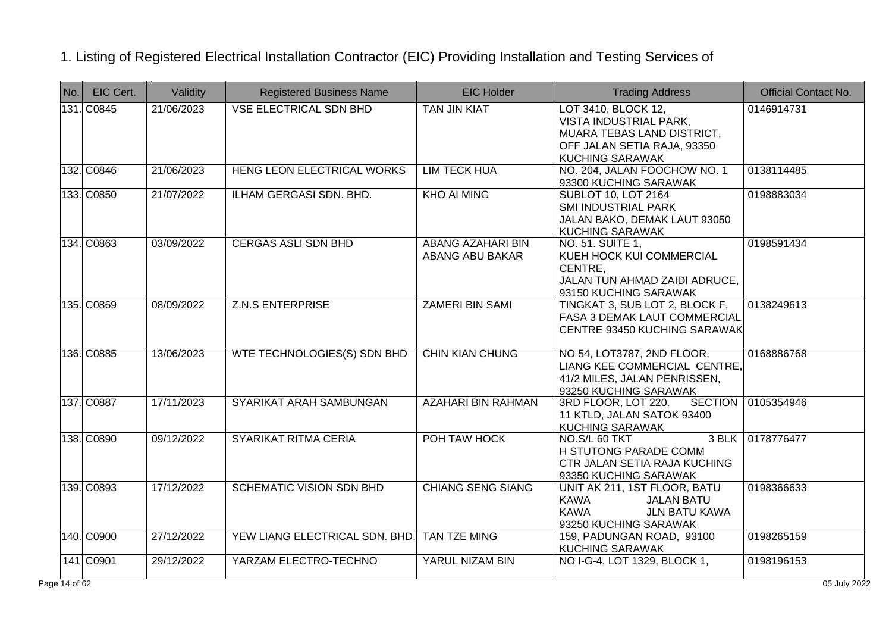| No.        | EIC Cert.  | Validity   | <b>Registered Business Name</b> | <b>EIC Holder</b>                           | <b>Trading Address</b>                                                                                                               | <b>Official Contact No.</b> |
|------------|------------|------------|---------------------------------|---------------------------------------------|--------------------------------------------------------------------------------------------------------------------------------------|-----------------------------|
|            | 131. C0845 | 21/06/2023 | <b>VSE ELECTRICAL SDN BHD</b>   | TAN JIN KIAT                                | LOT 3410, BLOCK 12,<br>VISTA INDUSTRIAL PARK,<br>MUARA TEBAS LAND DISTRICT,<br>OFF JALAN SETIA RAJA, 93350<br><b>KUCHING SARAWAK</b> | 0146914731                  |
|            | 132. C0846 | 21/06/2023 | HENG LEON ELECTRICAL WORKS      | <b>LIM TECK HUA</b>                         | NO. 204, JALAN FOOCHOW NO. 1<br>93300 KUCHING SARAWAK                                                                                | 0138114485                  |
|            | 133. C0850 | 21/07/2022 | ILHAM GERGASI SDN. BHD.         | <b>KHO AI MING</b>                          | <b>SUBLOT 10, LOT 2164</b><br>SMI INDUSTRIAL PARK<br>JALAN BAKO, DEMAK LAUT 93050<br><b>KUCHING SARAWAK</b>                          | 0198883034                  |
|            | 134. C0863 | 03/09/2022 | <b>CERGAS ASLI SDN BHD</b>      | <b>ABANG AZAHARI BIN</b><br>ABANG ABU BAKAR | NO. 51. SUITE 1,<br>KUEH HOCK KUI COMMERCIAL<br>CENTRE,<br>JALAN TUN AHMAD ZAIDI ADRUCE,<br>93150 KUCHING SARAWAK                    | 0198591434                  |
|            | 135. C0869 | 08/09/2022 | <b>Z.N.S ENTERPRISE</b>         | <b>ZAMERI BIN SAMI</b>                      | TINGKAT 3, SUB LOT 2, BLOCK F,<br><b>FASA 3 DEMAK LAUT COMMERCIAL</b><br>CENTRE 93450 KUCHING SARAWAK                                | 0138249613                  |
|            | 136. C0885 | 13/06/2023 | WTE TECHNOLOGIES(S) SDN BHD     | <b>CHIN KIAN CHUNG</b>                      | NO 54, LOT3787, 2ND FLOOR,<br>LIANG KEE COMMERCIAL CENTRE,<br>41/2 MILES, JALAN PENRISSEN,<br>93250 KUCHING SARAWAK                  | 0168886768                  |
|            | 137. C0887 | 17/11/2023 | SYARIKAT ARAH SAMBUNGAN         | <b>AZAHARI BIN RAHMAN</b>                   | 3RD FLOOR, LOT 220.<br><b>SECTION</b><br>11 KTLD, JALAN SATOK 93400<br><b>KUCHING SARAWAK</b>                                        | 0105354946                  |
|            | 138. C0890 | 09/12/2022 | SYARIKAT RITMA CERIA            | POH TAW HOCK                                | $3$ BLK<br>NO.S/L 60 TKT<br>H STUTONG PARADE COMM<br>CTR JALAN SETIA RAJA KUCHING<br>93350 KUCHING SARAWAK                           | 0178776477                  |
|            | 139. C0893 | 17/12/2022 | <b>SCHEMATIC VISION SDN BHD</b> | <b>CHIANG SENG SIANG</b>                    | UNIT AK 211, 1ST FLOOR, BATU<br>KAWA<br><b>JALAN BATU</b><br><b>KAWA</b><br><b>JLN BATU KAWA</b><br>93250 KUCHING SARAWAK            | 0198366633                  |
|            | 140. C0900 | 27/12/2022 | YEW LIANG ELECTRICAL SDN. BHD.  | <b>TAN TZE MING</b>                         | 159, PADUNGAN ROAD, 93100<br><b>KUCHING SARAWAK</b>                                                                                  | 0198265159                  |
|            | 141 C0901  | 29/12/2022 | YARZAM ELECTRO-TECHNO           | YARUL NIZAM BIN                             | NO I-G-4, LOT 1329, BLOCK 1,                                                                                                         | 0198196153                  |
| e 14 of 62 |            |            |                                 |                                             |                                                                                                                                      | 05 July 2022                |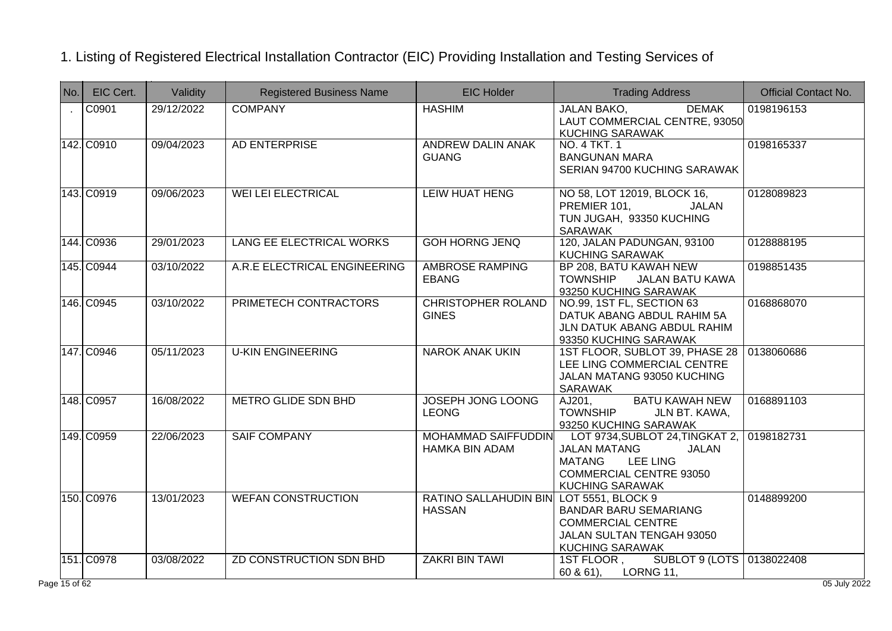| No.    | EIC Cert.  | Validity   | <b>Registered Business Name</b> | <b>EIC Holder</b>                                        | <b>Trading Address</b>                                                                                                                                              | <b>Official Contact No.</b> |
|--------|------------|------------|---------------------------------|----------------------------------------------------------|---------------------------------------------------------------------------------------------------------------------------------------------------------------------|-----------------------------|
| $\sim$ | C0901      | 29/12/2022 | <b>COMPANY</b>                  | <b>HASHIM</b>                                            | <b>DEMAK</b><br><b>JALAN BAKO,</b><br>LAUT COMMERCIAL CENTRE, 93050<br><b>KUCHING SARAWAK</b>                                                                       | 0198196153                  |
|        | 142. C0910 | 09/04/2023 | AD ENTERPRISE                   | <b>ANDREW DALIN ANAK</b><br><b>GUANG</b>                 | NO. 4 TKT. 1<br><b>BANGUNAN MARA</b><br>SERIAN 94700 KUCHING SARAWAK                                                                                                | 0198165337                  |
|        | 143. C0919 | 09/06/2023 | <b>WEI LEI ELECTRICAL</b>       | <b>LEIW HUAT HENG</b>                                    | NO 58, LOT 12019, BLOCK 16,<br>PREMIER 101,<br>JALAN<br>TUN JUGAH, 93350 KUCHING<br><b>SARAWAK</b>                                                                  | 0128089823                  |
|        | 144. C0936 | 29/01/2023 | LANG EE ELECTRICAL WORKS        | <b>GOH HORNG JENQ</b>                                    | 120, JALAN PADUNGAN, 93100<br><b>KUCHING SARAWAK</b>                                                                                                                | 0128888195                  |
|        | 145. C0944 | 03/10/2022 | A.R.E ELECTRICAL ENGINEERING    | <b>AMBROSE RAMPING</b><br><b>EBANG</b>                   | BP 208, BATU KAWAH NEW<br><b>TOWNSHIP</b><br><b>JALAN BATU KAWA</b><br>93250 KUCHING SARAWAK                                                                        | 0198851435                  |
|        | 146. C0945 | 03/10/2022 | PRIMETECH CONTRACTORS           | <b>CHRISTOPHER ROLAND</b><br><b>GINES</b>                | NO.99, 1ST FL, SECTION 63<br>DATUK ABANG ABDUL RAHIM 5A<br>JLN DATUK ABANG ABDUL RAHIM<br>93350 KUCHING SARAWAK                                                     | 0168868070                  |
|        | 147. C0946 | 05/11/2023 | <b>U-KIN ENGINEERING</b>        | <b>NAROK ANAK UKIN</b>                                   | 1ST FLOOR, SUBLOT 39, PHASE 28<br>LEE LING COMMERCIAL CENTRE<br>JALAN MATANG 93050 KUCHING<br>SARAWAK                                                               | 0138060686                  |
|        | 148. C0957 | 16/08/2022 | <b>METRO GLIDE SDN BHD</b>      | <b>JOSEPH JONG LOONG</b><br><b>LEONG</b>                 | <b>BATU KAWAH NEW</b><br>AJ201,<br><b>TOWNSHIP</b><br>JLN BT. KAWA,<br>93250 KUCHING SARAWAK                                                                        | 0168891103                  |
|        | 149. C0959 | 22/06/2023 | <b>SAIF COMPANY</b>             | MOHAMMAD SAIFFUDDIN<br>HAMKA BIN ADAM                    | LOT 9734, SUBLOT 24, TINGKAT 2, 0198182731<br><b>JALAN MATANG</b><br><b>JALAN</b><br>MATANG<br><b>LEE LING</b><br>COMMERCIAL CENTRE 93050<br><b>KUCHING SARAWAK</b> |                             |
|        | 150. C0976 | 13/01/2023 | <b>WEFAN CONSTRUCTION</b>       | RATINO SALLAHUDIN BIN LOT 5551, BLOCK 9<br><b>HASSAN</b> | <b>BANDAR BARU SEMARIANG</b><br><b>COMMERCIAL CENTRE</b><br>JALAN SULTAN TENGAH 93050<br><b>KUCHING SARAWAK</b>                                                     | 0148899200                  |
|        | 151. C0978 | 03/08/2022 | ZD CONSTRUCTION SDN BHD         | <b>ZAKRI BIN TAWI</b>                                    | SUBLOT 9 (LOTS 0138022408)<br>1ST FLOOR,<br>LORNG 11,<br>$60 & 61$ ),                                                                                               |                             |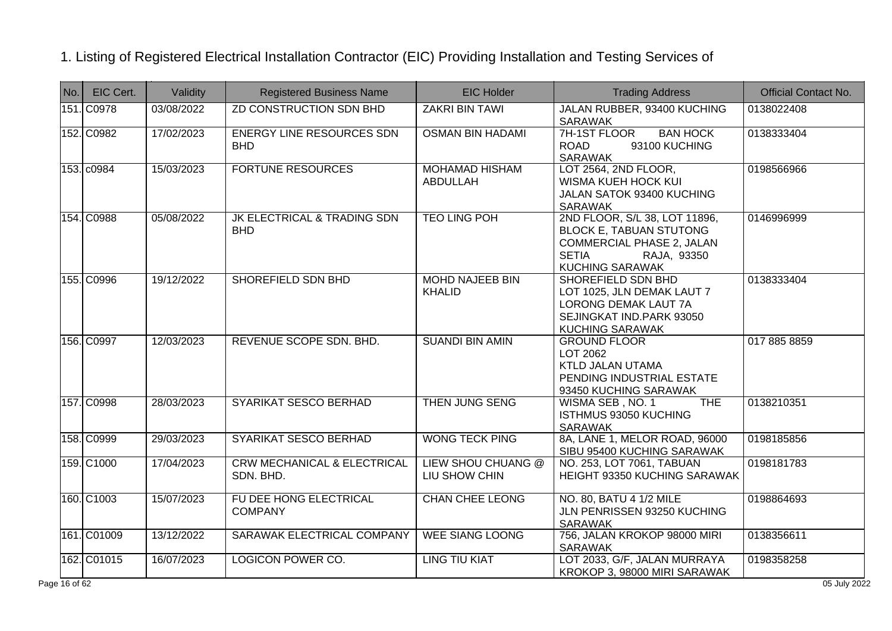| No. | EIC Cert.   | Validity   | <b>Registered Business Name</b>                     | <b>EIC Holder</b>                       | <b>Trading Address</b>                                                                                                                                       | <b>Official Contact No.</b> |
|-----|-------------|------------|-----------------------------------------------------|-----------------------------------------|--------------------------------------------------------------------------------------------------------------------------------------------------------------|-----------------------------|
|     | 151. C0978  | 03/08/2022 | <b>ZD CONSTRUCTION SDN BHD</b>                      | <b>ZAKRI BIN TAWI</b>                   | JALAN RUBBER, 93400 KUCHING<br><b>SARAWAK</b>                                                                                                                | 0138022408                  |
|     | 152. C0982  | 17/02/2023 | <b>ENERGY LINE RESOURCES SDN</b><br><b>BHD</b>      | <b>OSMAN BIN HADAMI</b>                 | 7H-1ST FLOOR<br><b>BAN HOCK</b><br><b>ROAD</b><br>93100 KUCHING<br><b>SARAWAK</b>                                                                            | 0138333404                  |
|     | 153. c0984  | 15/03/2023 | <b>FORTUNE RESOURCES</b>                            | <b>MOHAMAD HISHAM</b><br>ABDULLAH       | LOT 2564, 2ND FLOOR,<br>WISMA KUEH HOCK KUI<br>JALAN SATOK 93400 KUCHING<br><b>SARAWAK</b>                                                                   | 0198566966                  |
|     | 154. C0988  | 05/08/2022 | JK ELECTRICAL & TRADING SDN<br><b>BHD</b>           | <b>TEO LING POH</b>                     | 2ND FLOOR, S/L 38, LOT 11896,<br><b>BLOCK E, TABUAN STUTONG</b><br><b>COMMERCIAL PHASE 2, JALAN</b><br><b>SETIA</b><br>RAJA, 93350<br><b>KUCHING SARAWAK</b> | 0146996999                  |
|     | 155. C0996  | 19/12/2022 | SHOREFIELD SDN BHD                                  | <b>MOHD NAJEEB BIN</b><br><b>KHALID</b> | SHOREFIELD SDN BHD<br>LOT 1025, JLN DEMAK LAUT 7<br><b>LORONG DEMAK LAUT 7A</b><br>SEJINGKAT IND.PARK 93050<br><b>KUCHING SARAWAK</b>                        | 0138333404                  |
|     | 156. C0997  | 12/03/2023 | REVENUE SCOPE SDN. BHD.                             | <b>SUANDI BIN AMIN</b>                  | <b>GROUND FLOOR</b><br>LOT 2062<br>KTLD JALAN UTAMA<br>PENDING INDUSTRIAL ESTATE<br>93450 KUCHING SARAWAK                                                    | 017 885 8859                |
|     | 157. C0998  | 28/03/2023 | SYARIKAT SESCO BERHAD                               | <b>THEN JUNG SENG</b>                   | WISMA SEB, NO. 1<br><b>THE</b><br>ISTHMUS 93050 KUCHING<br><b>SARAWAK</b>                                                                                    | 0138210351                  |
|     | 158. C0999  | 29/03/2023 | SYARIKAT SESCO BERHAD                               | <b>WONG TECK PING</b>                   | 8A, LANE 1, MELOR ROAD, 96000<br>SIBU 95400 KUCHING SARAWAK                                                                                                  | 0198185856                  |
|     | 159. C1000  | 17/04/2023 | <b>CRW MECHANICAL &amp; ELECTRICAL</b><br>SDN. BHD. | LIEW SHOU CHUANG @<br>LIU SHOW CHIN     | NO. 253, LOT 7061, TABUAN<br>HEIGHT 93350 KUCHING SARAWAK                                                                                                    | 0198181783                  |
|     | 160. C1003  | 15/07/2023 | FU DEE HONG ELECTRICAL<br><b>COMPANY</b>            | <b>CHAN CHEE LEONG</b>                  | NO. 80, BATU 4 1/2 MILE<br>JLN PENRISSEN 93250 KUCHING<br><b>SARAWAK</b>                                                                                     | 0198864693                  |
|     | 161. C01009 | 13/12/2022 | SARAWAK ELECTRICAL COMPANY                          | <b>WEE SIANG LOONG</b>                  | 756, JALAN KROKOP 98000 MIRI<br><b>SARAWAK</b>                                                                                                               | 0138356611                  |
|     | 162. C01015 | 16/07/2023 | LOGICON POWER CO.                                   | <b>LING TIU KIAT</b>                    | LOT 2033, G/F, JALAN MURRAYA<br>KROKOP 3, 98000 MIRI SARAWAK                                                                                                 | 0198358258                  |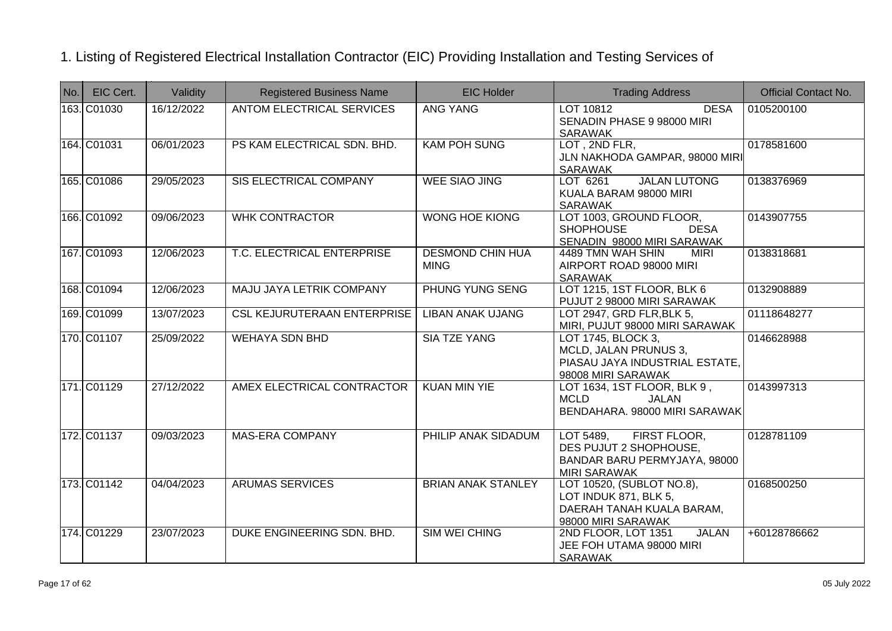| $N$ o. | EIC Cert.   | Validity   | <b>Registered Business Name</b>    | <b>EIC Holder</b>                      | <b>Trading Address</b>                                                                                     | <b>Official Contact No.</b> |
|--------|-------------|------------|------------------------------------|----------------------------------------|------------------------------------------------------------------------------------------------------------|-----------------------------|
|        | 163. C01030 | 16/12/2022 | <b>ANTOM ELECTRICAL SERVICES</b>   | <b>ANG YANG</b>                        | <b>DESA</b><br>LOT 10812<br>SENADIN PHASE 9 98000 MIRI<br><b>SARAWAK</b>                                   | 0105200100                  |
|        | 164. C01031 | 06/01/2023 | PS KAM ELECTRICAL SDN. BHD.        | <b>KAM POH SUNG</b>                    | LOT, 2ND FLR,<br>JLN NAKHODA GAMPAR, 98000 MIRI<br>SARAWAK                                                 | 0178581600                  |
|        | 165. C01086 | 29/05/2023 | <b>SIS ELECTRICAL COMPANY</b>      | <b>WEE SIAO JING</b>                   | <b>JALAN LUTONG</b><br>LOT 6261<br>KUALA BARAM 98000 MIRI<br><b>SARAWAK</b>                                | 0138376969                  |
|        | 166. C01092 | 09/06/2023 | <b>WHK CONTRACTOR</b>              | <b>WONG HOE KIONG</b>                  | LOT 1003, GROUND FLOOR,<br><b>SHOPHOUSE</b><br><b>DESA</b><br>SENADIN 98000 MIRI SARAWAK                   | 0143907755                  |
|        | 167. C01093 | 12/06/2023 | T.C. ELECTRICAL ENTERPRISE         | <b>DESMOND CHIN HUA</b><br><b>MING</b> | 4489 TMN WAH SHIN<br><b>MIRI</b><br>AIRPORT ROAD 98000 MIRI<br><b>SARAWAK</b>                              | 0138318681                  |
|        | 168. C01094 | 12/06/2023 | MAJU JAYA LETRIK COMPANY           | <b>PHUNG YUNG SENG</b>                 | LOT 1215, 1ST FLOOR, BLK 6<br>PUJUT 2 98000 MIRI SARAWAK                                                   | 0132908889                  |
|        | 169. C01099 | 13/07/2023 | <b>CSL KEJURUTERAAN ENTERPRISE</b> | <b>LIBAN ANAK UJANG</b>                | LOT 2947, GRD FLR, BLK 5,<br>MIRI, PUJUT 98000 MIRI SARAWAK                                                | 01118648277                 |
|        | 170. C01107 | 25/09/2022 | <b>WEHAYA SDN BHD</b>              | <b>SIA TZE YANG</b>                    | LOT 1745, BLOCK 3,<br>MCLD, JALAN PRUNUS 3,<br>PIASAU JAYA INDUSTRIAL ESTATE,<br>98008 MIRI SARAWAK        | 0146628988                  |
|        | 171. C01129 | 27/12/2022 | AMEX ELECTRICAL CONTRACTOR         | <b>KUAN MIN YIE</b>                    | LOT 1634, 1ST FLOOR, BLK 9,<br><b>MCLD</b><br>JALAN<br>BENDAHARA. 98000 MIRI SARAWAK                       | 0143997313                  |
|        | 172. C01137 | 09/03/2023 | <b>MAS-ERA COMPANY</b>             | PHILIP ANAK SIDADUM                    | LOT 5489,<br>FIRST FLOOR,<br>DES PUJUT 2 SHOPHOUSE,<br>BANDAR BARU PERMYJAYA, 98000<br><b>MIRI SARAWAK</b> | 0128781109                  |
|        | 173. C01142 | 04/04/2023 | <b>ARUMAS SERVICES</b>             | <b>BRIAN ANAK STANLEY</b>              | LOT 10520, (SUBLOT NO.8),<br>LOT INDUK 871, BLK 5,<br>DAERAH TANAH KUALA BARAM,<br>98000 MIRI SARAWAK      | 0168500250                  |
|        | 174. C01229 | 23/07/2023 | DUKE ENGINEERING SDN. BHD.         | <b>SIM WEI CHING</b>                   | 2ND FLOOR, LOT 1351<br><b>JALAN</b><br>JEE FOH UTAMA 98000 MIRI<br><b>SARAWAK</b>                          | +60128786662                |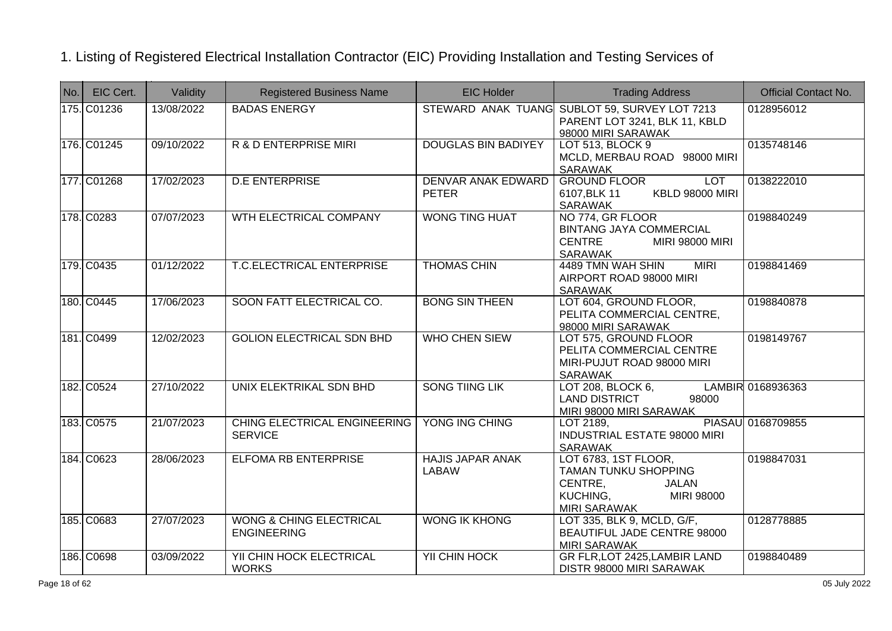| No. | EIC Cert.   | Validity   | <b>Registered Business Name</b>                          | <b>EIC Holder</b>                       | <b>Trading Address</b>                                                                                                          | <b>Official Contact No.</b> |
|-----|-------------|------------|----------------------------------------------------------|-----------------------------------------|---------------------------------------------------------------------------------------------------------------------------------|-----------------------------|
|     | 175. C01236 | 13/08/2022 | <b>BADAS ENERGY</b>                                      |                                         | STEWARD ANAK TUANG SUBLOT 59, SURVEY LOT 7213<br>PARENT LOT 3241, BLK 11, KBLD<br>98000 MIRI SARAWAK                            | 0128956012                  |
|     | 176. C01245 | 09/10/2022 | <b>R &amp; D ENTERPRISE MIRI</b>                         | <b>DOUGLAS BIN BADIYEY</b>              | LOT 513, BLOCK 9<br>MCLD, MERBAU ROAD 98000 MIRI<br><b>SARAWAK</b>                                                              | 0135748146                  |
|     | 177. C01268 | 17/02/2023 | <b>D.E ENTERPRISE</b>                                    | DENVAR ANAK EDWARD<br><b>PETER</b>      | <b>GROUND FLOOR</b><br><b>LOT</b><br><b>KBLD 98000 MIRI</b><br>6107, BLK 11<br>SARAWAK                                          | 0138222010                  |
|     | 178. C0283  | 07/07/2023 | WTH ELECTRICAL COMPANY                                   | <b>WONG TING HUAT</b>                   | NO 774, GR FLOOR<br><b>BINTANG JAYA COMMERCIAL</b><br><b>CENTRE</b><br><b>MIRI 98000 MIRI</b><br>SARAWAK                        | 0198840249                  |
|     | 179. C0435  | 01/12/2022 | <b>T.C.ELECTRICAL ENTERPRISE</b>                         | <b>THOMAS CHIN</b>                      | 4489 TMN WAH SHIN<br><b>MIRI</b><br>AIRPORT ROAD 98000 MIRI<br><b>SARAWAK</b>                                                   | 0198841469                  |
|     | 180. C0445  | 17/06/2023 | SOON FATT ELECTRICAL CO.                                 | <b>BONG SIN THEEN</b>                   | LOT 604, GROUND FLOOR,<br>PELITA COMMERCIAL CENTRE,<br>98000 MIRI SARAWAK                                                       | 0198840878                  |
|     | 181. C0499  | 12/02/2023 | <b>GOLION ELECTRICAL SDN BHD</b>                         | <b>WHO CHEN SIEW</b>                    | LOT 575, GROUND FLOOR<br>PELITA COMMERCIAL CENTRE<br>MIRI-PUJUT ROAD 98000 MIRI<br><b>SARAWAK</b>                               | 0198149767                  |
|     | 182. C0524  | 27/10/2022 | UNIX ELEKTRIKAL SDN BHD                                  | <b>SONG TIING LIK</b>                   | LOT 208, BLOCK 6,<br><b>LAND DISTRICT</b><br>98000<br>MIRI 98000 MIRI SARAWAK                                                   | LAMBIR 0168936363           |
|     | 183. C0575  | 21/07/2023 | CHING ELECTRICAL ENGINEERING<br><b>SERVICE</b>           | YONG ING CHING                          | LOT 2189,<br><b>INDUSTRIAL ESTATE 98000 MIRI</b><br>SARAWAK                                                                     | PIASAU 0168709855           |
|     | 184. C0623  | 28/06/2023 | <b>ELFOMA RB ENTERPRISE</b>                              | <b>HAJIS JAPAR ANAK</b><br><b>LABAW</b> | LOT 6783, 1ST FLOOR,<br><b>TAMAN TUNKU SHOPPING</b><br>CENTRE,<br><b>JALAN</b><br>KUCHING,<br>MIRI 98000<br><b>MIRI SARAWAK</b> | 0198847031                  |
|     | 185. C0683  | 27/07/2023 | <b>WONG &amp; CHING ELECTRICAL</b><br><b>ENGINEERING</b> | <b>WONG IK KHONG</b>                    | LOT 335, BLK 9, MCLD, G/F,<br>BEAUTIFUL JADE CENTRE 98000<br><b>MIRI SARAWAK</b>                                                | 0128778885                  |
|     | 186. C0698  | 03/09/2022 | YII CHIN HOCK ELECTRICAL<br><b>WORKS</b>                 | <b>YII CHIN HOCK</b>                    | GR FLR, LOT 2425, LAMBIR LAND<br>DISTR 98000 MIRI SARAWAK                                                                       | 0198840489                  |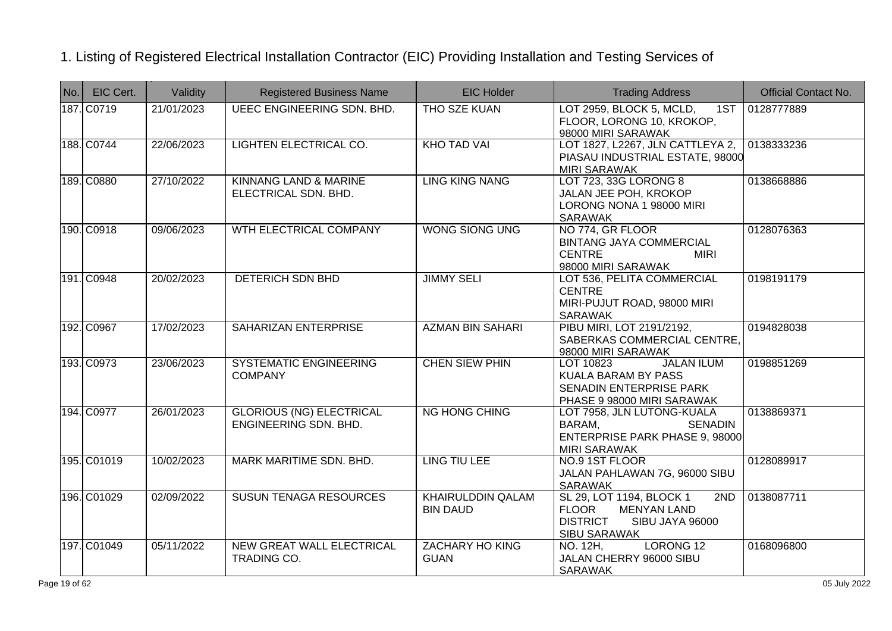| No. | EIC Cert.   | Validity   | <b>Registered Business Name</b>                          | <b>EIC Holder</b>                           | <b>Trading Address</b>                                                                                                             | <b>Official Contact No.</b> |
|-----|-------------|------------|----------------------------------------------------------|---------------------------------------------|------------------------------------------------------------------------------------------------------------------------------------|-----------------------------|
|     | 187. C0719  | 21/01/2023 | <b>UEEC ENGINEERING SDN. BHD.</b>                        | THO SZE KUAN                                | LOT 2959, BLOCK 5, MCLD,<br>1ST<br>FLOOR, LORONG 10, KROKOP,<br>98000 MIRI SARAWAK                                                 | 0128777889                  |
|     | 188. C0744  | 22/06/2023 | LIGHTEN ELECTRICAL CO.                                   | <b>KHO TAD VAI</b>                          | LOT 1827, L2267, JLN CATTLEYA 2,<br>PIASAU INDUSTRIAL ESTATE, 98000<br><b>MIRI SARAWAK</b>                                         | 0138333236                  |
|     | 189. C0880  | 27/10/2022 | KINNANG LAND & MARINE<br>ELECTRICAL SDN. BHD.            | <b>LING KING NANG</b>                       | LOT 723, 33G LORONG 8<br>JALAN JEE POH, KROKOP<br>LORONG NONA 1 98000 MIRI<br><b>SARAWAK</b>                                       | 0138668886                  |
|     | 190. C0918  | 09/06/2023 | WTH ELECTRICAL COMPANY                                   | <b>WONG SIONG UNG</b>                       | NO 774, GR FLOOR<br><b>BINTANG JAYA COMMERCIAL</b><br><b>CENTRE</b><br><b>MIRI</b><br>98000 MIRI SARAWAK                           | 0128076363                  |
|     | 191. C0948  | 20/02/2023 | <b>DETERICH SDN BHD</b>                                  | <b>JIMMY SELI</b>                           | LOT 536, PELITA COMMERCIAL<br><b>CENTRE</b><br>MIRI-PUJUT ROAD, 98000 MIRI<br><b>SARAWAK</b>                                       | 0198191179                  |
|     | 192. C0967  | 17/02/2023 | SAHARIZAN ENTERPRISE                                     | <b>AZMAN BIN SAHARI</b>                     | PIBU MIRI, LOT 2191/2192,<br>SABERKAS COMMERCIAL CENTRE,<br>98000 MIRI SARAWAK                                                     | 0194828038                  |
|     | 193. C0973  | 23/06/2023 | SYSTEMATIC ENGINEERING<br><b>COMPANY</b>                 | <b>CHEN SIEW PHIN</b>                       | <b>JALAN ILUM</b><br>LOT 10823<br><b>KUALA BARAM BY PASS</b><br>SENADIN ENTERPRISE PARK<br>PHASE 9 98000 MIRI SARAWAK              | 0198851269                  |
|     | 194. C0977  | 26/01/2023 | <b>GLORIOUS (NG) ELECTRICAL</b><br>ENGINEERING SDN. BHD. | <b>NG HONG CHING</b>                        | LOT 7958, JLN LUTONG-KUALA<br>BARAM,<br><b>SENADIN</b><br>ENTERPRISE PARK PHASE 9, 98000<br><b>MIRI SARAWAK</b>                    | 0138869371                  |
|     | 195. C01019 | 10/02/2023 | MARK MARITIME SDN. BHD.                                  | <b>LING TIU LEE</b>                         | NO.9 1ST FLOOR<br>JALAN PAHLAWAN 7G, 96000 SIBU<br><b>SARAWAK</b>                                                                  | 0128089917                  |
|     | 196. C01029 | 02/09/2022 | <b>SUSUN TENAGA RESOURCES</b>                            | <b>KHAIRULDDIN QALAM</b><br><b>BIN DAUD</b> | SL 29, LOT 1194, BLOCK 1<br>2ND<br><b>MENYAN LAND</b><br><b>FLOOR</b><br><b>DISTRICT</b><br>SIBU JAYA 96000<br><b>SIBU SARAWAK</b> | 0138087711                  |
|     | 197. C01049 | 05/11/2022 | NEW GREAT WALL ELECTRICAL<br>TRADING CO.                 | <b>ZACHARY HO KING</b><br><b>GUAN</b>       | LORONG <sub>12</sub><br>NO. 12H,<br>JALAN CHERRY 96000 SIBU<br><b>SARAWAK</b>                                                      | 0168096800                  |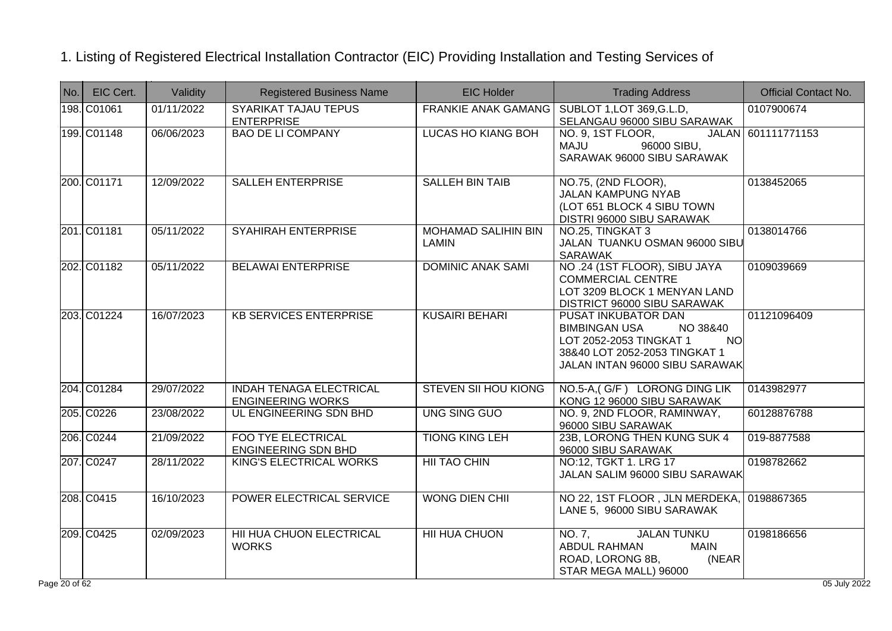| No. | EIC Cert.   | Validity   | <b>Registered Business Name</b>                            | <b>EIC Holder</b>                   | <b>Trading Address</b>                                                                                                                                             | <b>Official Contact No.</b> |
|-----|-------------|------------|------------------------------------------------------------|-------------------------------------|--------------------------------------------------------------------------------------------------------------------------------------------------------------------|-----------------------------|
|     | 198. C01061 | 01/11/2022 | <b>SYARIKAT TAJAU TEPUS</b><br><b>ENTERPRISE</b>           | <b>FRANKIE ANAK GAMANG</b>          | SUBLOT 1, LOT 369, G.L.D,<br>SELANGAU 96000 SIBU SARAWAK                                                                                                           | 0107900674                  |
|     | 199. C01148 | 06/06/2023 | <b>BAO DE LI COMPANY</b>                                   | <b>LUCAS HO KIANG BOH</b>           | NO. 9, 1ST FLOOR,<br>96000 SIBU,<br><b>MAJU</b><br>SARAWAK 96000 SIBU SARAWAK                                                                                      | JALAN 601111771153          |
|     | 200. C01171 | 12/09/2022 | SALLEH ENTERPRISE                                          | <b>SALLEH BIN TAIB</b>              | NO.75, (2ND FLOOR),<br><b>JALAN KAMPUNG NYAB</b><br>(LOT 651 BLOCK 4 SIBU TOWN<br>DISTRI 96000 SIBU SARAWAK                                                        | 0138452065                  |
|     | 201. C01181 | 05/11/2022 | <b>SYAHIRAH ENTERPRISE</b>                                 | <b>MOHAMAD SALIHIN BIN</b><br>LAMIN | NO.25, TINGKAT 3<br>JALAN TUANKU OSMAN 96000 SIBU<br><b>SARAWAK</b>                                                                                                | 0138014766                  |
|     | 202. C01182 | 05/11/2022 | <b>BELAWAI ENTERPRISE</b>                                  | <b>DOMINIC ANAK SAMI</b>            | NO .24 (1ST FLOOR), SIBU JAYA<br><b>COMMERCIAL CENTRE</b><br>LOT 3209 BLOCK 1 MENYAN LAND<br>DISTRICT 96000 SIBU SARAWAK                                           | 0109039669                  |
|     | 203. C01224 | 16/07/2023 | <b>KB SERVICES ENTERPRISE</b>                              | <b>KUSAIRI BEHARI</b>               | PUSAT INKUBATOR DAN<br><b>BIMBINGAN USA</b><br>NO 38&40<br>LOT 2052-2053 TINGKAT 1<br><b>NO</b><br>38&40 LOT 2052-2053 TINGKAT 1<br>JALAN INTAN 96000 SIBU SARAWAK | 01121096409                 |
|     | 204. C01284 | 29/07/2022 | <b>INDAH TENAGA ELECTRICAL</b><br><b>ENGINEERING WORKS</b> | <b>STEVEN SII HOU KIONG</b>         | NO.5-A, (G/F) LORONG DING LIK<br>KONG 12 96000 SIBU SARAWAK                                                                                                        | 0143982977                  |
|     | 205. C0226  | 23/08/2022 | UL ENGINEERING SDN BHD                                     | <b>UNG SING GUO</b>                 | NO. 9, 2ND FLOOR, RAMINWAY,<br>96000 SIBU SARAWAK                                                                                                                  | 60128876788                 |
|     | 206. C0244  | 21/09/2022 | <b>FOO TYE ELECTRICAL</b><br><b>ENGINEERING SDN BHD</b>    | <b>TIONG KING LEH</b>               | 23B, LORONG THEN KUNG SUK 4<br>96000 SIBU SARAWAK                                                                                                                  | 019-8877588                 |
|     | 207. C0247  | 28/11/2022 | KING'S ELECTRICAL WORKS                                    | <b>HII TAO CHIN</b>                 | NO:12, TGKT 1. LRG 17<br>JALAN SALIM 96000 SIBU SARAWAK                                                                                                            | 0198782662                  |
|     | 208. C0415  | 16/10/2023 | POWER ELECTRICAL SERVICE                                   | <b>WONG DIEN CHII</b>               | NO 22, 1ST FLOOR, JLN MERDEKA, 0198867365<br>LANE 5, 96000 SIBU SARAWAK                                                                                            |                             |
|     | 209. C0425  | 02/09/2023 | HII HUA CHUON ELECTRICAL<br><b>WORKS</b>                   | <b>HII HUA CHUON</b>                | <b>JALAN TUNKU</b><br>NO. 7,<br><b>ABDUL RAHMAN</b><br><b>MAIN</b><br>ROAD, LORONG 8B,<br>(NEAR<br>STAR MEGA MALL) 96000                                           | 0198186656                  |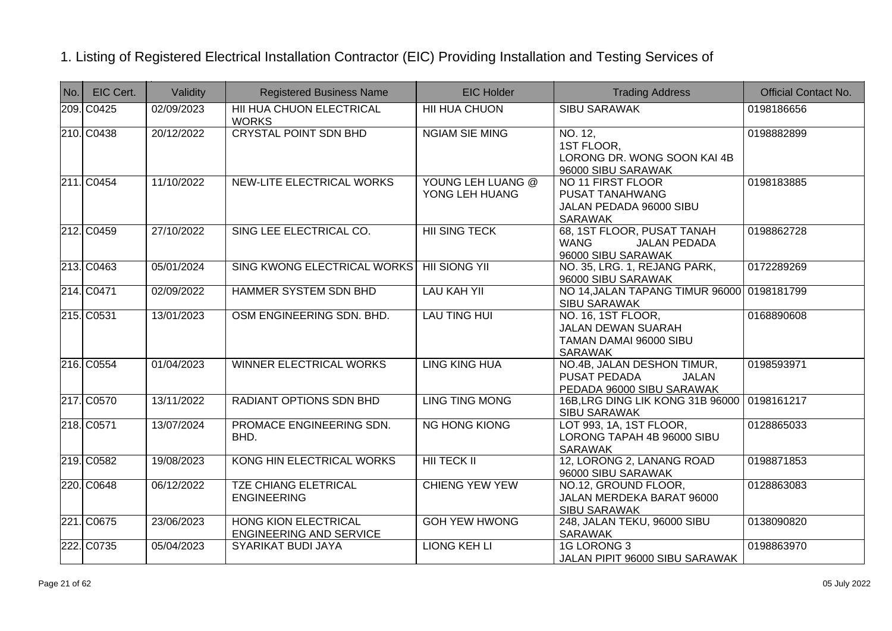| No. | EIC Cert.  | Validity   | <b>Registered Business Name</b>                               | <b>EIC Holder</b>                   | <b>Trading Address</b>                                                                      | <b>Official Contact No.</b> |
|-----|------------|------------|---------------------------------------------------------------|-------------------------------------|---------------------------------------------------------------------------------------------|-----------------------------|
|     | 209. C0425 | 02/09/2023 | HII HUA CHUON ELECTRICAL<br><b>WORKS</b>                      | <b>HII HUA CHUON</b>                | <b>SIBU SARAWAK</b>                                                                         | 0198186656                  |
|     | 210. C0438 | 20/12/2022 | <b>CRYSTAL POINT SDN BHD</b>                                  | <b>NGIAM SIE MING</b>               | NO. 12,<br>1ST FLOOR,<br>LORONG DR. WONG SOON KAI 4B<br>96000 SIBU SARAWAK                  | 0198882899                  |
|     | 211. C0454 | 11/10/2022 | NEW-LITE ELECTRICAL WORKS                                     | YOUNG LEH LUANG @<br>YONG LEH HUANG | NO 11 FIRST FLOOR<br>PUSAT TANAHWANG<br>JALAN PEDADA 96000 SIBU<br>SARAWAK                  | 0198183885                  |
|     | 212. C0459 | 27/10/2022 | SING LEE ELECTRICAL CO.                                       | <b>HII SING TECK</b>                | 68, 1ST FLOOR, PUSAT TANAH<br><b>WANG</b><br><b>JALAN PEDADA</b><br>96000 SIBU SARAWAK      | 0198862728                  |
|     | 213. C0463 | 05/01/2024 | SING KWONG ELECTRICAL WORKS                                   | <b>HII SIONG YII</b>                | NO. 35, LRG. 1, REJANG PARK,<br>96000 SIBU SARAWAK                                          | 0172289269                  |
|     | 214. C0471 | 02/09/2022 | <b>HAMMER SYSTEM SDN BHD</b>                                  | <b>LAU KAH YII</b>                  | NO 14, JALAN TAPANG TIMUR 96000 0198181799<br><b>SIBU SARAWAK</b>                           |                             |
|     | 215. C0531 | 13/01/2023 | OSM ENGINEERING SDN. BHD.                                     | <b>LAU TING HUI</b>                 | NO. 16, 1ST FLOOR,<br><b>JALAN DEWAN SUARAH</b><br>TAMAN DAMAI 96000 SIBU<br><b>SARAWAK</b> | 0168890608                  |
|     | 216. C0554 | 01/04/2023 | <b>WINNER ELECTRICAL WORKS</b>                                | <b>LING KING HUA</b>                | NO.4B, JALAN DESHON TIMUR,<br>PUSAT PEDADA<br>JALAN<br>PEDADA 96000 SIBU SARAWAK            | 0198593971                  |
|     | 217. C0570 | 13/11/2022 | <b>RADIANT OPTIONS SDN BHD</b>                                | <b>LING TING MONG</b>               | 16B, LRG DING LIK KONG 31B 96000<br><b>SIBU SARAWAK</b>                                     | 0198161217                  |
|     | 218. C0571 | 13/07/2024 | PROMACE ENGINEERING SDN.<br>BHD.                              | <b>NG HONG KIONG</b>                | LOT 993, 1A, 1ST FLOOR,<br>LORONG TAPAH 4B 96000 SIBU<br>SARAWAK                            | 0128865033                  |
|     | 219. C0582 | 19/08/2023 | KONG HIN ELECTRICAL WORKS                                     | <b>HII TECK II</b>                  | 12, LORONG 2, LANANG ROAD<br>96000 SIBU SARAWAK                                             | 0198871853                  |
|     | 220. C0648 | 06/12/2022 | <b>TZE CHIANG ELETRICAL</b><br><b>ENGINEERING</b>             | <b>CHIENG YEW YEW</b>               | NO.12, GROUND FLOOR,<br>JALAN MERDEKA BARAT 96000<br><b>SIBU SARAWAK</b>                    | 0128863083                  |
|     | 221. C0675 | 23/06/2023 | <b>HONG KION ELECTRICAL</b><br><b>ENGINEERING AND SERVICE</b> | <b>GOH YEW HWONG</b>                | 248, JALAN TEKU, 96000 SIBU<br><b>SARAWAK</b>                                               | 0138090820                  |
|     | 222. C0735 | 05/04/2023 | SYARIKAT BUDI JAYA                                            | <b>LIONG KEH LI</b>                 | <b>1G LORONG 3</b><br>JALAN PIPIT 96000 SIBU SARAWAK                                        | 0198863970                  |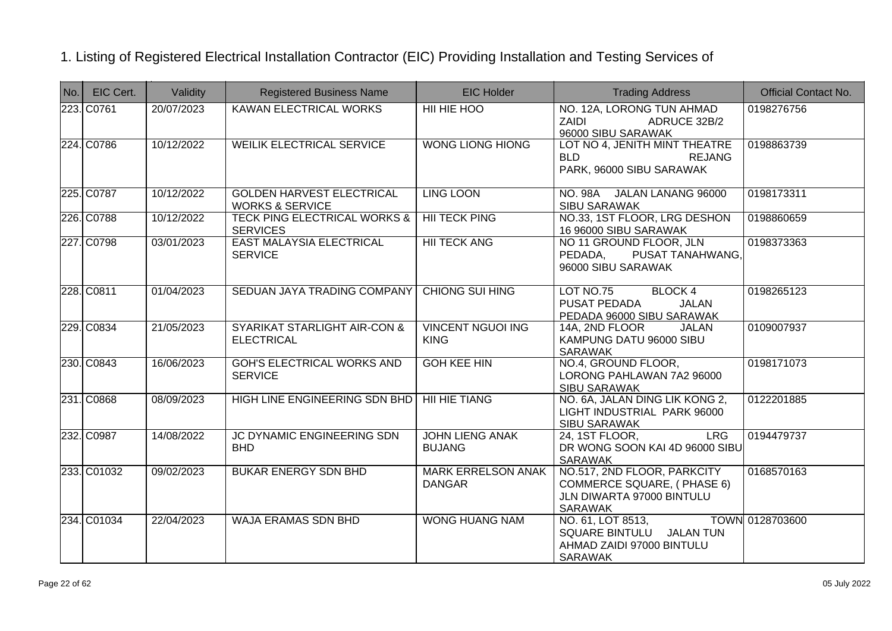| No. | EIC Cert.   | Validity                | <b>Registered Business Name</b>                                | <b>EIC Holder</b>                          | <b>Trading Address</b>                                                                                   | <b>Official Contact No.</b> |
|-----|-------------|-------------------------|----------------------------------------------------------------|--------------------------------------------|----------------------------------------------------------------------------------------------------------|-----------------------------|
|     | 223. C0761  | 20/07/2023              | <b>KAWAN ELECTRICAL WORKS</b>                                  | HII HIE HOO                                | NO. 12A, LORONG TUN AHMAD<br><b>ZAIDI</b><br>ADRUCE 32B/2<br>96000 SIBU SARAWAK                          | 0198276756                  |
|     | 224. C0786  | 10/12/2022              | <b>WEILIK ELECTRICAL SERVICE</b>                               | <b>WONG LIONG HIONG</b>                    | LOT NO 4, JENITH MINT THEATRE<br><b>BLD</b><br><b>REJANG</b><br>PARK, 96000 SIBU SARAWAK                 | 0198863739                  |
|     | 225. C0787  | 10/12/2022              | <b>GOLDEN HARVEST ELECTRICAL</b><br><b>WORKS &amp; SERVICE</b> | <b>LING LOON</b>                           | NO. 98A JALAN LANANG 96000<br><b>SIBU SARAWAK</b>                                                        | 0198173311                  |
|     | 226. C0788  | 10/12/2022              | <b>TECK PING ELECTRICAL WORKS &amp;</b><br><b>SERVICES</b>     | <b>HII TECK PING</b>                       | NO.33, 1ST FLOOR, LRG DESHON<br>16 96000 SIBU SARAWAK                                                    | 0198860659                  |
|     | 227. C0798  | $\overline{03/01}/2023$ | EAST MALAYSIA ELECTRICAL<br><b>SERVICE</b>                     | <b>HII TECK ANG</b>                        | NO 11 GROUND FLOOR, JLN<br>PEDADA, PUSAT TANAHWANG,<br>96000 SIBU SARAWAK                                | 0198373363                  |
|     | 228. C0811  | 01/04/2023              | SEDUAN JAYA TRADING COMPANY                                    | <b>CHIONG SUI HING</b>                     | LOT NO.75<br><b>BLOCK 4</b><br>PUSAT PEDADA<br><b>JALAN</b><br>PEDADA 96000 SIBU SARAWAK                 | 0198265123                  |
|     | 229. C0834  | 21/05/2023              | <b>SYARIKAT STARLIGHT AIR-CON &amp;</b><br><b>ELECTRICAL</b>   | <b>VINCENT NGUOI ING</b><br><b>KING</b>    | 14A, 2ND FLOOR<br><b>JALAN</b><br>KAMPUNG DATU 96000 SIBU<br>SARAWAK                                     | 0109007937                  |
|     | 230. C0843  | 16/06/2023              | <b>GOH'S ELECTRICAL WORKS AND</b><br><b>SERVICE</b>            | <b>GOH KEE HIN</b>                         | NO.4, GROUND FLOOR,<br>LORONG PAHLAWAN 7A2 96000<br><b>SIBU SARAWAK</b>                                  | 0198171073                  |
|     | 231. C0868  | 08/09/2023              | HIGH LINE ENGINEERING SDN BHD                                  | <b>HII HIE TIANG</b>                       | NO. 6A, JALAN DING LIK KONG 2,<br>LIGHT INDUSTRIAL PARK 96000<br><b>SIBU SARAWAK</b>                     | 0122201885                  |
|     | 232. C0987  | 14/08/2022              | JC DYNAMIC ENGINEERING SDN<br><b>BHD</b>                       | <b>JOHN LIENG ANAK</b><br><b>BUJANG</b>    | 24, 1ST FLOOR,<br><b>LRG</b><br>DR WONG SOON KAI 4D 96000 SIBU<br><b>SARAWAK</b>                         | 0194479737                  |
|     | 233. C01032 | 09/02/2023              | <b>BUKAR ENERGY SDN BHD</b>                                    | <b>MARK ERRELSON ANAK</b><br><b>DANGAR</b> | NO.517, 2ND FLOOR, PARKCITY<br>COMMERCE SQUARE, (PHASE 6)<br>JLN DIWARTA 97000 BINTULU<br><b>SARAWAK</b> | 0168570163                  |
|     | 234. C01034 | 22/04/2023              | <b>WAJA ERAMAS SDN BHD</b>                                     | <b>WONG HUANG NAM</b>                      | NO. 61, LOT 8513,<br>SQUARE BINTULU JALAN TUN<br>AHMAD ZAIDI 97000 BINTULU<br><b>SARAWAK</b>             | TOWN 0128703600             |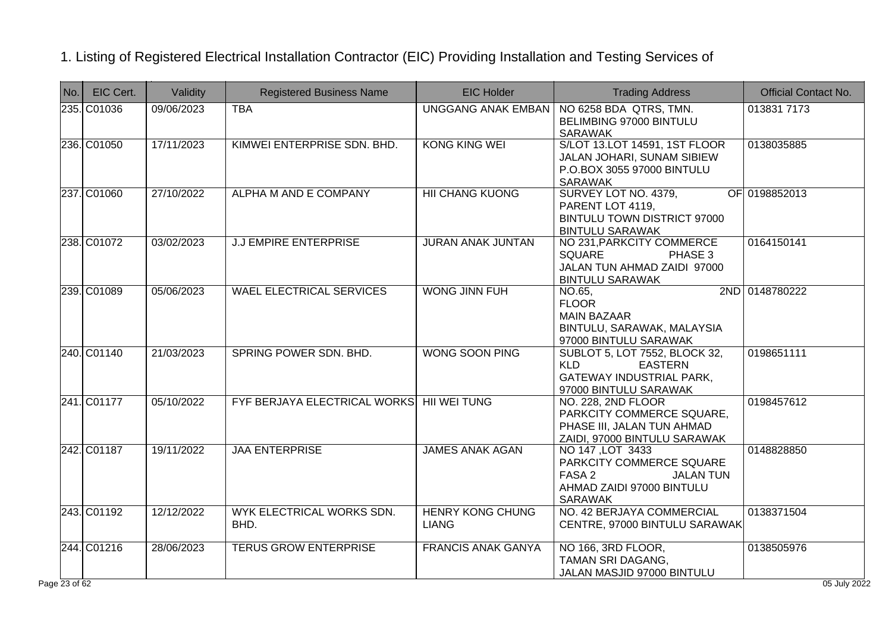| No.                      | EIC Cert.   | Validity   | <b>Registered Business Name</b>           | <b>EIC Holder</b>                       | <b>Trading Address</b>                                                                                                           | <b>Official Contact No.</b> |
|--------------------------|-------------|------------|-------------------------------------------|-----------------------------------------|----------------------------------------------------------------------------------------------------------------------------------|-----------------------------|
|                          | 235. C01036 | 09/06/2023 | <b>TBA</b>                                |                                         | UNGGANG ANAK EMBAN   NO 6258 BDA QTRS, TMN.<br>BELIMBING 97000 BINTULU<br><b>SARAWAK</b>                                         | 013831 7173                 |
|                          | 236. C01050 | 17/11/2023 | KIMWEI ENTERPRISE SDN. BHD.               | <b>KONG KING WEI</b>                    | S/LOT 13.LOT 14591, 1ST FLOOR<br>JALAN JOHARI, SUNAM SIBIEW<br>P.O.BOX 3055 97000 BINTULU<br><b>SARAWAK</b>                      | 0138035885                  |
|                          | 237. C01060 | 27/10/2022 | <b>ALPHA M AND E COMPANY</b>              | <b>HII CHANG KUONG</b>                  | SURVEY LOT NO. 4379,<br>PARENT LOT 4119,<br><b>BINTULU TOWN DISTRICT 97000</b><br><b>BINTULU SARAWAK</b>                         | OF 0198852013               |
|                          | 238. C01072 | 03/02/2023 | <b>J.J EMPIRE ENTERPRISE</b>              | <b>JURAN ANAK JUNTAN</b>                | NO 231, PARKCITY COMMERCE<br><b>SQUARE</b><br>PHASE 3<br>JALAN TUN AHMAD ZAIDI 97000<br><b>BINTULU SARAWAK</b>                   | 0164150141                  |
|                          | 239. C01089 | 05/06/2023 | <b>WAEL ELECTRICAL SERVICES</b>           | <b>WONG JINN FUH</b>                    | NO.65,<br><b>FLOOR</b><br><b>MAIN BAZAAR</b><br>BINTULU, SARAWAK, MALAYSIA<br>97000 BINTULU SARAWAK                              | 2ND 0148780222              |
|                          | 240. C01140 | 21/03/2023 | SPRING POWER SDN, BHD.                    | <b>WONG SOON PING</b>                   | <b>SUBLOT 5, LOT 7552, BLOCK 32,</b><br><b>KLD</b><br><b>EASTERN</b><br><b>GATEWAY INDUSTRIAL PARK,</b><br>97000 BINTULU SARAWAK | 0198651111                  |
|                          | 241. C01177 | 05/10/2022 | FYF BERJAYA ELECTRICAL WORKS HII WEI TUNG |                                         | NO. 228, 2ND FLOOR<br>PARKCITY COMMERCE SQUARE,<br>PHASE III, JALAN TUN AHMAD<br>ZAIDI, 97000 BINTULU SARAWAK                    | 0198457612                  |
|                          | 242. C01187 | 19/11/2022 | <b>JAA ENTERPRISE</b>                     | <b>JAMES ANAK AGAN</b>                  | NO 147, LOT 3433<br>PARKCITY COMMERCE SQUARE<br>FASA 2<br><b>JALAN TUN</b><br>AHMAD ZAIDI 97000 BINTULU<br><b>SARAWAK</b>        | 0148828850                  |
|                          | 243. C01192 | 12/12/2022 | WYK ELECTRICAL WORKS SDN.<br>BHD.         | <b>HENRY KONG CHUNG</b><br><b>LIANG</b> | NO. 42 BERJAYA COMMERCIAL<br>CENTRE, 97000 BINTULU SARAWAK                                                                       | 0138371504                  |
|                          | 244. C01216 | 28/06/2023 | <b>TERUS GROW ENTERPRISE</b>              | <b>FRANCIS ANAK GANYA</b>               | NO 166, 3RD FLOOR,<br>TAMAN SRI DAGANG,<br>JALAN MASJID 97000 BINTULU                                                            | 0138505976                  |
| $e\overline{23}$ of $62$ |             |            |                                           |                                         |                                                                                                                                  | 05 July 2022                |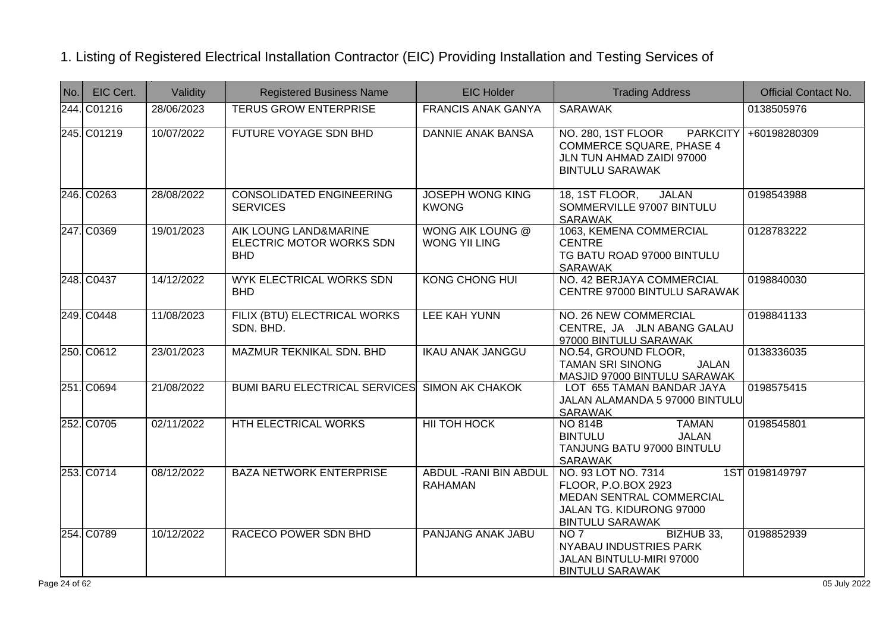| No. | EIC Cert.   | Validity   | <b>Registered Business Name</b>                                 | <b>EIC Holder</b>                               | <b>Trading Address</b>                                                                                                          | <b>Official Contact No.</b> |
|-----|-------------|------------|-----------------------------------------------------------------|-------------------------------------------------|---------------------------------------------------------------------------------------------------------------------------------|-----------------------------|
|     | 244. C01216 | 28/06/2023 | <b>TERUS GROW ENTERPRISE</b>                                    | <b>FRANCIS ANAK GANYA</b>                       | <b>SARAWAK</b>                                                                                                                  | 0138505976                  |
|     | 245. C01219 | 10/07/2022 | <b>FUTURE VOYAGE SDN BHD</b>                                    | <b>DANNIE ANAK BANSA</b>                        | NO. 280, 1ST FLOOR<br><b>PARKCITY</b><br><b>COMMERCE SQUARE, PHASE 4</b><br>JLN TUN AHMAD ZAIDI 97000<br><b>BINTULU SARAWAK</b> | +60198280309                |
|     | 246. C0263  | 28/08/2022 | <b>CONSOLIDATED ENGINEERING</b><br><b>SERVICES</b>              | <b>JOSEPH WONG KING</b><br><b>KWONG</b>         | 18, 1ST FLOOR,<br><b>JALAN</b><br>SOMMERVILLE 97007 BINTULU<br><b>SARAWAK</b>                                                   | 0198543988                  |
|     | 247. C0369  | 19/01/2023 | AIK LOUNG LAND&MARINE<br>ELECTRIC MOTOR WORKS SDN<br><b>BHD</b> | <b>WONG AIK LOUNG @</b><br><b>WONG YII LING</b> | 1063, KEMENA COMMERCIAL<br><b>CENTRE</b><br>TG BATU ROAD 97000 BINTULU<br><b>SARAWAK</b>                                        | 0128783222                  |
|     | 248. C0437  | 14/12/2022 | <b>WYK ELECTRICAL WORKS SDN</b><br><b>BHD</b>                   | <b>KONG CHONG HUI</b>                           | NO. 42 BERJAYA COMMERCIAL<br>CENTRE 97000 BINTULU SARAWAK                                                                       | 0198840030                  |
|     | 249. C0448  | 11/08/2023 | FILIX (BTU) ELECTRICAL WORKS<br>SDN. BHD.                       | <b>LEE KAH YUNN</b>                             | NO. 26 NEW COMMERCIAL<br>CENTRE, JA JLN ABANG GALAU<br>97000 BINTULU SARAWAK                                                    | 0198841133                  |
|     | 250. C0612  | 23/01/2023 | MAZMUR TEKNIKAL SDN. BHD                                        | <b>IKAU ANAK JANGGU</b>                         | NO.54, GROUND FLOOR,<br><b>TAMAN SRI SINONG</b><br><b>JALAN</b><br>MASJID 97000 BINTULU SARAWAK                                 | 0138336035                  |
|     | 251. C0694  | 21/08/2022 | <b>BUMI BARU ELECTRICAL SERVICES</b>                            | <b>SIMON AK CHAKOK</b>                          | LOT 655 TAMAN BANDAR JAYA<br>JALAN ALAMANDA 5 97000 BINTULU<br><b>SARAWAK</b>                                                   | 0198575415                  |
|     | 252. C0705  | 02/11/2022 | HTH ELECTRICAL WORKS                                            | <b>HII TOH HOCK</b>                             | <b>TAMAN</b><br><b>NO 814B</b><br><b>BINTULU</b><br><b>JALAN</b><br>TANJUNG BATU 97000 BINTULU<br>SARAWAK                       | 0198545801                  |
|     | 253. C0714  | 08/12/2022 | <b>BAZA NETWORK ENTERPRISE</b>                                  | <b>ABDUL - RANI BIN ABDUL</b><br><b>RAHAMAN</b> | NO. 93 LOT NO. 7314<br>FLOOR, P.O.BOX 2923<br>MEDAN SENTRAL COMMERCIAL<br>JALAN TG. KIDURONG 97000<br><b>BINTULU SARAWAK</b>    | 1ST 0198149797              |
|     | 254. C0789  | 10/12/2022 | RACECO POWER SDN BHD                                            | <b>PANJANG ANAK JABU</b>                        | NO 7<br>BIZHUB 33,<br>NYABAU INDUSTRIES PARK<br>JALAN BINTULU-MIRI 97000<br><b>BINTULU SARAWAK</b>                              | 0198852939                  |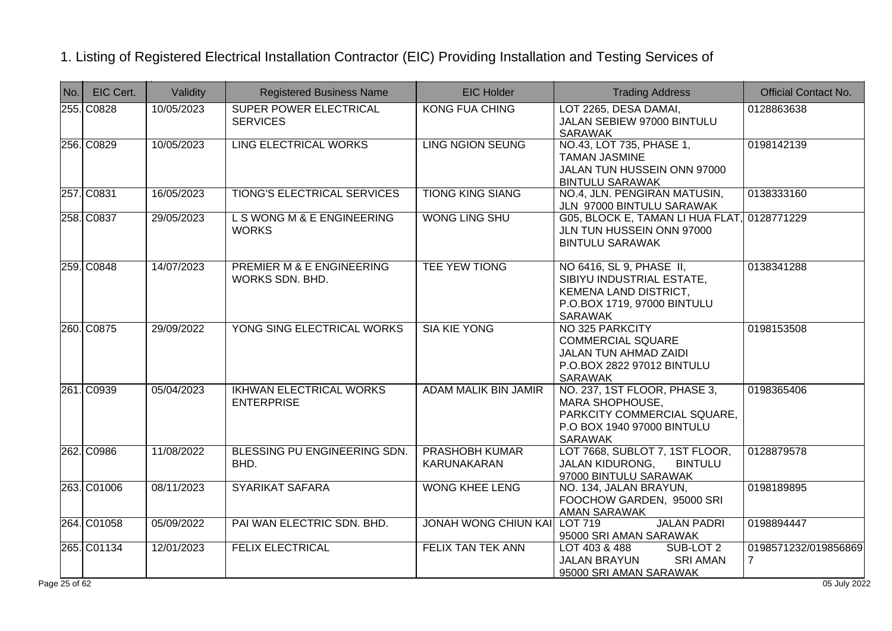| No. | EIC Cert.   | Validity   | <b>Registered Business Name</b>                         | <b>EIC Holder</b>                           | <b>Trading Address</b>                                                                                                          | <b>Official Contact No.</b>            |
|-----|-------------|------------|---------------------------------------------------------|---------------------------------------------|---------------------------------------------------------------------------------------------------------------------------------|----------------------------------------|
|     | 255. C0828  | 10/05/2023 | <b>SUPER POWER ELECTRICAL</b><br><b>SERVICES</b>        | <b>KONG FUA CHING</b>                       | LOT 2265, DESA DAMAI,<br>JALAN SEBIEW 97000 BINTULU<br><b>SARAWAK</b>                                                           | 0128863638                             |
|     | 256. C0829  | 10/05/2023 | <b>LING ELECTRICAL WORKS</b>                            | <b>LING NGION SEUNG</b>                     | NO.43, LOT 735, PHASE 1.<br><b>TAMAN JASMINE</b><br>JALAN TUN HUSSEIN ONN 97000<br><b>BINTULU SARAWAK</b>                       | 0198142139                             |
|     | 257. C0831  | 16/05/2023 | <b>TIONG'S ELECTRICAL SERVICES</b>                      | <b>TIONG KING SIANG</b>                     | NO.4, JLN. PENGIRAN MATUSIN,<br>JLN 97000 BINTULU SARAWAK                                                                       | 0138333160                             |
|     | 258. C0837  | 29/05/2023 | L S WONG M & E ENGINEERING<br><b>WORKS</b>              | <b>WONG LING SHU</b>                        | G05, BLOCK E, TAMAN LI HUA FLAT,<br>JLN TUN HUSSEIN ONN 97000<br><b>BINTULU SARAWAK</b>                                         | 0128771229                             |
|     | 259. C0848  | 14/07/2023 | <b>PREMIER M &amp; E ENGINEERING</b><br>WORKS SDN. BHD. | <b>TEE YEW TIONG</b>                        | NO 6416, SL 9, PHASE II,<br>SIBIYU INDUSTRIAL ESTATE,<br>KEMENA LAND DISTRICT,<br>P.O.BOX 1719, 97000 BINTULU<br><b>SARAWAK</b> | 0138341288                             |
|     | 260. C0875  | 29/09/2022 | YONG SING ELECTRICAL WORKS                              | <b>SIA KIE YONG</b>                         | NO 325 PARKCITY<br><b>COMMERCIAL SQUARE</b><br>JALAN TUN AHMAD ZAIDI<br>P.O.BOX 2822 97012 BINTULU<br><b>SARAWAK</b>            | 0198153508                             |
|     | 261. C0939  | 05/04/2023 | <b>IKHWAN ELECTRICAL WORKS</b><br><b>ENTERPRISE</b>     | <b>ADAM MALIK BIN JAMIR</b>                 | NO. 237, 1ST FLOOR, PHASE 3,<br>MARA SHOPHOUSE,<br>PARKCITY COMMERCIAL SQUARE,<br>P.O BOX 1940 97000 BINTULU<br><b>SARAWAK</b>  | 0198365406                             |
|     | 262. C0986  | 11/08/2022 | BLESSING PU ENGINEERING SDN.<br>BHD.                    | <b>PRASHOBH KUMAR</b><br><b>KARUNAKARAN</b> | LOT 7668, SUBLOT 7, 1ST FLOOR,<br><b>JALAN KIDURONG,</b><br><b>BINTULU</b><br>97000 BINTULU SARAWAK                             | 0128879578                             |
|     | 263. C01006 | 08/11/2023 | <b>SYARIKAT SAFARA</b>                                  | <b>WONG KHEE LENG</b>                       | NO. 134, JALAN BRAYUN,<br>FOOCHOW GARDEN, 95000 SRI<br><b>AMAN SARAWAK</b>                                                      | 0198189895                             |
|     | 264. C01058 | 05/09/2022 | PAI WAN ELECTRIC SDN. BHD.                              | <b>JONAH WONG CHIUN KAI</b>                 | <b>JALAN PADRI</b><br>LOT 719<br>95000 SRI AMAN SARAWAK                                                                         | 0198894447                             |
|     | 265. C01134 | 12/01/2023 | <b>FELIX ELECTRICAL</b>                                 | FELIX TAN TEK ANN                           | LOT 403 & 488<br>SUB-LOT 2<br><b>JALAN BRAYUN</b><br><b>SRI AMAN</b><br>95000 SRI AMAN SARAWAK                                  | 0198571232/019856869<br>$\overline{7}$ |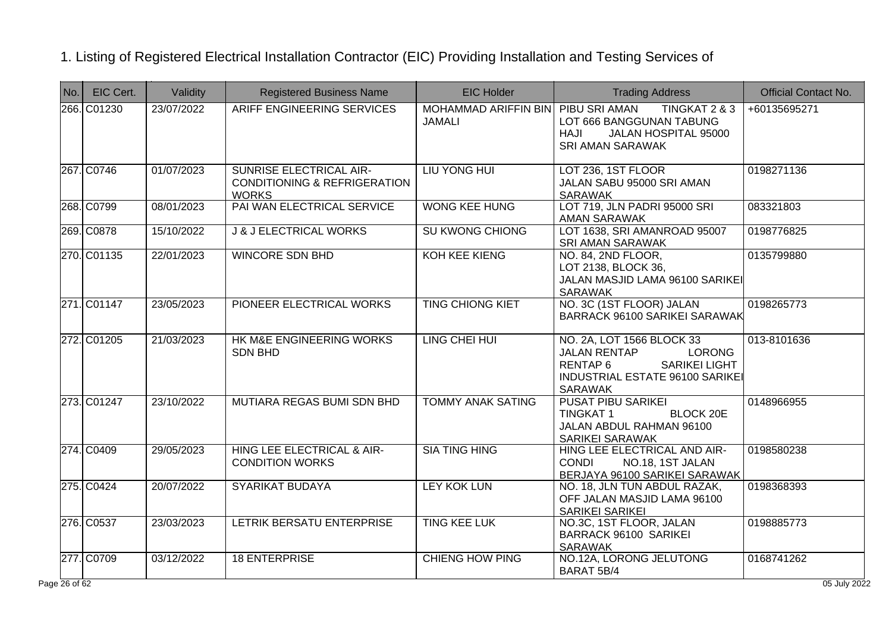| No.                      | EIC Cert.   | Validity   | <b>Registered Business Name</b>                                                           | <b>EIC Holder</b>                                   | <b>Trading Address</b>                                                                                                                                          | <b>Official Contact No.</b> |
|--------------------------|-------------|------------|-------------------------------------------------------------------------------------------|-----------------------------------------------------|-----------------------------------------------------------------------------------------------------------------------------------------------------------------|-----------------------------|
|                          | 266. C01230 | 23/07/2022 | <b>ARIFF ENGINEERING SERVICES</b>                                                         | MOHAMMAD ARIFFIN BIN PIBU SRI AMAN<br><b>JAMALI</b> | TINGKAT 2 & 3<br>LOT 666 BANGGUNAN TABUNG<br>HAJI<br>JALAN HOSPITAL 95000<br><b>SRI AMAN SARAWAK</b>                                                            | +60135695271                |
|                          | 267. C0746  | 01/07/2023 | <b>SUNRISE ELECTRICAL AIR-</b><br><b>CONDITIONING &amp; REFRIGERATION</b><br><b>WORKS</b> | LIU YONG HUI                                        | LOT 236, 1ST FLOOR<br>JALAN SABU 95000 SRI AMAN<br><b>SARAWAK</b>                                                                                               | 0198271136                  |
|                          | 268. C0799  | 08/01/2023 | PAI WAN ELECTRICAL SERVICE                                                                | <b>WONG KEE HUNG</b>                                | LOT 719, JLN PADRI 95000 SRI<br>AMAN SARAWAK                                                                                                                    | 083321803                   |
|                          | 269. C0878  | 15/10/2022 | <b>J &amp; J ELECTRICAL WORKS</b>                                                         | <b>SU KWONG CHIONG</b>                              | LOT 1638, SRI AMANROAD 95007<br><b>SRI AMAN SARAWAK</b>                                                                                                         | 0198776825                  |
|                          | 270. C01135 | 22/01/2023 | <b>WINCORE SDN BHD</b>                                                                    | <b>KOH KEE KIENG</b>                                | NO. 84, 2ND FLOOR,<br>LOT 2138, BLOCK 36,<br>JALAN MASJID LAMA 96100 SARIKEI<br><b>SARAWAK</b>                                                                  | 0135799880                  |
|                          | 271. C01147 | 23/05/2023 | PIONEER ELECTRICAL WORKS                                                                  | <b>TING CHIONG KIET</b>                             | NO. 3C (1ST FLOOR) JALAN<br>BARRACK 96100 SARIKEI SARAWAK                                                                                                       | 0198265773                  |
|                          | 272. C01205 | 21/03/2023 | HK M&E ENGINEERING WORKS<br><b>SDN BHD</b>                                                | LING CHEI HUI                                       | NO. 2A, LOT 1566 BLOCK 33<br><b>LORONG</b><br><b>JALAN RENTAP</b><br><b>SARIKEI LIGHT</b><br><b>RENTAP6</b><br>INDUSTRIAL ESTATE 96100 SARIKE<br><b>SARAWAK</b> | 013-8101636                 |
|                          | 273. C01247 | 23/10/2022 | MUTIARA REGAS BUMI SDN BHD                                                                | <b>TOMMY ANAK SATING</b>                            | <b>PUSAT PIBU SARIKEI</b><br><b>TINGKAT1</b><br><b>BLOCK 20E</b><br>JALAN ABDUL RAHMAN 96100<br><b>SARIKEI SARAWAK</b>                                          | 0148966955                  |
|                          | 274. C0409  | 29/05/2023 | HING LEE ELECTRICAL & AIR-<br><b>CONDITION WORKS</b>                                      | <b>SIA TING HING</b>                                | HING LEE ELECTRICAL AND AIR-<br><b>CONDI</b><br>NO.18, 1ST JALAN<br>BERJAYA 96100 SARIKEI SARAWAK                                                               | 0198580238                  |
|                          | 275. C0424  | 20/07/2022 | <b>SYARIKAT BUDAYA</b>                                                                    | LEY KOK LUN                                         | NO. 18, JLN TUN ABDUL RAZAK,<br>OFF JALAN MASJID LAMA 96100<br>SARIKEI SARIKEI                                                                                  | 0198368393                  |
|                          | 276. C0537  | 23/03/2023 | LETRIK BERSATU ENTERPRISE                                                                 | <b>TING KEE LUK</b>                                 | NO.3C, 1ST FLOOR, JALAN<br><b>BARRACK 96100 SARIKEI</b><br><b>SARAWAK</b>                                                                                       | 0198885773                  |
|                          | 277. C0709  | 03/12/2022 | <b>18 ENTERPRISE</b>                                                                      | <b>CHIENG HOW PING</b>                              | NO.12A, LORONG JELUTONG<br>BARAT 5B/4                                                                                                                           | 0168741262                  |
| $e\overline{26}$ of $62$ |             |            |                                                                                           |                                                     |                                                                                                                                                                 | 05 July 2022                |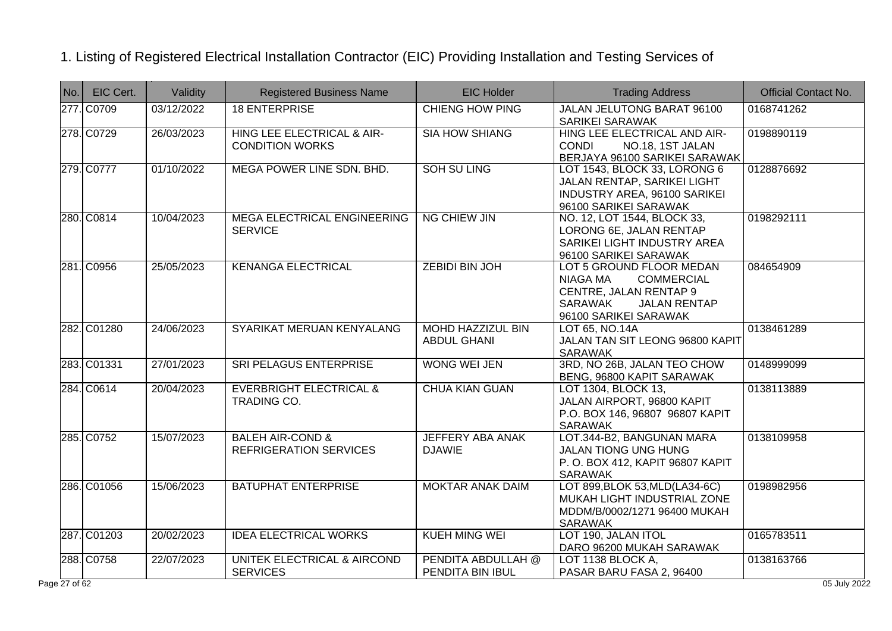| No. | EIC Cert.   | Validity   | <b>Registered Business Name</b>                              | <b>EIC Holder</b>                              | <b>Trading Address</b>                                                                                                                                | <b>Official Contact No.</b> |
|-----|-------------|------------|--------------------------------------------------------------|------------------------------------------------|-------------------------------------------------------------------------------------------------------------------------------------------------------|-----------------------------|
|     | 277. C0709  | 03/12/2022 | <b>18 ENTERPRISE</b>                                         | <b>CHIENG HOW PING</b>                         | JALAN JELUTONG BARAT 96100<br>SARIKEI SARAWAK                                                                                                         | 0168741262                  |
|     | 278. C0729  | 26/03/2023 | HING LEE ELECTRICAL & AIR-<br><b>CONDITION WORKS</b>         | <b>SIA HOW SHIANG</b>                          | HING LEE ELECTRICAL AND AIR-<br><b>CONDI</b><br>NO.18, 1ST JALAN<br>BERJAYA 96100 SARIKEI SARAWAK                                                     | 0198890119                  |
|     | 279. C0777  | 01/10/2022 | MEGA POWER LINE SDN. BHD.                                    | <b>SOH SU LING</b>                             | LOT 1543, BLOCK 33, LORONG 6<br>JALAN RENTAP, SARIKEI LIGHT<br><b>INDUSTRY AREA, 96100 SARIKEI</b><br>96100 SARIKEI SARAWAK                           | 0128876692                  |
|     | 280. C0814  | 10/04/2023 | <b>MEGA ELECTRICAL ENGINEERING</b><br><b>SERVICE</b>         | <b>NG CHIEW JIN</b>                            | NO. 12, LOT 1544, BLOCK 33,<br>LORONG 6E, JALAN RENTAP<br>SARIKEI LIGHT INDUSTRY AREA<br>96100 SARIKEI SARAWAK                                        | 0198292111                  |
|     | 281. C0956  | 25/05/2023 | <b>KENANGA ELECTRICAL</b>                                    | <b>ZEBIDI BIN JOH</b>                          | LOT 5 GROUND FLOOR MEDAN<br>NIAGA MA<br><b>COMMERCIAL</b><br>CENTRE, JALAN RENTAP 9<br><b>SARAWAK</b><br><b>JALAN RENTAP</b><br>96100 SARIKEI SARAWAK | 084654909                   |
|     | 282. C01280 | 24/06/2023 | SYARIKAT MERUAN KENYALANG                                    | <b>MOHD HAZZIZUL BIN</b><br><b>ABDUL GHANI</b> | LOT 65, NO.14A<br>JALAN TAN SIT LEONG 96800 KAPIT<br><b>SARAWAK</b>                                                                                   | 0138461289                  |
|     | 283. C01331 | 27/01/2023 | <b>SRI PELAGUS ENTERPRISE</b>                                | <b>WONG WEI JEN</b>                            | 3RD, NO 26B, JALAN TEO CHOW<br>BENG, 96800 KAPIT SARAWAK                                                                                              | 0148999099                  |
|     | 284. C0614  | 20/04/2023 | <b>EVERBRIGHT ELECTRICAL &amp;</b><br>TRADING CO.            | <b>CHUA KIAN GUAN</b>                          | LOT 1304, BLOCK 13,<br>JALAN AIRPORT, 96800 KAPIT<br>P.O. BOX 146, 96807 96807 KAPIT<br><b>SARAWAK</b>                                                | 0138113889                  |
|     | 285. C0752  | 15/07/2023 | <b>BALEH AIR-COND &amp;</b><br><b>REFRIGERATION SERVICES</b> | <b>JEFFERY ABA ANAK</b><br><b>DJAWIE</b>       | LOT.344-B2, BANGUNAN MARA<br>JALAN TIONG UNG HUNG<br>P. O. BOX 412, KAPIT 96807 KAPIT<br><b>SARAWAK</b>                                               | 0138109958                  |
|     | 286. C01056 | 15/06/2023 | <b>BATUPHAT ENTERPRISE</b>                                   | <b>MOKTAR ANAK DAIM</b>                        | LOT 899, BLOK 53, MLD (LA34-6C)<br>MUKAH LIGHT INDUSTRIAL ZONE<br>MDDM/B/0002/1271 96400 MUKAH<br><b>SARAWAK</b>                                      | 0198982956                  |
|     | 287. C01203 | 20/02/2023 | <b>IDEA ELECTRICAL WORKS</b>                                 | <b>KUEH MING WEI</b>                           | LOT 190, JALAN ITOL<br>DARO 96200 MUKAH SARAWAK                                                                                                       | 0165783511                  |
|     | 288. C0758  | 22/07/2023 | <b>UNITEK ELECTRICAL &amp; AIRCOND</b><br><b>SERVICES</b>    | <b>PENDITA ABDULLAH @</b><br>PENDITA BIN IBUL  | LOT 1138 BLOCK A,<br>PASAR BARU FASA 2, 96400                                                                                                         | 0138163766                  |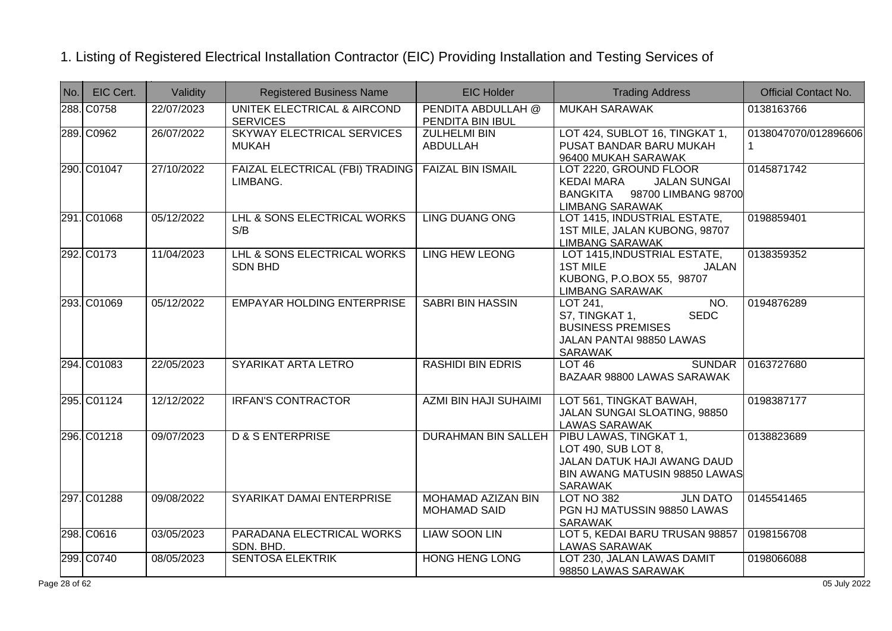| No. | EIC Cert.   | Validity   | <b>Registered Business Name</b>                | <b>EIC Holder</b>                                | <b>Trading Address</b>                                                                                                       | <b>Official Contact No.</b>         |
|-----|-------------|------------|------------------------------------------------|--------------------------------------------------|------------------------------------------------------------------------------------------------------------------------------|-------------------------------------|
|     | 288. C0758  | 22/07/2023 | UNITEK ELECTRICAL & AIRCOND<br><b>SERVICES</b> | PENDITA ABDULLAH @<br>PENDITA BIN IBUL           | <b>MUKAH SARAWAK</b>                                                                                                         | 0138163766                          |
|     | 289. C0962  | 26/07/2022 | SKYWAY ELECTRICAL SERVICES<br><b>MUKAH</b>     | <b>ZULHELMI BIN</b><br>ABDULLAH                  | LOT 424, SUBLOT 16, TINGKAT 1,<br>PUSAT BANDAR BARU MUKAH<br>96400 MUKAH SARAWAK                                             | 0138047070/012896606<br>$\mathbf 1$ |
|     | 290. C01047 | 27/10/2022 | FAIZAL ELECTRICAL (FBI) TRADING<br>LIMBANG.    | <b>FAIZAL BIN ISMAIL</b>                         | LOT 2220, GROUND FLOOR<br><b>KEDAI MARA</b><br><b>JALAN SUNGAI</b><br>BANGKITA 98700 LIMBANG 98700<br><b>LIMBANG SARAWAK</b> | 0145871742                          |
|     | 291. C01068 | 05/12/2022 | LHL & SONS ELECTRICAL WORKS<br>S/B             | <b>LING DUANG ONG</b>                            | LOT 1415, INDUSTRIAL ESTATE,<br>1ST MILE, JALAN KUBONG, 98707<br><b>LIMBANG SARAWAK</b>                                      | 0198859401                          |
|     | 292. C0173  | 11/04/2023 | LHL & SONS ELECTRICAL WORKS<br><b>SDN BHD</b>  | <b>LING HEW LEONG</b>                            | LOT 1415, INDUSTRIAL ESTATE,<br><b>1ST MILE</b><br><b>JALAN</b><br>KUBONG, P.O.BOX 55, 98707<br><b>LIMBANG SARAWAK</b>       | 0138359352                          |
|     | 293. C01069 | 05/12/2022 | <b>EMPAYAR HOLDING ENTERPRISE</b>              | <b>SABRI BIN HASSIN</b>                          | LOT 241,<br>NO.<br><b>SEDC</b><br>S7, TINGKAT 1,<br><b>BUSINESS PREMISES</b><br>JALAN PANTAI 98850 LAWAS<br>SARAWAK          | 0194876289                          |
|     | 294. C01083 | 22/05/2023 | SYARIKAT ARTA LETRO                            | <b>RASHIDI BIN EDRIS</b>                         | <b>SUNDAR</b><br>LOT46<br>BAZAAR 98800 LAWAS SARAWAK                                                                         | 0163727680                          |
|     | 295. C01124 | 12/12/2022 | <b>IRFAN'S CONTRACTOR</b>                      | <b>AZMI BIN HAJI SUHAIMI</b>                     | LOT 561, TINGKAT BAWAH,<br>JALAN SUNGAI SLOATING, 98850<br><b>LAWAS SARAWAK</b>                                              | 0198387177                          |
|     | 296. C01218 | 09/07/2023 | <b>D &amp; S ENTERPRISE</b>                    | <b>DURAHMAN BIN SALLEH</b>                       | PIBU LAWAS, TINGKAT 1,<br>LOT 490, SUB LOT 8,<br>JALAN DATUK HAJI AWANG DAUD<br>BIN AWANG MATUSIN 98850 LAWAS<br>SARAWAK     | 0138823689                          |
|     | 297. C01288 | 09/08/2022 | SYARIKAT DAMAI ENTERPRISE                      | <b>MOHAMAD AZIZAN BIN</b><br><b>MOHAMAD SAID</b> | <b>JLN DATO</b><br><b>LOT NO 382</b><br>PGN HJ MATUSSIN 98850 LAWAS<br><b>SARAWAK</b>                                        | 0145541465                          |
|     | 298. C0616  | 03/05/2023 | PARADANA ELECTRICAL WORKS<br>SDN. BHD.         | <b>LIAW SOON LIN</b>                             | LOT 5, KEDAI BARU TRUSAN 98857<br><b>LAWAS SARAWAK</b>                                                                       | 0198156708                          |
|     | 299. C0740  | 08/05/2023 | <b>SENTOSA ELEKTRIK</b>                        | <b>HONG HENG LONG</b>                            | LOT 230, JALAN LAWAS DAMIT<br>98850 LAWAS SARAWAK                                                                            | 0198066088                          |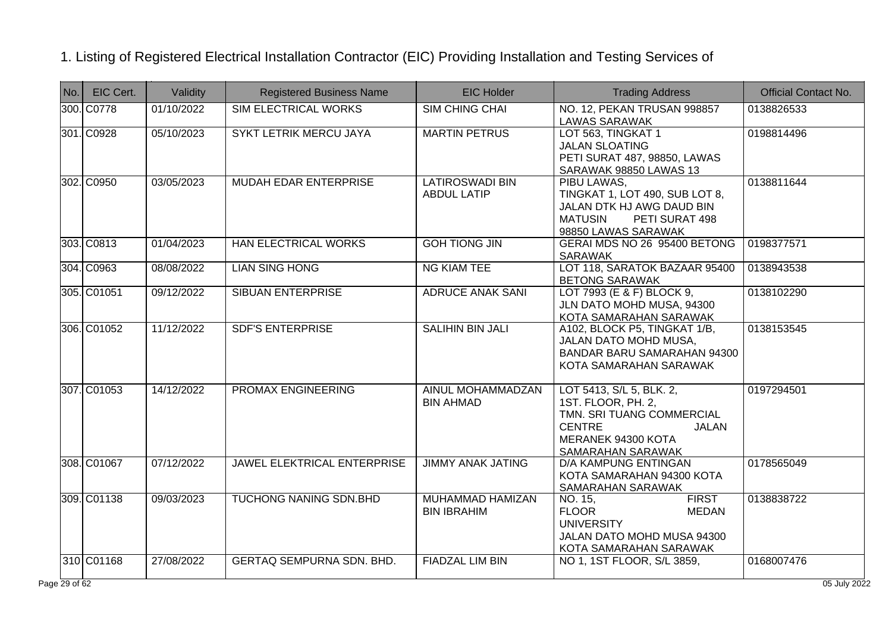| No. | EIC Cert.   | Validity   | <b>Registered Business Name</b> | <b>EIC Holder</b>                             | <b>Trading Address</b>                                                                                                                           | <b>Official Contact No.</b> |
|-----|-------------|------------|---------------------------------|-----------------------------------------------|--------------------------------------------------------------------------------------------------------------------------------------------------|-----------------------------|
|     | 300. C0778  | 01/10/2022 | <b>SIM ELECTRICAL WORKS</b>     | <b>SIM CHING CHAI</b>                         | NO. 12, PEKAN TRUSAN 998857<br><b>LAWAS SARAWAK</b>                                                                                              | 0138826533                  |
|     | 301. C0928  | 05/10/2023 | <b>SYKT LETRIK MERCU JAYA</b>   | <b>MARTIN PETRUS</b>                          | LOT 563, TINGKAT 1<br><b>JALAN SLOATING</b><br>PETI SURAT 487, 98850, LAWAS<br>SARAWAK 98850 LAWAS 13                                            | 0198814496                  |
|     | 302. C0950  | 03/05/2023 | MUDAH EDAR ENTERPRISE           | <b>LATIROSWADI BIN</b><br><b>ABDUL LATIP</b>  | PIBU LAWAS,<br>TINGKAT 1, LOT 490, SUB LOT 8,<br>JALAN DTK HJ AWG DAUD BIN<br><b>MATUSIN</b><br>PETI SURAT 498<br>98850 LAWAS SARAWAK            | 0138811644                  |
|     | 303. C0813  | 01/04/2023 | <b>HAN ELECTRICAL WORKS</b>     | <b>GOH TIONG JIN</b>                          | GERAI MDS NO 26 95400 BETONG<br><b>SARAWAK</b>                                                                                                   | 0198377571                  |
|     | 304. C0963  | 08/08/2022 | <b>LIAN SING HONG</b>           | <b>NG KIAM TEE</b>                            | LOT 118, SARATOK BAZAAR 95400<br><b>BETONG SARAWAK</b>                                                                                           | 0138943538                  |
|     | 305. C01051 | 09/12/2022 | <b>SIBUAN ENTERPRISE</b>        | <b>ADRUCE ANAK SANI</b>                       | LOT 7993 (E & F) BLOCK 9,<br>JLN DATO MOHD MUSA, 94300<br>KOTA SAMARAHAN SARAWAK                                                                 | 0138102290                  |
|     | 306. C01052 | 11/12/2022 | <b>SDF'S ENTERPRISE</b>         | <b>SALIHIN BIN JALI</b>                       | A102, BLOCK P5, TINGKAT 1/B,<br>JALAN DATO MOHD MUSA,<br>BANDAR BARU SAMARAHAN 94300<br>KOTA SAMARAHAN SARAWAK                                   | 0138153545                  |
|     | 307. C01053 | 14/12/2022 | <b>PROMAX ENGINEERING</b>       | AINUL MOHAMMADZAN<br><b>BIN AHMAD</b>         | LOT 5413, S/L 5, BLK. 2,<br>1ST. FLOOR, PH. 2,<br>TMN. SRI TUANG COMMERCIAL<br><b>CENTRE</b><br>JALAN<br>MERANEK 94300 KOTA<br>SAMARAHAN SARAWAK | 0197294501                  |
|     | 308. C01067 | 07/12/2022 | JAWEL ELEKTRICAL ENTERPRISE     | <b>JIMMY ANAK JATING</b>                      | <b>D/A KAMPUNG ENTINGAN</b><br>KOTA SAMARAHAN 94300 KOTA<br>SAMARAHAN SARAWAK                                                                    | 0178565049                  |
|     | 309. C01138 | 09/03/2023 | <b>TUCHONG NANING SDN.BHD</b>   | <b>MUHAMMAD HAMIZAN</b><br><b>BIN IBRAHIM</b> | <b>FIRST</b><br>NO. 15,<br><b>FLOOR</b><br><b>MEDAN</b><br><b>UNIVERSITY</b><br>JALAN DATO MOHD MUSA 94300<br>KOTA SAMARAHAN SARAWAK             | 0138838722                  |
|     | 310 C01168  | 27/08/2022 | GERTAQ SEMPURNA SDN. BHD.       | <b>FIADZAL LIM BIN</b>                        | NO 1, 1ST FLOOR, S/L 3859,                                                                                                                       | 0168007476                  |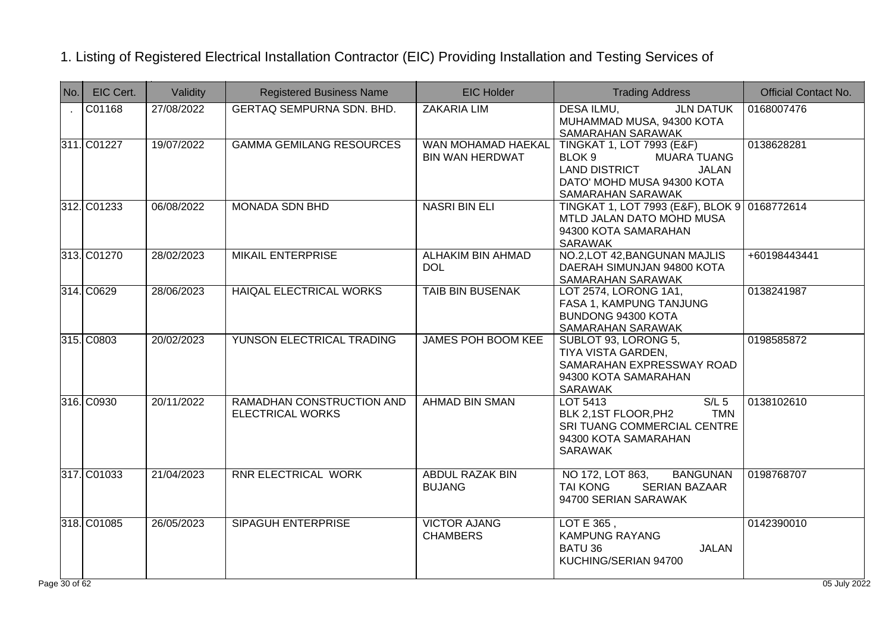| No.            | EIC Cert.   | Validity   | <b>Registered Business Name</b>                      | <b>EIC Holder</b>                            | <b>Trading Address</b>                                                                                                                                          | <b>Official Contact No.</b> |
|----------------|-------------|------------|------------------------------------------------------|----------------------------------------------|-----------------------------------------------------------------------------------------------------------------------------------------------------------------|-----------------------------|
| $\sim$         | C01168      | 27/08/2022 | <b>GERTAQ SEMPURNA SDN. BHD.</b>                     | <b>ZAKARIA LIM</b>                           | <b>DESA ILMU,</b><br><b>JLN DATUK</b><br>MUHAMMAD MUSA, 94300 KOTA<br>SAMARAHAN SARAWAK                                                                         | 0168007476                  |
|                | 311. C01227 | 19/07/2022 | <b>GAMMA GEMILANG RESOURCES</b>                      | WAN MOHAMAD HAEKAL<br><b>BIN WAN HERDWAT</b> | <b>TINGKAT 1, LOT 7993 (E&amp;F)</b><br>BLOK 9<br><b>MUARA TUANG</b><br><b>LAND DISTRICT</b><br><b>JALAN</b><br>DATO' MOHD MUSA 94300 KOTA<br>SAMARAHAN SARAWAK | 0138628281                  |
|                | 312. C01233 | 06/08/2022 | <b>MONADA SDN BHD</b>                                | <b>NASRI BIN ELI</b>                         | TINGKAT 1, LOT 7993 (E&F), BLOK 9 0168772614<br>MTLD JALAN DATO MOHD MUSA<br>94300 KOTA SAMARAHAN<br>SARAWAK                                                    |                             |
|                | 313. C01270 | 28/02/2023 | <b>MIKAIL ENTERPRISE</b>                             | <b>ALHAKIM BIN AHMAD</b><br><b>DOL</b>       | NO.2, LOT 42, BANGUNAN MAJLIS<br>DAERAH SIMUNJAN 94800 KOTA<br>SAMARAHAN SARAWAK                                                                                | +60198443441                |
|                | 314. C0629  | 28/06/2023 | <b>HAIQAL ELECTRICAL WORKS</b>                       | <b>TAIB BIN BUSENAK</b>                      | LOT 2574, LORONG 1A1,<br>FASA 1, KAMPUNG TANJUNG<br>BUNDONG 94300 KOTA<br>SAMARAHAN SARAWAK                                                                     | 0138241987                  |
|                | 315. C0803  | 20/02/2023 | YUNSON ELECTRICAL TRADING                            | <b>JAMES POH BOOM KEE</b>                    | SUBLOT 93, LORONG 5,<br>TIYA VISTA GARDEN,<br>SAMARAHAN EXPRESSWAY ROAD<br>94300 KOTA SAMARAHAN<br>SARAWAK                                                      | 0198585872                  |
|                | 316. C0930  | 20/11/2022 | RAMADHAN CONSTRUCTION AND<br><b>ELECTRICAL WORKS</b> | <b>AHMAD BIN SMAN</b>                        | $S/L$ 5<br>LOT 5413<br><b>TMN</b><br>BLK 2,1ST FLOOR, PH2<br>SRI TUANG COMMERCIAL CENTRE<br>94300 KOTA SAMARAHAN<br><b>SARAWAK</b>                              | 0138102610                  |
|                | 317. C01033 | 21/04/2023 | <b>RNR ELECTRICAL WORK</b>                           | <b>ABDUL RAZAK BIN</b><br><b>BUJANG</b>      | NO 172, LOT 863,<br><b>BANGUNAN</b><br>SERIAN BAZAAR<br><b>TAI KONG</b><br>94700 SERIAN SARAWAK                                                                 | 0198768707                  |
|                | 318. C01085 | 26/05/2023 | <b>SIPAGUH ENTERPRISE</b>                            | <b>VICTOR AJANG</b><br><b>CHAMBERS</b>       | LOT E 365,<br><b>KAMPUNG RAYANG</b><br>BATU 36<br><b>JALAN</b><br>KUCHING/SERIAN 94700                                                                          | 0142390010                  |
| $= 30$ of $62$ |             |            |                                                      |                                              |                                                                                                                                                                 | 05 July 2022                |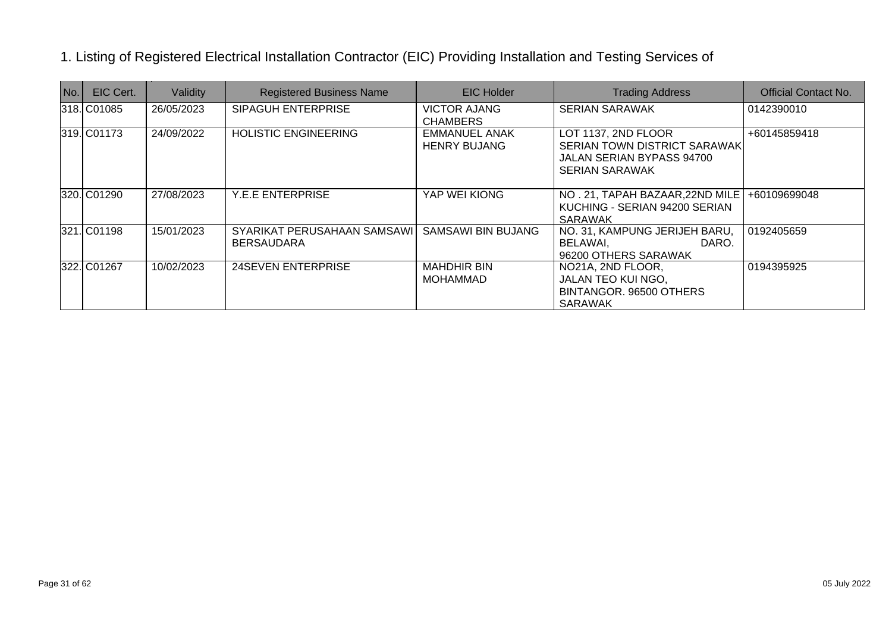| No. | EIC Cert.   | Validity   | <b>Registered Business Name</b>                  | <b>EIC Holder</b>                           | <b>Trading Address</b>                                                                                    | <b>Official Contact No.</b> |
|-----|-------------|------------|--------------------------------------------------|---------------------------------------------|-----------------------------------------------------------------------------------------------------------|-----------------------------|
|     | 318. C01085 | 26/05/2023 | SIPAGUH ENTERPRISE                               | <b>VICTOR AJANG</b><br><b>CHAMBERS</b>      | <b>SERIAN SARAWAK</b>                                                                                     | 0142390010                  |
|     | 319. C01173 | 24/09/2022 | <b>HOLISTIC ENGINEERING</b>                      | <b>EMMANUEL ANAK</b><br><b>HENRY BUJANG</b> | LOT 1137, 2ND FLOOR<br>SERIAN TOWN DISTRICT SARAWAK<br>JALAN SERIAN BYPASS 94700<br><b>SERIAN SARAWAK</b> | +60145859418                |
|     | 320. C01290 | 27/08/2023 | <b>Y.E.E ENTERPRISE</b>                          | YAP WEI KIONG                               | NO. 21, TAPAH BAZAAR, 22ND MILE<br>KUCHING - SERIAN 94200 SERIAN<br><b>SARAWAK</b>                        | +60109699048                |
|     | 321. C01198 | 15/01/2023 | SYARIKAT PERUSAHAAN SAMSAWI<br><b>BERSAUDARA</b> | <b>SAMSAWI BIN BUJANG</b>                   | NO. 31, KAMPUNG JERIJEH BARU,<br>BELAWAI,<br>DARO.<br>96200 OTHERS SARAWAK                                | 0192405659                  |
|     | 322. C01267 | 10/02/2023 | <b>24SEVEN ENTERPRISE</b>                        | <b>MAHDHIR BIN</b><br>MOHAMMAD              | NO21A, 2ND FLOOR,<br>JALAN TEO KUI NGO,<br>BINTANGOR. 96500 OTHERS<br><b>SARAWAK</b>                      | 0194395925                  |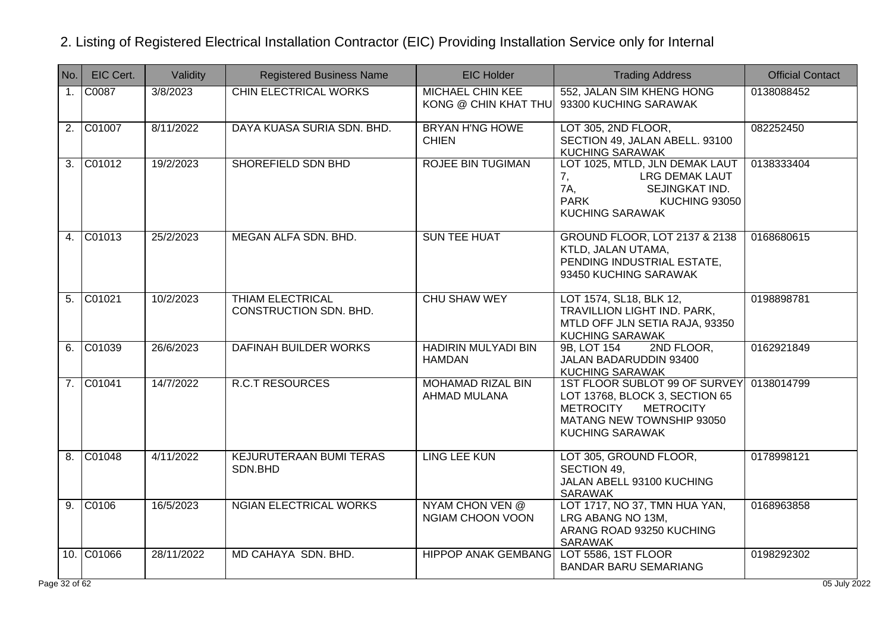| No.            | EIC Cert.           | Validity   | <b>Registered Business Name</b>                   | <b>EIC Holder</b>                                 | <b>Trading Address</b>                                                                                                                                         | <b>Official Contact</b> |
|----------------|---------------------|------------|---------------------------------------------------|---------------------------------------------------|----------------------------------------------------------------------------------------------------------------------------------------------------------------|-------------------------|
| 1.             | C0087               | 3/8/2023   | <b>CHIN ELECTRICAL WORKS</b>                      | <b>MICHAEL CHIN KEE</b><br>KONG @ CHIN KHAT THU   | 552, JALAN SIM KHENG HONG<br>93300 KUCHING SARAWAK                                                                                                             | 0138088452              |
| 2.             | C01007              | 8/11/2022  | DAYA KUASA SURIA SDN. BHD.                        | <b>BRYAN H'NG HOWE</b><br><b>CHIEN</b>            | LOT 305, 2ND FLOOR,<br>SECTION 49, JALAN ABELL. 93100<br><b>KUCHING SARAWAK</b>                                                                                | 082252450               |
| 3.             | C01012              | 19/2/2023  | SHOREFIELD SDN BHD                                | <b>ROJEE BIN TUGIMAN</b>                          | LOT 1025, MTLD, JLN DEMAK LAUT<br><b>LRG DEMAK LAUT</b><br>7,<br>7A,<br>SEJINGKAT IND.<br><b>PARK</b><br><b>KUCHING 93050</b><br><b>KUCHING SARAWAK</b>        | 0138333404              |
| 4.             | $\overline{C01013}$ | 25/2/2023  | MEGAN ALFA SDN. BHD.                              | <b>SUN TEE HUAT</b>                               | <b>GROUND FLOOR, LOT 2137 &amp; 2138</b><br>KTLD, JALAN UTAMA,<br>PENDING INDUSTRIAL ESTATE,<br>93450 KUCHING SARAWAK                                          | 0168680615              |
| 5.             | CO1021              | 10/2/2023  | <b>THIAM ELECTRICAL</b><br>CONSTRUCTION SDN. BHD. | <b>CHU SHAW WEY</b>                               | LOT 1574, SL18, BLK 12,<br>TRAVILLION LIGHT IND. PARK,<br>MTLD OFF JLN SETIA RAJA, 93350<br><b>KUCHING SARAWAK</b>                                             | 0198898781              |
| 6.             | $\overline{C01039}$ | 26/6/2023  | DAFINAH BUILDER WORKS                             | <b>HADIRIN MULYADI BIN</b><br><b>HAMDAN</b>       | 9B, LOT 154<br>2ND FLOOR,<br>JALAN BADARUDDIN 93400<br><b>KUCHING SARAWAK</b>                                                                                  | 0162921849              |
|                | 7. C01041           | 14/7/2022  | <b>R.C.T RESOURCES</b>                            | <b>MOHAMAD RIZAL BIN</b><br>AHMAD MULANA          | 1ST FLOOR SUBLOT 99 OF SURVEY<br>LOT 13768, BLOCK 3, SECTION 65<br><b>METROCITY</b><br><b>METROCITY</b><br>MATANG NEW TOWNSHIP 93050<br><b>KUCHING SARAWAK</b> | 0138014799              |
| 8.             | C01048              | 4/11/2022  | <b>KEJURUTERAAN BUMI TERAS</b><br>SDN.BHD         | <b>LING LEE KUN</b>                               | LOT 305, GROUND FLOOR,<br>SECTION 49,<br>JALAN ABELL 93100 KUCHING<br><b>SARAWAK</b>                                                                           | 0178998121              |
| 9 <sub>1</sub> | CO106               | 16/5/2023  | <b>NGIAN ELECTRICAL WORKS</b>                     | <b>NYAM CHON VEN @</b><br><b>NGIAM CHOON VOON</b> | LOT 1717, NO 37, TMN HUA YAN,<br>LRG ABANG NO 13M,<br>ARANG ROAD 93250 KUCHING<br>SARAWAK                                                                      | 0168963858              |
|                | 10. C01066          | 28/11/2022 | MD CAHAYA SDN. BHD.                               | <b>HIPPOP ANAK GEMBANG</b>                        | LOT 5586, 1ST FLOOR<br><b>BANDAR BARU SEMARIANG</b>                                                                                                            | 0198292302              |
| $e$ 32 of 62   |                     |            |                                                   |                                                   |                                                                                                                                                                | 05 July 2022            |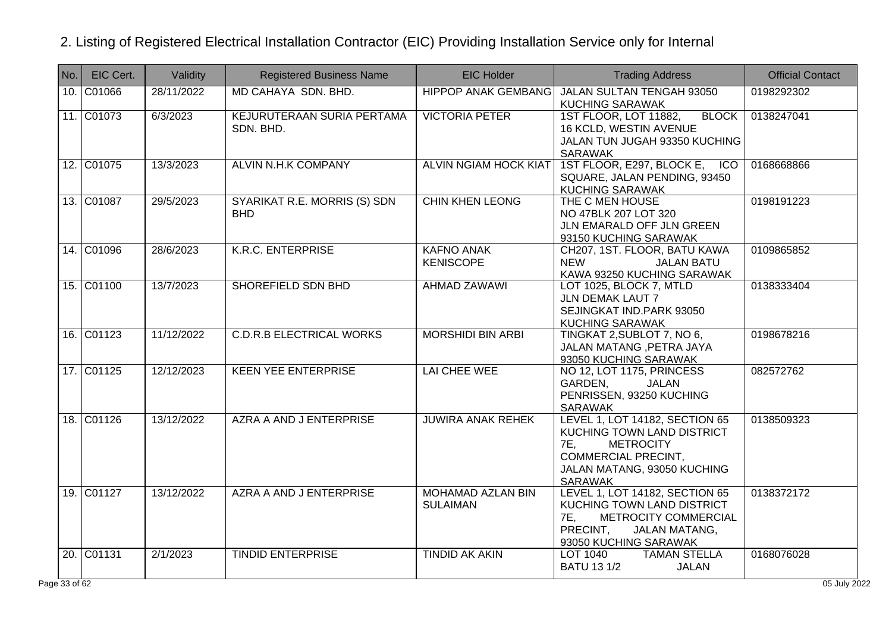| No. | EIC Cert.  | Validity   | <b>Registered Business Name</b>                | <b>EIC Holder</b>                     | <b>Trading Address</b>                                                                                                                                                        | <b>Official Contact</b> |
|-----|------------|------------|------------------------------------------------|---------------------------------------|-------------------------------------------------------------------------------------------------------------------------------------------------------------------------------|-------------------------|
|     | 10. C01066 | 28/11/2022 | MD CAHAYA SDN. BHD.                            | <b>HIPPOP ANAK GEMBANG</b>            | JALAN SULTAN TENGAH 93050<br><b>KUCHING SARAWAK</b>                                                                                                                           | 0198292302              |
|     | 11. C01073 | 6/3/2023   | <b>KEJURUTERAAN SURIA PERTAMA</b><br>SDN. BHD. | <b>VICTORIA PETER</b>                 | <b>BLOCK</b><br>1ST FLOOR, LOT 11882,<br>16 KCLD, WESTIN AVENUE<br>JALAN TUN JUGAH 93350 KUCHING<br><b>SARAWAK</b>                                                            | 0138247041              |
|     | 12. C01075 | 13/3/2023  | ALVIN N.H.K COMPANY                            | <b>ALVIN NGIAM HOCK KIAT</b>          | 1ST FLOOR, E297, BLOCK E, ICO<br>SQUARE, JALAN PENDING, 93450<br><b>KUCHING SARAWAK</b>                                                                                       | 0168668866              |
|     | 13. C01087 | 29/5/2023  | SYARIKAT R.E. MORRIS (S) SDN<br><b>BHD</b>     | <b>CHIN KHEN LEONG</b>                | THE C MEN HOUSE<br>NO 47BLK 207 LOT 320<br>JLN EMARALD OFF JLN GREEN<br>93150 KUCHING SARAWAK                                                                                 | 0198191223              |
|     | 14. C01096 | 28/6/2023  | <b>K.R.C. ENTERPRISE</b>                       | <b>KAFNO ANAK</b><br><b>KENISCOPE</b> | CH207, 1ST. FLOOR, BATU KAWA<br><b>NEW</b><br><b>JALAN BATU</b><br>KAWA 93250 KUCHING SARAWAK                                                                                 | 0109865852              |
|     | 15. C01100 | 13/7/2023  | SHOREFIELD SDN BHD                             | <b>AHMAD ZAWAWI</b>                   | LOT 1025, BLOCK 7, MTLD<br><b>JLN DEMAK LAUT 7</b><br>SEJINGKAT IND.PARK 93050<br><b>KUCHING SARAWAK</b>                                                                      | 0138333404              |
|     | 16. C01123 | 11/12/2022 | <b>C.D.R.B ELECTRICAL WORKS</b>                | <b>MORSHIDI BIN ARBI</b>              | TINGKAT 2, SUBLOT 7, NO 6,<br>JALAN MATANG, PETRA JAYA<br>93050 KUCHING SARAWAK                                                                                               | 0198678216              |
|     | 17. C01125 | 12/12/2023 | <b>KEEN YEE ENTERPRISE</b>                     | <b>LAI CHEE WEE</b>                   | NO 12, LOT 1175, PRINCESS<br>GARDEN,<br>JALAN<br>PENRISSEN, 93250 KUCHING<br><b>SARAWAK</b>                                                                                   | 082572762               |
|     | 18. C01126 | 13/12/2022 | AZRA A AND J ENTERPRISE                        | <b>JUWIRA ANAK REHEK</b>              | LEVEL 1, LOT 14182, SECTION 65<br>KUCHING TOWN LAND DISTRICT<br><b>7E.</b><br><b>METROCITY</b><br><b>COMMERCIAL PRECINT,</b><br>JALAN MATANG, 93050 KUCHING<br><b>SARAWAK</b> | 0138509323              |
|     | 19. C01127 | 13/12/2022 | AZRA A AND J ENTERPRISE                        | MOHAMAD AZLAN BIN<br><b>SULAIMAN</b>  | LEVEL 1, LOT 14182, SECTION 65<br>KUCHING TOWN LAND DISTRICT<br>7E.<br>METROCITY COMMERCIAL<br>PRECINT.<br><b>JALAN MATANG,</b><br>93050 KUCHING SARAWAK                      | 0138372172              |
|     | 20. C01131 | 2/1/2023   | <b>TINDID ENTERPRISE</b>                       | <b>TINDID AK AKIN</b>                 | <b>TAMAN STELLA</b><br>LOT 1040<br><b>BATU 13 1/2</b><br><b>JALAN</b>                                                                                                         | 0168076028              |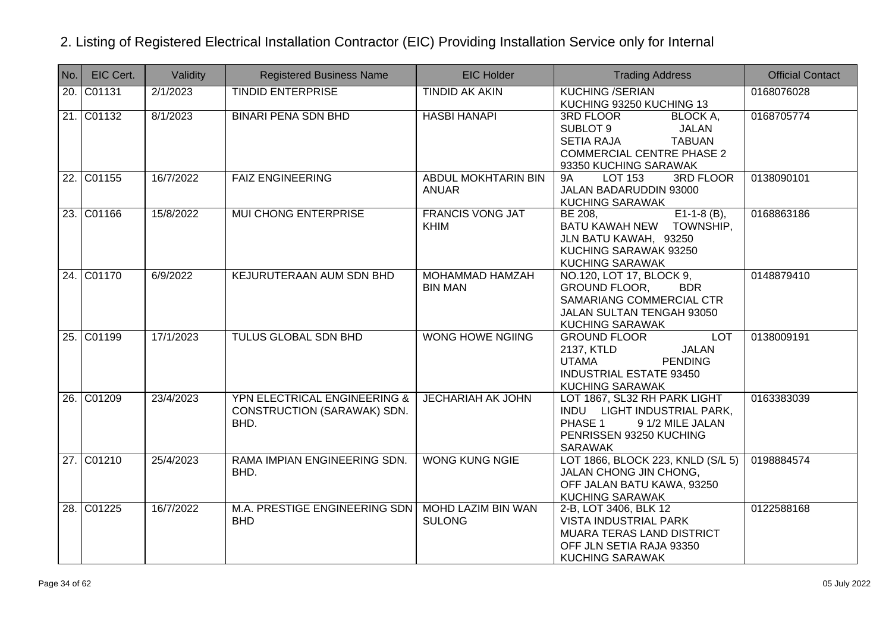| No. | EIC Cert.  | Validity  | <b>Registered Business Name</b>                                     | <b>EIC Holder</b>                          | <b>Trading Address</b>                                                                                                                                        | <b>Official Contact</b> |
|-----|------------|-----------|---------------------------------------------------------------------|--------------------------------------------|---------------------------------------------------------------------------------------------------------------------------------------------------------------|-------------------------|
| 20. | C01131     | 2/1/2023  | <b>TINDID ENTERPRISE</b>                                            | <b>TINDID AK AKIN</b>                      | <b>KUCHING /SERIAN</b><br>KUCHING 93250 KUCHING 13                                                                                                            | 0168076028              |
|     | 21. C01132 | 8/1/2023  | <b>BINARI PENA SDN BHD</b>                                          | <b>HASBI HANAPI</b>                        | 3RD FLOOR<br>BLOCK A,<br>SUBLOT 9<br><b>JALAN</b><br><b>TABUAN</b><br><b>SETIA RAJA</b><br><b>COMMERCIAL CENTRE PHASE 2</b><br>93350 KUCHING SARAWAK          | 0168705774              |
|     | 22. C01155 | 16/7/2022 | <b>FAIZ ENGINEERING</b>                                             | ABDUL MOKHTARIN BIN<br><b>ANUAR</b>        | <b>LOT 153</b><br><b>3RD FLOOR</b><br><b>9A</b><br>JALAN BADARUDDIN 93000<br><b>KUCHING SARAWAK</b>                                                           | 0138090101              |
|     | 23. C01166 | 15/8/2022 | <b>MUI CHONG ENTERPRISE</b>                                         | <b>FRANCIS VONG JAT</b><br><b>KHIM</b>     | $E1-1-8(B)$ ,<br>BE 208.<br>BATU KAWAH NEW TOWNSHIP,<br>JLN BATU KAWAH, 93250<br>KUCHING SARAWAK 93250<br><b>KUCHING SARAWAK</b>                              | 0168863186              |
|     | 24. C01170 | 6/9/2022  | KEJURUTERAAN AUM SDN BHD                                            | <b>MOHAMMAD HAMZAH</b><br><b>BIN MAN</b>   | NO.120, LOT 17, BLOCK 9,<br><b>GROUND FLOOR.</b><br><b>BDR</b><br>SAMARIANG COMMERCIAL CTR<br>JALAN SULTAN TENGAH 93050<br><b>KUCHING SARAWAK</b>             | 0148879410              |
|     | 25. C01199 | 17/1/2023 | <b>TULUS GLOBAL SDN BHD</b>                                         | <b>WONG HOWE NGIING</b>                    | <b>LOT</b><br><b>GROUND FLOOR</b><br>2137, KTLD<br><b>JALAN</b><br><b>UTAMA</b><br><b>PENDING</b><br><b>INDUSTRIAL ESTATE 93450</b><br><b>KUCHING SARAWAK</b> | 0138009191              |
|     | 26. C01209 | 23/4/2023 | YPN ELECTRICAL ENGINEERING &<br>CONSTRUCTION (SARAWAK) SDN.<br>BHD. | <b>JECHARIAH AK JOHN</b>                   | LOT 1867, SL32 RH PARK LIGHT<br>INDU LIGHT INDUSTRIAL PARK,<br>PHASE 1<br>9 1/2 MILE JALAN<br>PENRISSEN 93250 KUCHING<br><b>SARAWAK</b>                       | 0163383039              |
|     | 27. C01210 | 25/4/2023 | RAMA IMPIAN ENGINEERING SDN.<br>BHD.                                | <b>WONG KUNG NGIE</b>                      | LOT 1866, BLOCK 223, KNLD (S/L 5)<br>JALAN CHONG JIN CHONG,<br>OFF JALAN BATU KAWA, 93250<br><b>KUCHING SARAWAK</b>                                           | 0198884574              |
|     | 28. C01225 | 16/7/2022 | M.A. PRESTIGE ENGINEERING SDN<br><b>BHD</b>                         | <b>MOHD LAZIM BIN WAN</b><br><b>SULONG</b> | 2-B, LOT 3406, BLK 12<br>VISTA INDUSTRIAL PARK<br>MUARA TERAS LAND DISTRICT<br>OFF JLN SETIA RAJA 93350<br><b>KUCHING SARAWAK</b>                             | 0122588168              |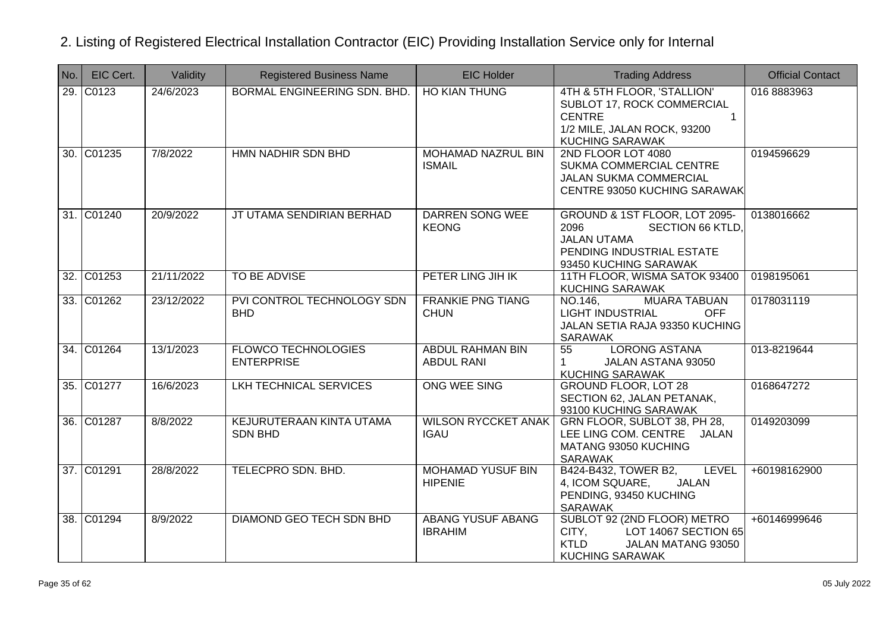| No. | EIC Cert.  | Validity   | <b>Registered Business Name</b>                 | <b>EIC Holder</b>                            | <b>Trading Address</b>                                                                                                                              | <b>Official Contact</b> |
|-----|------------|------------|-------------------------------------------------|----------------------------------------------|-----------------------------------------------------------------------------------------------------------------------------------------------------|-------------------------|
|     | 29. C0123  | 24/6/2023  | BORMAL ENGINEERING SDN. BHD.                    | <b>HO KIAN THUNG</b>                         | 4TH & 5TH FLOOR, 'STALLION'<br>SUBLOT 17, ROCK COMMERCIAL<br><b>CENTRE</b><br>$\mathbf{1}$<br>1/2 MILE, JALAN ROCK, 93200<br><b>KUCHING SARAWAK</b> | 016 8883963             |
|     | 30. C01235 | 7/8/2022   | HMN NADHIR SDN BHD                              | <b>MOHAMAD NAZRUL BIN</b><br><b>ISMAIL</b>   | 2ND FLOOR LOT 4080<br>SUKMA COMMERCIAL CENTRE<br><b>JALAN SUKMA COMMERCIAL</b><br><b>CENTRE 93050 KUCHING SARAWAK</b>                               | 0194596629              |
|     | 31. C01240 | 20/9/2022  | JT UTAMA SENDIRIAN BERHAD                       | <b>DARREN SONG WEE</b><br><b>KEONG</b>       | GROUND & 1ST FLOOR, LOT 2095-<br>2096<br><b>SECTION 66 KTLD,</b><br><b>JALAN UTAMA</b><br>PENDING INDUSTRIAL ESTATE<br>93450 KUCHING SARAWAK        | 0138016662              |
|     | 32. C01253 | 21/11/2022 | <b>TO BE ADVISE</b>                             | PETER LING JIH IK                            | 11TH FLOOR, WISMA SATOK 93400<br><b>KUCHING SARAWAK</b>                                                                                             | 0198195061              |
|     | 33. C01262 | 23/12/2022 | PVI CONTROL TECHNOLOGY SDN<br><b>BHD</b>        | <b>FRANKIE PNG TIANG</b><br><b>CHUN</b>      | <b>MUARA TABUAN</b><br>NO.146,<br><b>LIGHT INDUSTRIAL</b><br><b>OFF</b><br>JALAN SETIA RAJA 93350 KUCHING<br>SARAWAK                                | 0178031119              |
|     | 34. C01264 | 13/1/2023  | <b>FLOWCO TECHNOLOGIES</b><br><b>ENTERPRISE</b> | <b>ABDUL RAHMAN BIN</b><br><b>ABDUL RANI</b> | <b>LORONG ASTANA</b><br>55<br>JALAN ASTANA 93050<br>$\mathbf{1}$<br><b>KUCHING SARAWAK</b>                                                          | 013-8219644             |
|     | 35. C01277 | 16/6/2023  | LKH TECHNICAL SERVICES                          | ONG WEE SING                                 | <b>GROUND FLOOR, LOT 28</b><br>SECTION 62, JALAN PETANAK,<br>93100 KUCHING SARAWAK                                                                  | 0168647272              |
|     | 36. C01287 | 8/8/2022   | KEJURUTERAAN KINTA UTAMA<br><b>SDN BHD</b>      | <b>WILSON RYCCKET ANAK</b><br><b>IGAU</b>    | GRN FLOOR, SUBLOT 38, PH 28,<br>LEE LING COM. CENTRE JALAN<br>MATANG 93050 KUCHING<br><b>SARAWAK</b>                                                | 0149203099              |
|     | 37. C01291 | 28/8/2022  | TELECPRO SDN. BHD.                              | <b>MOHAMAD YUSUF BIN</b><br><b>HIPENIE</b>   | B424-B432, TOWER B2,<br><b>LEVEL</b><br>4, ICOM SQUARE,<br>JALAN<br>PENDING, 93450 KUCHING<br><b>SARAWAK</b>                                        | +60198162900            |
|     | 38. C01294 | 8/9/2022   | DIAMOND GEO TECH SDN BHD                        | ABANG YUSUF ABANG<br><b>IBRAHIM</b>          | SUBLOT 92 (2ND FLOOR) METRO<br>LOT 14067 SECTION 65<br>CITY,<br><b>KTLD</b><br>JALAN MATANG 93050<br><b>KUCHING SARAWAK</b>                         | +60146999646            |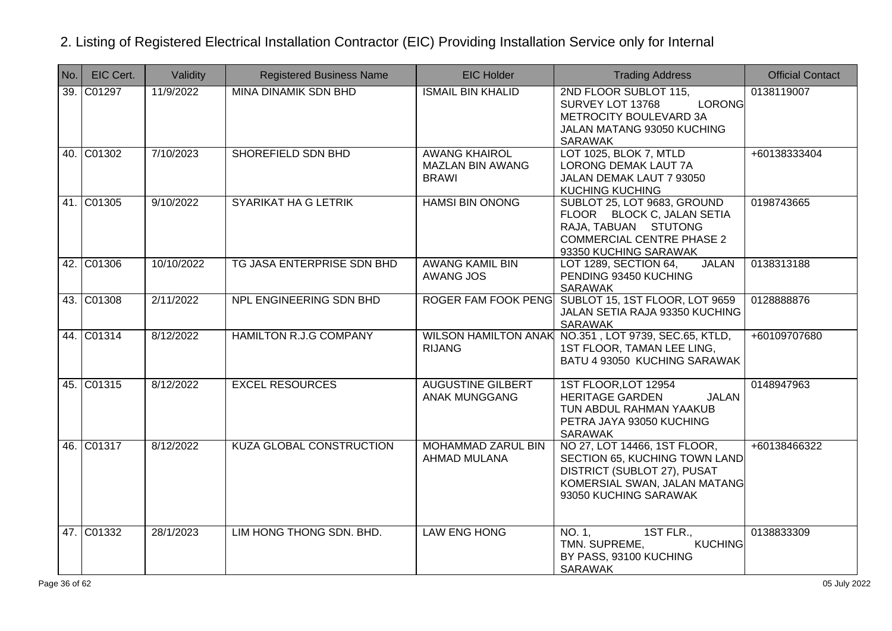| No. | EIC Cert.  | Validity   | <b>Registered Business Name</b> | <b>EIC Holder</b>                                               | <b>Trading Address</b>                                                                                                                                | <b>Official Contact</b> |
|-----|------------|------------|---------------------------------|-----------------------------------------------------------------|-------------------------------------------------------------------------------------------------------------------------------------------------------|-------------------------|
|     | 39. C01297 | 11/9/2022  | <b>MINA DINAMIK SDN BHD</b>     | <b>ISMAIL BIN KHALID</b>                                        | 2ND FLOOR SUBLOT 115,<br>LORONG<br>SURVEY LOT 13768<br>METROCITY BOULEVARD 3A<br>JALAN MATANG 93050 KUCHING<br><b>SARAWAK</b>                         | 0138119007              |
|     | 40. C01302 | 7/10/2023  | SHOREFIELD SDN BHD              | <b>AWANG KHAIROL</b><br><b>MAZLAN BIN AWANG</b><br><b>BRAWI</b> | LOT 1025, BLOK 7, MTLD<br>LORONG DEMAK LAUT 7A<br>JALAN DEMAK LAUT 7 93050<br><b>KUCHING KUCHING</b>                                                  | +60138333404            |
|     | 41. C01305 | 9/10/2022  | <b>SYARIKAT HA G LETRIK</b>     | <b>HAMSI BIN ONONG</b>                                          | SUBLOT 25, LOT 9683, GROUND<br>FLOOR BLOCK C, JALAN SETIA<br>RAJA, TABUAN STUTONG<br><b>COMMERCIAL CENTRE PHASE 2</b><br>93350 KUCHING SARAWAK        | 0198743665              |
|     | 42. C01306 | 10/10/2022 | TG JASA ENTERPRISE SDN BHD      | <b>AWANG KAMIL BIN</b><br><b>AWANG JOS</b>                      | LOT 1289, SECTION 64,<br><b>JALAN</b><br>PENDING 93450 KUCHING<br><b>SARAWAK</b>                                                                      | 0138313188              |
|     | 43. C01308 | 2/11/2022  | NPL ENGINEERING SDN BHD         |                                                                 | ROGER FAM FOOK PENG SUBLOT 15, 1ST FLOOR, LOT 9659<br>JALAN SETIA RAJA 93350 KUCHING<br><b>SARAWAK</b>                                                | 0128888876              |
|     | 44. C01314 | 8/12/2022  | <b>HAMILTON R.J.G COMPANY</b>   | <b>RIJANG</b>                                                   | WILSON HAMILTON ANAK NO.351, LOT 9739, SEC.65, KTLD,<br>1ST FLOOR, TAMAN LEE LING,<br>BATU 4 93050 KUCHING SARAWAK                                    | +60109707680            |
|     | 45. C01315 | 8/12/2022  | <b>EXCEL RESOURCES</b>          | <b>AUGUSTINE GILBERT</b><br><b>ANAK MUNGGANG</b>                | 1ST FLOOR, LOT 12954<br><b>HERITAGE GARDEN</b><br><b>JALAN</b><br>TUN ABDUL RAHMAN YAAKUB<br>PETRA JAYA 93050 KUCHING<br><b>SARAWAK</b>               | 0148947963              |
|     | 46. C01317 | 8/12/2022  | KUZA GLOBAL CONSTRUCTION        | <b>MOHAMMAD ZARUL BIN</b><br>AHMAD MULANA                       | NO 27, LOT 14466, 1ST FLOOR,<br>SECTION 65, KUCHING TOWN LAND<br>DISTRICT (SUBLOT 27), PUSAT<br>KOMERSIAL SWAN, JALAN MATANG<br>93050 KUCHING SARAWAK | +60138466322            |
|     | 47. C01332 | 28/1/2023  | LIM HONG THONG SDN. BHD.        | <b>LAW ENG HONG</b>                                             | 1ST FLR.,<br>NO. 1,<br>TMN. SUPREME,<br><b>KUCHING</b><br>BY PASS, 93100 KUCHING<br><b>SARAWAK</b>                                                    | 0138833309              |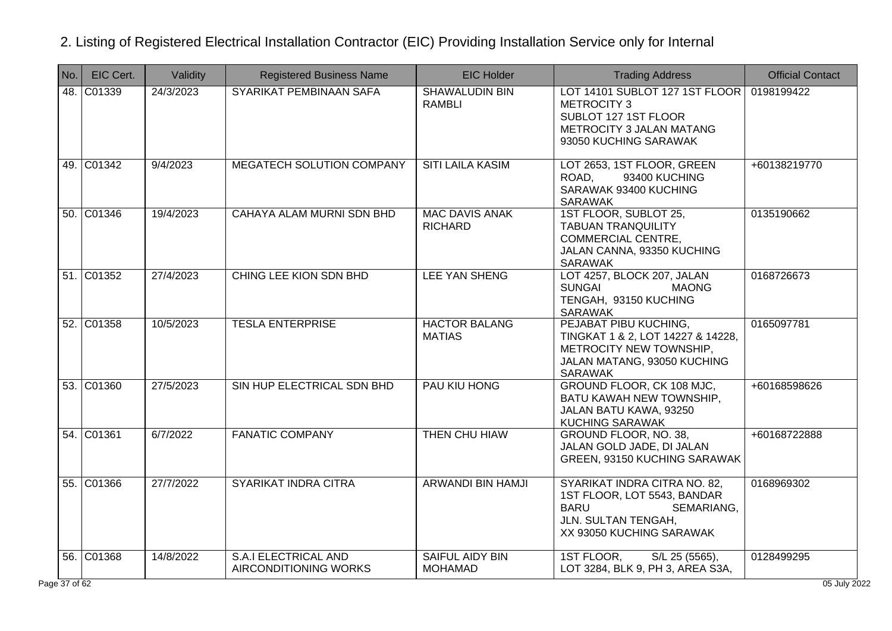| No. | EIC Cert.  | Validity  | <b>Registered Business Name</b>                      | <b>EIC Holder</b>                        | <b>Trading Address</b>                                                                                                                      | <b>Official Contact</b> |
|-----|------------|-----------|------------------------------------------------------|------------------------------------------|---------------------------------------------------------------------------------------------------------------------------------------------|-------------------------|
| 48. | C01339     | 24/3/2023 | SYARIKAT PEMBINAAN SAFA                              | <b>SHAWALUDIN BIN</b><br><b>RAMBLI</b>   | LOT 14101 SUBLOT 127 1ST FLOOR<br><b>METROCITY 3</b><br>SUBLOT 127 1ST FLOOR<br>METROCITY 3 JALAN MATANG<br>93050 KUCHING SARAWAK           | 0198199422              |
|     | 49. C01342 | 9/4/2023  | <b>MEGATECH SOLUTION COMPANY</b>                     | <b>SITI LAILA KASIM</b>                  | LOT 2653, 1ST FLOOR, GREEN<br>ROAD,<br>93400 KUCHING<br>SARAWAK 93400 KUCHING<br><b>SARAWAK</b>                                             | +60138219770            |
|     | 50. C01346 | 19/4/2023 | CAHAYA ALAM MURNI SDN BHD                            | <b>MAC DAVIS ANAK</b><br><b>RICHARD</b>  | 1ST FLOOR, SUBLOT 25,<br><b>TABUAN TRANQUILITY</b><br><b>COMMERCIAL CENTRE,</b><br>JALAN CANNA, 93350 KUCHING<br>SARAWAK                    | 0135190662              |
|     | 51. C01352 | 27/4/2023 | CHING LEE KION SDN BHD                               | <b>LEE YAN SHENG</b>                     | LOT 4257, BLOCK 207, JALAN<br><b>SUNGAI</b><br><b>MAONG</b><br>TENGAH, 93150 KUCHING<br><b>SARAWAK</b>                                      | 0168726673              |
|     | 52. C01358 | 10/5/2023 | <b>TESLA ENTERPRISE</b>                              | <b>HACTOR BALANG</b><br><b>MATIAS</b>    | PEJABAT PIBU KUCHING,<br>TINGKAT 1 & 2, LOT 14227 & 14228,<br>METROCITY NEW TOWNSHIP,<br>JALAN MATANG, 93050 KUCHING<br>SARAWAK             | 0165097781              |
|     | 53. C01360 | 27/5/2023 | SIN HUP ELECTRICAL SDN BHD                           | PAU KIU HONG                             | GROUND FLOOR, CK 108 MJC,<br>BATU KAWAH NEW TOWNSHIP.<br>JALAN BATU KAWA, 93250<br>KUCHING SARAWAK                                          | +60168598626            |
|     | 54. C01361 | 6/7/2022  | <b>FANATIC COMPANY</b>                               | THEN CHU HIAW                            | GROUND FLOOR, NO. 38,<br>JALAN GOLD JADE, DI JALAN<br>GREEN, 93150 KUCHING SARAWAK                                                          | +60168722888            |
|     | 55. C01366 | 27/7/2022 | SYARIKAT INDRA CITRA                                 | <b>ARWANDI BIN HAMJI</b>                 | SYARIKAT INDRA CITRA NO. 82,<br>1ST FLOOR, LOT 5543, BANDAR<br><b>BARU</b><br>SEMARIANG,<br>JLN. SULTAN TENGAH,<br>XX 93050 KUCHING SARAWAK | 0168969302              |
|     | 56. C01368 | 14/8/2022 | <b>S.A.I ELECTRICAL AND</b><br>AIRCONDITIONING WORKS | <b>SAIFUL AIDY BIN</b><br><b>MOHAMAD</b> | S/L 25 (5565),<br>1ST FLOOR,<br>LOT 3284, BLK 9, PH 3, AREA S3A,                                                                            | 0128499295              |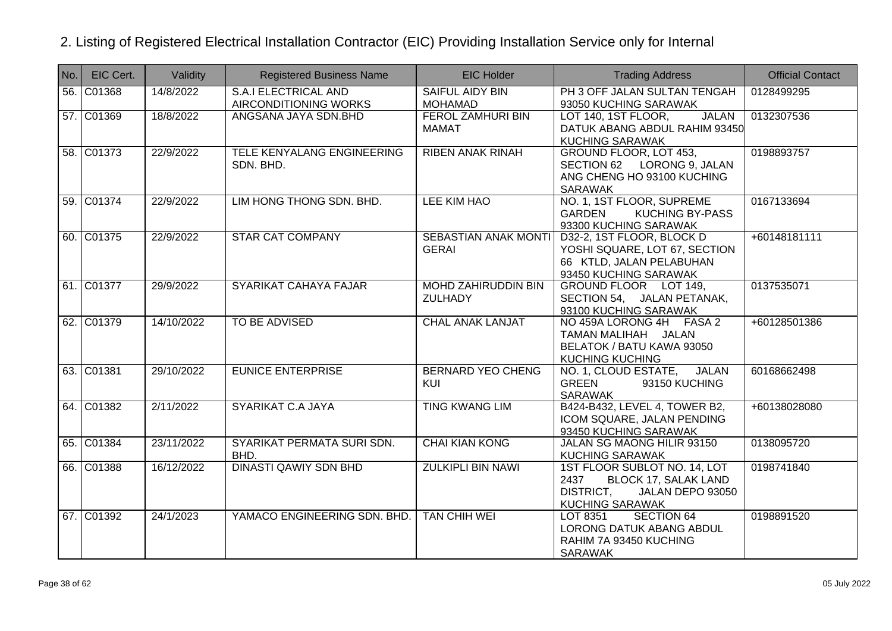| No. | EIC Cert.  | Validity   | <b>Registered Business Name</b>               | <b>EIC Holder</b>                           | <b>Trading Address</b>                                                                                                  | <b>Official Contact</b> |
|-----|------------|------------|-----------------------------------------------|---------------------------------------------|-------------------------------------------------------------------------------------------------------------------------|-------------------------|
|     | 56. C01368 | 14/8/2022  | S.A.I ELECTRICAL AND<br>AIRCONDITIONING WORKS | SAIFUL AIDY BIN<br><b>MOHAMAD</b>           | PH 3 OFF JALAN SULTAN TENGAH<br>93050 KUCHING SARAWAK                                                                   | 0128499295              |
|     | 57. C01369 | 18/8/2022  | ANGSANA JAYA SDN.BHD                          | <b>FEROL ZAMHURI BIN</b><br>MAMAT           | <b>JALAN</b><br>LOT 140, 1ST FLOOR,<br>DATUK ABANG ABDUL RAHIM 93450<br><b>KUCHING SARAWAK</b>                          | 0132307536              |
|     | 58. C01373 | 22/9/2022  | TELE KENYALANG ENGINEERING<br>SDN, BHD.       | <b>RIBEN ANAK RINAH</b>                     | GROUND FLOOR, LOT 453,<br>SECTION 62 LORONG 9, JALAN<br>ANG CHENG HO 93100 KUCHING<br>SARAWAK                           | 0198893757              |
|     | 59. C01374 | 22/9/2022  | LIM HONG THONG SDN. BHD.                      | LEE KIM HAO                                 | NO. 1, 1ST FLOOR, SUPREME<br><b>KUCHING BY-PASS</b><br><b>GARDEN</b><br>93300 KUCHING SARAWAK                           | 0167133694              |
|     | 60. C01375 | 22/9/2022  | <b>STAR CAT COMPANY</b>                       | <b>SEBASTIAN ANAK MONTI</b><br><b>GERAI</b> | D32-2, 1ST FLOOR, BLOCK D<br>YOSHI SQUARE, LOT 67, SECTION<br>66 KTLD, JALAN PELABUHAN<br>93450 KUCHING SARAWAK         | +60148181111            |
|     | 61. C01377 | 29/9/2022  | SYARIKAT CAHAYA FAJAR                         | MOHD ZAHIRUDDIN BIN<br><b>ZULHADY</b>       | GROUND FLOOR LOT 149,<br>SECTION 54, JALAN PETANAK,<br>93100 KUCHING SARAWAK                                            | 0137535071              |
|     | 62. C01379 | 14/10/2022 | TO BE ADVISED                                 | <b>CHAL ANAK LANJAT</b>                     | NO 459A LORONG 4H FASA 2<br>TAMAN MALIHAH JALAN<br>BELATOK / BATU KAWA 93050<br><b>KUCHING KUCHING</b>                  | +60128501386            |
|     | 63. C01381 | 29/10/2022 | <b>EUNICE ENTERPRISE</b>                      | <b>BERNARD YEO CHENG</b><br><b>KUI</b>      | NO. 1, CLOUD ESTATE, JALAN<br><b>GREEN</b><br>93150 KUCHING<br><b>SARAWAK</b>                                           | 60168662498             |
|     | 64. C01382 | 2/11/2022  | <b>SYARIKAT C.A JAYA</b>                      | <b>TING KWANG LIM</b>                       | B424-B432, LEVEL 4, TOWER B2,<br>ICOM SQUARE, JALAN PENDING<br>93450 KUCHING SARAWAK                                    | +60138028080            |
|     | 65. C01384 | 23/11/2022 | SYARIKAT PERMATA SURI SDN.<br>BHD.            | <b>CHAI KIAN KONG</b>                       | JALAN SG MAONG HILIR 93150<br><b>KUCHING SARAWAK</b>                                                                    | 0138095720              |
|     | 66. C01388 | 16/12/2022 | <b>DINASTI QAWIY SDN BHD</b>                  | <b>ZULKIPLI BIN NAWI</b>                    | 1ST FLOOR SUBLOT NO. 14, LOT<br>2437<br>BLOCK 17, SALAK LAND<br>DISTRICT,<br>JALAN DEPO 93050<br><b>KUCHING SARAWAK</b> | 0198741840              |
|     | 67. C01392 | 24/1/2023  | YAMACO ENGINEERING SDN. BHD.                  | TAN CHIH WEI                                | LOT 8351<br><b>SECTION 64</b><br>LORONG DATUK ABANG ABDUL<br>RAHIM 7A 93450 KUCHING<br><b>SARAWAK</b>                   | 0198891520              |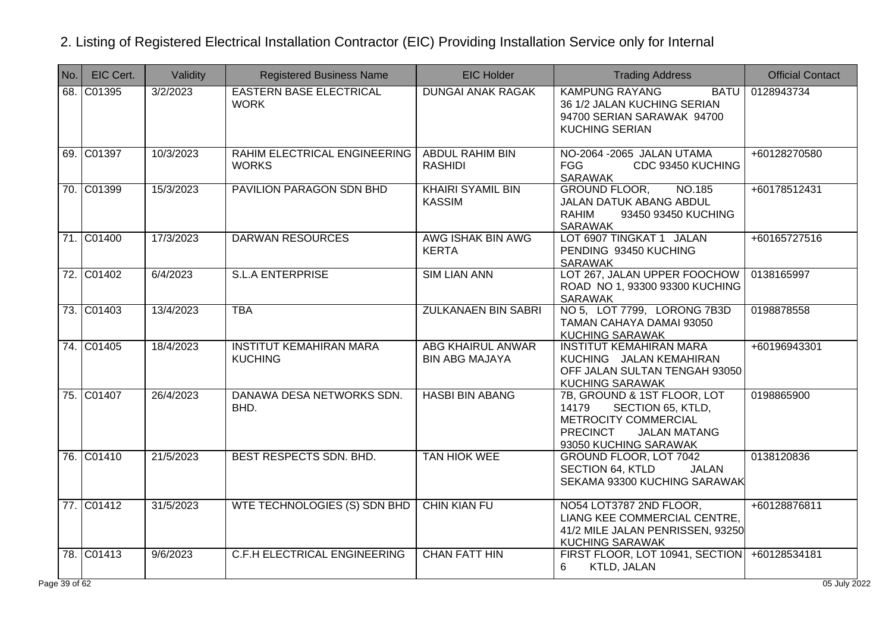| No.          | EIC Cert.  | Validity  | <b>Registered Business Name</b>                  | <b>EIC Holder</b>                                 | <b>Trading Address</b>                                                                                                                               | <b>Official Contact</b> |
|--------------|------------|-----------|--------------------------------------------------|---------------------------------------------------|------------------------------------------------------------------------------------------------------------------------------------------------------|-------------------------|
|              | 68. C01395 | 3/2/2023  | <b>EASTERN BASE ELECTRICAL</b><br><b>WORK</b>    | <b>DUNGAI ANAK RAGAK</b>                          | <b>KAMPUNG RAYANG</b><br>BATU<br>36 1/2 JALAN KUCHING SERIAN<br>94700 SERIAN SARAWAK 94700<br><b>KUCHING SERIAN</b>                                  | 0128943734              |
|              | 69. C01397 | 10/3/2023 | RAHIM ELECTRICAL ENGINEERING<br><b>WORKS</b>     | <b>ABDUL RAHIM BIN</b><br><b>RASHIDI</b>          | NO-2064 -2065 JALAN UTAMA<br><b>FGG</b><br>CDC 93450 KUCHING<br>SARAWAK                                                                              | +60128270580            |
|              | 70. C01399 | 15/3/2023 | PAVILION PARAGON SDN BHD                         | <b>KHAIRI SYAMIL BIN</b><br><b>KASSIM</b>         | <b>GROUND FLOOR,</b><br>NO.185<br>JALAN DATUK ABANG ABDUL<br><b>RAHIM</b><br>93450 93450 KUCHING<br><b>SARAWAK</b>                                   | +60178512431            |
|              | 71. C01400 | 17/3/2023 | <b>DARWAN RESOURCES</b>                          | AWG ISHAK BIN AWG<br><b>KERTA</b>                 | LOT 6907 TINGKAT 1 JALAN<br>PENDING 93450 KUCHING<br>SARAWAK                                                                                         | +60165727516            |
|              | 72. C01402 | 6/4/2023  | <b>S.L.A ENTERPRISE</b>                          | <b>SIM LIAN ANN</b>                               | LOT 267, JALAN UPPER FOOCHOW<br>ROAD NO 1, 93300 93300 KUCHING<br><b>SARAWAK</b>                                                                     | 0138165997              |
|              | 73. C01403 | 13/4/2023 | <b>TBA</b>                                       | <b>ZULKANAEN BIN SABRI</b>                        | NO 5, LOT 7799, LORONG 7B3D<br>TAMAN CAHAYA DAMAI 93050<br><b>KUCHING SARAWAK</b>                                                                    | 0198878558              |
|              | 74. C01405 | 18/4/2023 | <b>INSTITUT KEMAHIRAN MARA</b><br><b>KUCHING</b> | <b>ABG KHAIRUL ANWAR</b><br><b>BIN ABG MAJAYA</b> | <b>INSTITUT KEMAHIRAN MARA</b><br>KUCHING JALAN KEMAHIRAN<br>OFF JALAN SULTAN TENGAH 93050<br><b>KUCHING SARAWAK</b>                                 | +60196943301            |
|              | 75. C01407 | 26/4/2023 | DANAWA DESA NETWORKS SDN.<br>BHD.                | <b>HASBI BIN ABANG</b>                            | 7B, GROUND & 1ST FLOOR, LOT<br>14179<br>SECTION 65, KTLD,<br>METROCITY COMMERCIAL<br><b>PRECINCT</b><br><b>JALAN MATANG</b><br>93050 KUCHING SARAWAK | 0198865900              |
|              | 76. C01410 | 21/5/2023 | BEST RESPECTS SDN. BHD.                          | <b>TAN HIOK WEE</b>                               | GROUND FLOOR, LOT 7042<br><b>SECTION 64, KTLD</b><br><b>JALAN</b><br>SEKAMA 93300 KUCHING SARAWAK                                                    | 0138120836              |
|              | 77. C01412 | 31/5/2023 | WTE TECHNOLOGIES (S) SDN BHD                     | <b>CHIN KIAN FU</b>                               | NO54 LOT3787 2ND FLOOR.<br>LIANG KEE COMMERCIAL CENTRE,<br>41/2 MILE JALAN PENRISSEN, 93250<br><b>KUCHING SARAWAK</b>                                | +60128876811            |
|              | 78. C01413 | 9/6/2023  | <b>C.F.H ELECTRICAL ENGINEERING</b>              | <b>CHAN FATT HIN</b>                              | FIRST FLOOR, LOT 10941, SECTION<br>KTLD, JALAN<br>6                                                                                                  | +60128534181            |
| $e$ 39 of 62 |            |           |                                                  |                                                   |                                                                                                                                                      | 05 July 2022            |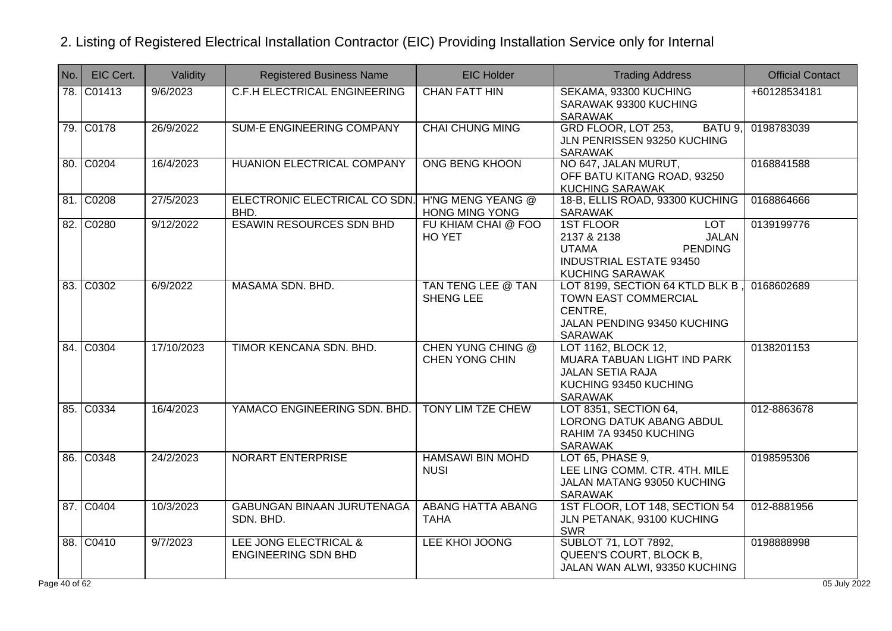| No.         | EIC Cert.           | Validity   | <b>Registered Business Name</b>                     | <b>EIC Holder</b>                          | <b>Trading Address</b>                                                                                                                               | <b>Official Contact</b> |
|-------------|---------------------|------------|-----------------------------------------------------|--------------------------------------------|------------------------------------------------------------------------------------------------------------------------------------------------------|-------------------------|
| 78.         | C01413              | 9/6/2023   | <b>C.F.H ELECTRICAL ENGINEERING</b>                 | <b>CHAN FATT HIN</b>                       | SEKAMA, 93300 KUCHING<br>SARAWAK 93300 KUCHING<br>SARAWAK                                                                                            | +60128534181            |
|             | 79. C0178           | 26/9/2022  | <b>SUM-E ENGINEERING COMPANY</b>                    | <b>CHAI CHUNG MING</b>                     | GRD FLOOR, LOT 253,<br>BATU 9,<br>JLN PENRISSEN 93250 KUCHING<br><b>SARAWAK</b>                                                                      | 0198783039              |
|             | 80. C0204           | 16/4/2023  | <b>HUANION ELECTRICAL COMPANY</b>                   | <b>ONG BENG KHOON</b>                      | NO 647, JALAN MURUT,<br>OFF BATU KITANG ROAD, 93250<br><b>KUCHING SARAWAK</b>                                                                        | 0168841588              |
|             | 81. C0208           | 27/5/2023  | ELECTRONIC ELECTRICAL CO SDN.<br>BHD.               | H'NG MENG YEANG @<br><b>HONG MING YONG</b> | 18-B, ELLIS ROAD, 93300 KUCHING<br>SARAWAK                                                                                                           | 0168864666              |
|             | 82. C0280           | 9/12/2022  | <b>ESAWIN RESOURCES SDN BHD</b>                     | FU KHIAM CHAI @ FOO<br>HO YET              | <b>LOT</b><br><b>1ST FLOOR</b><br>2137 & 2138<br><b>JALAN</b><br><b>PENDING</b><br><b>UTAMA</b><br>INDUSTRIAL ESTATE 93450<br><b>KUCHING SARAWAK</b> | 0139199776              |
|             | 83. C0302           | 6/9/2022   | MASAMA SDN. BHD.                                    | TAN TENG LEE @ TAN<br><b>SHENG LEE</b>     | LOT 8199, SECTION 64 KTLD BLK B,<br>TOWN EAST COMMERCIAL<br>CENTRE,<br>JALAN PENDING 93450 KUCHING<br><b>SARAWAK</b>                                 | 0168602689              |
|             | 84. C0304           | 17/10/2023 | TIMOR KENCANA SDN, BHD.                             | <b>CHEN YUNG CHING @</b><br>CHEN YONG CHIN | LOT 1162, BLOCK 12,<br>MUARA TABUAN LIGHT IND PARK<br><b>JALAN SETIA RAJA</b><br>KUCHING 93450 KUCHING<br>SARAWAK                                    | 0138201153              |
| 85.         | $\overline{)$ C0334 | 16/4/2023  | YAMACO ENGINEERING SDN. BHD.                        | <b>TONY LIM TZE CHEW</b>                   | LOT 8351, SECTION 64,<br>LORONG DATUK ABANG ABDUL<br>RAHIM 7A 93450 KUCHING<br><b>SARAWAK</b>                                                        | 012-8863678             |
|             | 86. C0348           | 24/2/2023  | NORART ENTERPRISE                                   | <b>HAMSAWI BIN MOHD</b><br><b>NUSI</b>     | LOT 65, PHASE 9,<br>LEE LING COMM. CTR. 4TH. MILE<br>JALAN MATANG 93050 KUCHING<br><b>SARAWAK</b>                                                    | 0198595306              |
|             | 87. C0404           | 10/3/2023  | <b>GABUNGAN BINAAN JURUTENAGA</b><br>SDN. BHD.      | <b>ABANG HATTA ABANG</b><br><b>TAHA</b>    | 1ST FLOOR, LOT 148, SECTION 54<br>JLN PETANAK, 93100 KUCHING<br><b>SWR</b>                                                                           | 012-8881956             |
|             | 88. C0410           | 9/7/2023   | LEE JONG ELECTRICAL &<br><b>ENGINEERING SDN BHD</b> | LEE KHOI JOONG                             | <b>SUBLOT 71, LOT 7892,</b><br>QUEEN'S COURT, BLOCK B,<br>JALAN WAN ALWI, 93350 KUCHING                                                              | 0198888998              |
| le 40 of 62 |                     |            |                                                     |                                            |                                                                                                                                                      | 05 July 2022            |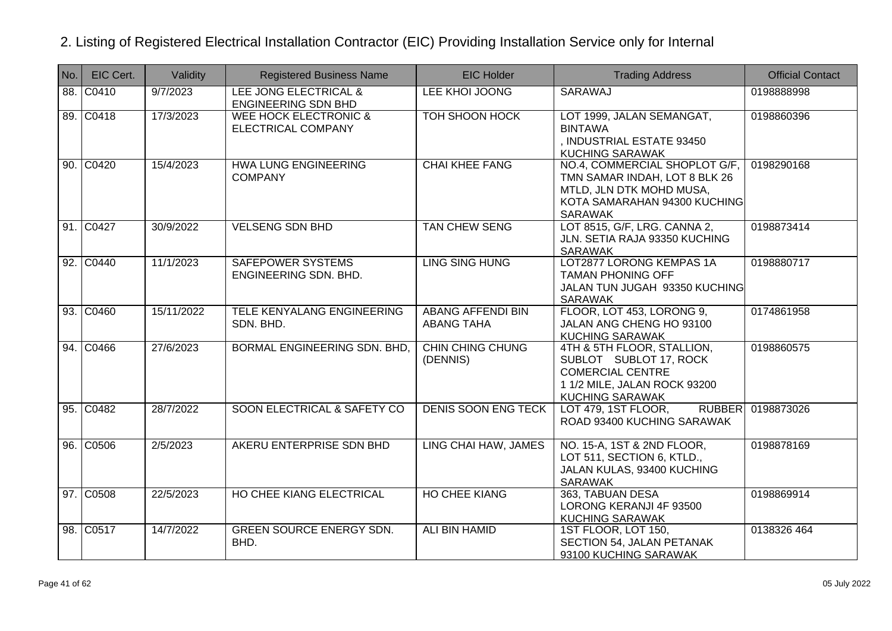| No. | EIC Cert. | Validity   | <b>Registered Business Name</b>                        | <b>EIC Holder</b>                             | <b>Trading Address</b>                                                                                                                       | <b>Official Contact</b> |
|-----|-----------|------------|--------------------------------------------------------|-----------------------------------------------|----------------------------------------------------------------------------------------------------------------------------------------------|-------------------------|
|     | 88. C0410 | 9/7/2023   | LEE JONG ELECTRICAL &<br><b>ENGINEERING SDN BHD</b>    | LEE KHOI JOONG                                | SARAWAJ                                                                                                                                      | 0198888998              |
|     | 89. C0418 | 17/3/2023  | <b>WEE HOCK ELECTRONIC &amp;</b><br>ELECTRICAL COMPANY | <b>TOH SHOON HOCK</b>                         | LOT 1999, JALAN SEMANGAT,<br><b>BINTAWA</b><br>, INDUSTRIAL ESTATE 93450<br><b>KUCHING SARAWAK</b>                                           | 0198860396              |
|     | 90. C0420 | 15/4/2023  | HWA LUNG ENGINEERING<br><b>COMPANY</b>                 | <b>CHAI KHEE FANG</b>                         | NO.4, COMMERCIAL SHOPLOT G/F,<br>TMN SAMAR INDAH, LOT 8 BLK 26<br>MTLD, JLN DTK MOHD MUSA,<br>KOTA SAMARAHAN 94300 KUCHING<br><b>SARAWAK</b> | 0198290168              |
|     | 91. C0427 | 30/9/2022  | <b>VELSENG SDN BHD</b>                                 | <b>TAN CHEW SENG</b>                          | LOT 8515, G/F, LRG. CANNA 2,<br>JLN. SETIA RAJA 93350 KUCHING<br><b>SARAWAK</b>                                                              | 0198873414              |
|     | 92. C0440 | 11/1/2023  | <b>SAFEPOWER SYSTEMS</b><br>ENGINEERING SDN. BHD.      | <b>LING SING HUNG</b>                         | LOT2877 LORONG KEMPAS 1A<br><b>TAMAN PHONING OFF</b><br>JALAN TUN JUGAH 93350 KUCHING<br><b>SARAWAK</b>                                      | 0198880717              |
|     | 93. C0460 | 15/11/2022 | TELE KENYALANG ENGINEERING<br>SDN. BHD.                | <b>ABANG AFFENDI BIN</b><br><b>ABANG TAHA</b> | FLOOR, LOT 453, LORONG 9,<br>JALAN ANG CHENG HO 93100<br><b>KUCHING SARAWAK</b>                                                              | 0174861958              |
|     | 94. C0466 | 27/6/2023  | BORMAL ENGINEERING SDN. BHD,                           | <b>CHIN CHING CHUNG</b><br>(DENNIS)           | 4TH & 5TH FLOOR, STALLION,<br>SUBLOT SUBLOT 17, ROCK<br><b>COMERCIAL CENTRE</b><br>1 1/2 MILE, JALAN ROCK 93200<br>KUCHING SARAWAK           | 0198860575              |
|     | 95. C0482 | 28/7/2022  | SOON ELECTRICAL & SAFETY CO                            | <b>DENIS SOON ENG TECK</b>                    | <b>RUBBER</b><br>LOT 479, 1ST FLOOR,<br>ROAD 93400 KUCHING SARAWAK                                                                           | 0198873026              |
|     | 96. C0506 | 2/5/2023   | AKERU ENTERPRISE SDN BHD                               | LING CHAI HAW, JAMES                          | NO. 15-A, 1ST & 2ND FLOOR,<br>LOT 511, SECTION 6, KTLD.,<br>JALAN KULAS, 93400 KUCHING<br><b>SARAWAK</b>                                     | 0198878169              |
|     | 97. C0508 | 22/5/2023  | HO CHEE KIANG ELECTRICAL                               | <b>HO CHEE KIANG</b>                          | 363, TABUAN DESA<br>LORONG KERANJI 4F 93500<br><b>KUCHING SARAWAK</b>                                                                        | 0198869914              |
|     | 98. C0517 | 14/7/2022  | <b>GREEN SOURCE ENERGY SDN.</b><br>BHD.                | ALI BIN HAMID                                 | 1ST FLOOR, LOT 150,<br>SECTION 54, JALAN PETANAK<br>93100 KUCHING SARAWAK                                                                    | 0138326 464             |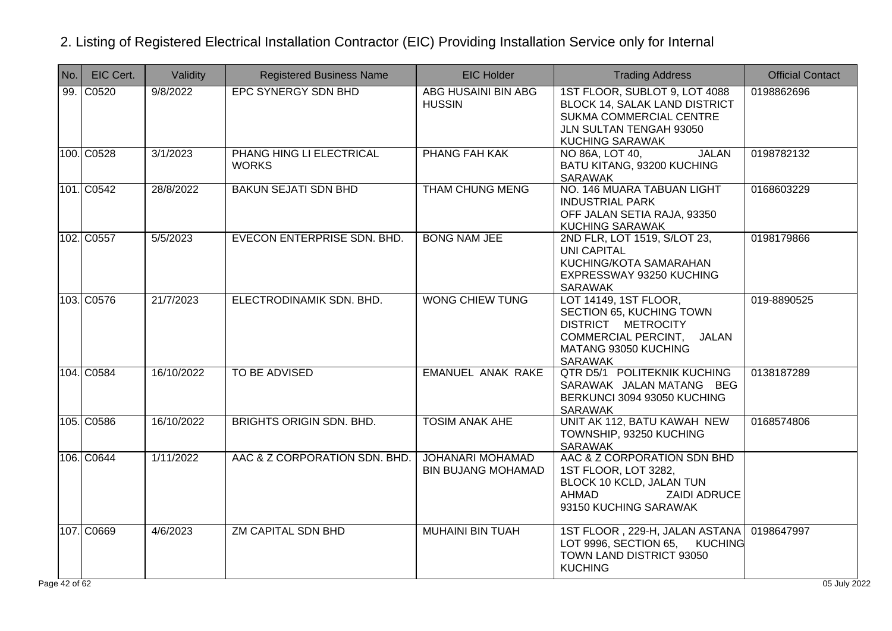| INo.       | EIC Cert.  | Validity   | <b>Registered Business Name</b>          | <b>EIC Holder</b>                             | <b>Trading Address</b>                                                                                                                   | <b>Official Contact</b>    |
|------------|------------|------------|------------------------------------------|-----------------------------------------------|------------------------------------------------------------------------------------------------------------------------------------------|----------------------------|
| 99.        | C0520      | 9/8/2022   | EPC SYNERGY SDN BHD                      | <b>ABG HUSAINI BIN ABG</b><br><b>HUSSIN</b>   | 1ST FLOOR, SUBLOT 9, LOT 4088<br>BLOCK 14, SALAK LAND DISTRICT<br>SUKMA COMMERCIAL CENTRE<br>JLN SULTAN TENGAH 93050<br>KUCHING SARAWAK  | 0198862696                 |
|            | 100. C0528 | 3/1/2023   | PHANG HING LI ELECTRICAL<br><b>WORKS</b> | PHANG FAH KAK                                 | <b>JALAN</b><br>NO 86A, LOT 40,<br>BATU KITANG, 93200 KUCHING<br>SARAWAK                                                                 | 0198782132                 |
|            | 101. C0542 | 28/8/2022  | <b>BAKUN SEJATI SDN BHD</b>              | <b>THAM CHUNG MENG</b>                        | NO. 146 MUARA TABUAN LIGHT<br><b>INDUSTRIAL PARK</b><br>OFF JALAN SETIA RAJA, 93350<br><b>KUCHING SARAWAK</b>                            | 0168603229                 |
|            | 102. C0557 | 5/5/2023   | EVECON ENTERPRISE SDN. BHD.              | <b>BONG NAM JEE</b>                           | 2ND FLR, LOT 1519, S/LOT 23,<br><b>UNI CAPITAL</b><br>KUCHING/KOTA SAMARAHAN<br>EXPRESSWAY 93250 KUCHING<br><b>SARAWAK</b>               | 0198179866                 |
|            | 103. C0576 | 21/7/2023  | ELECTRODINAMIK SDN. BHD.                 | <b>WONG CHIEW TUNG</b>                        | LOT 14149, 1ST FLOOR,<br>SECTION 65, KUCHING TOWN<br>DISTRICT METROCITY<br>COMMERCIAL PERCINT, JALAN<br>MATANG 93050 KUCHING<br>SARAWAK  | 019-8890525                |
|            | 104. C0584 | 16/10/2022 | <b>TO BE ADVISED</b>                     | <b>EMANUEL ANAK RAKE</b>                      | QTR D5/1 POLITEKNIK KUCHING<br>SARAWAK JALAN MATANG BEG<br>BERKUNCI 3094 93050 KUCHING<br>SARAWAK                                        | 0138187289                 |
|            | 105. C0586 | 16/10/2022 | <b>BRIGHTS ORIGIN SDN, BHD.</b>          | <b>TOSIM ANAK AHE</b>                         | UNIT AK 112, BATU KAWAH NEW<br>TOWNSHIP, 93250 KUCHING<br>SARAWAK                                                                        | 0168574806                 |
|            | 106. C0644 | 1/11/2022  | AAC & Z CORPORATION SDN. BHD.            | JOHANARI MOHAMAD<br><b>BIN BUJANG MOHAMAD</b> | AAC & Z CORPORATION SDN BHD<br>1ST FLOOR, LOT 3282,<br>BLOCK 10 KCLD, JALAN TUN<br>AHMAD<br><b>ZAIDI ADRUCE</b><br>93150 KUCHING SARAWAK |                            |
| e 42 of 62 | 107. C0669 | 4/6/2023   | <b>ZM CAPITAL SDN BHD</b>                | <b>MUHAINI BIN TUAH</b>                       | 1ST FLOOR, 229-H, JALAN ASTANA<br>LOT 9996, SECTION 65,<br><b>KUCHING</b><br>TOWN LAND DISTRICT 93050<br><b>KUCHING</b>                  | 0198647997<br>05 July 2022 |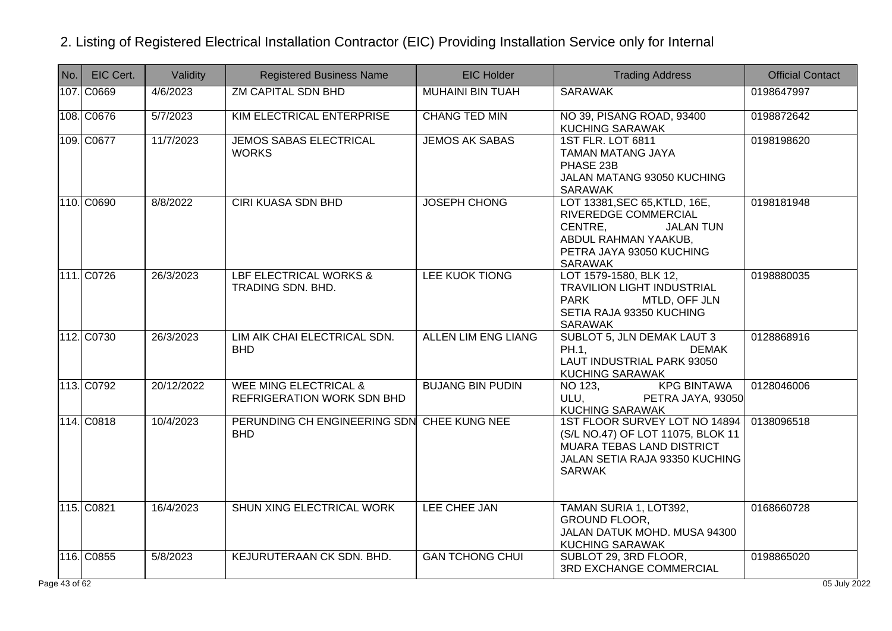| No. | EIC Cert.  | Validity   | <b>Registered Business Name</b>                                | <b>EIC Holder</b>          | <b>Trading Address</b>                                                                                                                                                                                | <b>Official Contact</b> |
|-----|------------|------------|----------------------------------------------------------------|----------------------------|-------------------------------------------------------------------------------------------------------------------------------------------------------------------------------------------------------|-------------------------|
|     | 107. C0669 | 4/6/2023   | <b>ZM CAPITAL SDN BHD</b>                                      | <b>MUHAINI BIN TUAH</b>    | <b>SARAWAK</b>                                                                                                                                                                                        | 0198647997              |
|     | 108. C0676 | 5/7/2023   | <b>KIM ELECTRICAL ENTERPRISE</b>                               | <b>CHANG TED MIN</b>       | NO 39, PISANG ROAD, 93400<br><b>KUCHING SARAWAK</b>                                                                                                                                                   | 0198872642              |
|     | 109. C0677 | 11/7/2023  | <b>JEMOS SABAS ELECTRICAL</b><br><b>WORKS</b>                  | <b>JEMOS AK SABAS</b>      | <b>1ST FLR. LOT 6811</b><br><b>TAMAN MATANG JAYA</b><br>PHASE 23B<br>JALAN MATANG 93050 KUCHING<br><b>SARAWAK</b>                                                                                     | 0198198620              |
|     | 110. C0690 | 8/8/2022   | <b>CIRI KUASA SDN BHD</b>                                      | <b>JOSEPH CHONG</b>        | LOT 13381, SEC 65, KTLD, 16E,<br>RIVEREDGE COMMERCIAL<br>CENTRE,<br><b>JALAN TUN</b><br>ABDUL RAHMAN YAAKUB,<br>PETRA JAYA 93050 KUCHING<br>SARAWAK                                                   | 0198181948              |
|     | 111. C0726 | 26/3/2023  | LBF ELECTRICAL WORKS &<br>TRADING SDN. BHD.                    | LEE KUOK TIONG             | LOT 1579-1580, BLK 12,<br><b>TRAVILION LIGHT INDUSTRIAL</b><br><b>PARK</b><br>MTLD, OFF JLN<br>SETIA RAJA 93350 KUCHING<br><b>SARAWAK</b>                                                             | 0198880035              |
|     | 112. C0730 | 26/3/2023  | LIM AIK CHAI ELECTRICAL SDN.<br><b>BHD</b>                     | <b>ALLEN LIM ENG LIANG</b> | <b>SUBLOT 5, JLN DEMAK LAUT 3</b><br>PH.1.<br><b>DEMAK</b><br>LAUT INDUSTRIAL PARK 93050<br><b>KUCHING SARAWAK</b>                                                                                    | 0128868916              |
|     | 113. C0792 | 20/12/2022 | <b>WEE MING ELECTRICAL &amp;</b><br>REFRIGERATION WORK SDN BHD | <b>BUJANG BIN PUDIN</b>    | <b>KPG BINTAWA</b><br>NO 123,<br>ULU, and the same of the same of the same of the same of the same of the same of the same of the same of the s<br><b>PETRA JAYA, 93050</b><br><b>KUCHING SARAWAK</b> | 0128046006              |
|     | 114. C0818 | 10/4/2023  | PERUNDING CH ENGINEERING SDN CHEE KUNG NEE<br><b>BHD</b>       |                            | 1ST FLOOR SURVEY LOT NO 14894<br>(S/L NO.47) OF LOT 11075, BLOK 11<br>MUARA TEBAS LAND DISTRICT<br>JALAN SETIA RAJA 93350 KUCHING<br><b>SARWAK</b>                                                    | 0138096518              |
|     | 115. C0821 | 16/4/2023  | SHUN XING ELECTRICAL WORK                                      | LEE CHEE JAN               | TAMAN SURIA 1, LOT392,<br><b>GROUND FLOOR,</b><br>JALAN DATUK MOHD. MUSA 94300<br><b>KUCHING SARAWAK</b>                                                                                              | 0168660728              |
|     | 116. C0855 | 5/8/2023   | KEJURUTERAAN CK SDN. BHD.                                      | <b>GAN TCHONG CHUI</b>     | SUBLOT 29, 3RD FLOOR,<br>3RD EXCHANGE COMMERCIAL                                                                                                                                                      | 0198865020              |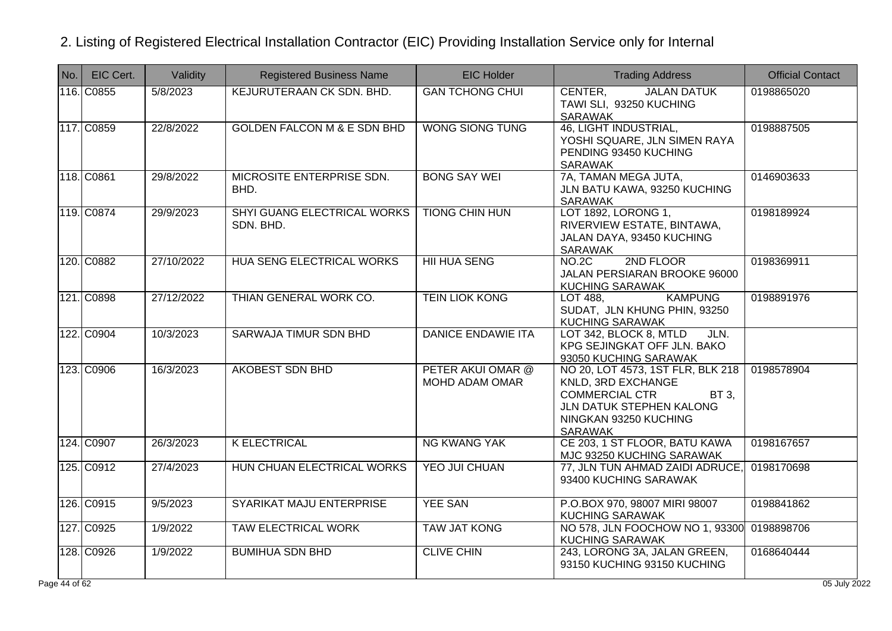| No. | EIC Cert.  | Validity   | <b>Registered Business Name</b>          | <b>EIC Holder</b>                          | <b>Trading Address</b>                                                                                                                                    | <b>Official Contact</b> |
|-----|------------|------------|------------------------------------------|--------------------------------------------|-----------------------------------------------------------------------------------------------------------------------------------------------------------|-------------------------|
|     | 116. C0855 | 5/8/2023   | KEJURUTERAAN CK SDN. BHD.                | <b>GAN TCHONG CHUI</b>                     | CENTER,<br><b>JALAN DATUK</b><br>TAWI SLI, 93250 KUCHING<br><b>SARAWAK</b>                                                                                | 0198865020              |
|     | 117. C0859 | 22/8/2022  | <b>GOLDEN FALCON M &amp; E SDN BHD</b>   | <b>WONG SIONG TUNG</b>                     | 46, LIGHT INDUSTRIAL,<br>YOSHI SQUARE, JLN SIMEN RAYA<br>PENDING 93450 KUCHING<br>SARAWAK                                                                 | 0198887505              |
|     | 118. C0861 | 29/8/2022  | MICROSITE ENTERPRISE SDN.<br>BHD.        | <b>BONG SAY WEI</b>                        | 7A, TAMAN MEGA JUTA,<br>JLN BATU KAWA, 93250 KUCHING<br>SARAWAK                                                                                           | 0146903633              |
|     | 119. C0874 | 29/9/2023  | SHYI GUANG ELECTRICAL WORKS<br>SDN. BHD. | <b>TIONG CHIN HUN</b>                      | LOT 1892, LORONG 1,<br>RIVERVIEW ESTATE, BINTAWA,<br>JALAN DAYA, 93450 KUCHING<br>SARAWAK                                                                 | 0198189924              |
|     | 120. C0882 | 27/10/2022 | HUA SENG ELECTRICAL WORKS                | <b>HII HUA SENG</b>                        | 2ND FLOOR<br><b>NO.2C</b><br>JALAN PERSIARAN BROOKE 96000<br><b>KUCHING SARAWAK</b>                                                                       | 0198369911              |
|     | 121. C0898 | 27/12/2022 | THIAN GENERAL WORK CO.                   | <b>TEIN LIOK KONG</b>                      | <b>KAMPUNG</b><br>LOT 488,<br>SUDAT, JLN KHUNG PHIN, 93250<br><b>KUCHING SARAWAK</b>                                                                      | 0198891976              |
|     | 122. C0904 | 10/3/2023  | SARWAJA TIMUR SDN BHD                    | <b>DANICE ENDAWIE ITA</b>                  | LOT 342, BLOCK 8, MTLD<br>JLN.<br>KPG SEJINGKAT OFF JLN. BAKO<br>93050 KUCHING SARAWAK                                                                    |                         |
|     | 123. C0906 | 16/3/2023  | <b>AKOBEST SDN BHD</b>                   | PETER AKUI OMAR @<br><b>MOHD ADAM OMAR</b> | NO 20, LOT 4573, 1ST FLR, BLK 218<br>KNLD, 3RD EXCHANGE<br><b>COMMERCIAL CTR</b><br>BT 3,<br>JLN DATUK STEPHEN KALONG<br>NINGKAN 93250 KUCHING<br>SARAWAK | 0198578904              |
|     | 124. C0907 | 26/3/2023  | <b>K ELECTRICAL</b>                      | <b>NG KWANG YAK</b>                        | CE 203, 1 ST FLOOR, BATU KAWA<br>MJC 93250 KUCHING SARAWAK                                                                                                | 0198167657              |
|     | 125. C0912 | 27/4/2023  | HUN CHUAN ELECTRICAL WORKS               | <b>YEO JUI CHUAN</b>                       | 77, JLN TUN AHMAD ZAIDI ADRUCE,<br>93400 KUCHING SARAWAK                                                                                                  | 0198170698              |
|     | 126. C0915 | 9/5/2023   | SYARIKAT MAJU ENTERPRISE                 | <b>YEE SAN</b>                             | P.O.BOX 970, 98007 MIRI 98007<br><b>KUCHING SARAWAK</b>                                                                                                   | 0198841862              |
|     | 127. C0925 | 1/9/2022   | <b>TAW ELECTRICAL WORK</b>               | <b>TAW JAT KONG</b>                        | NO 578, JLN FOOCHOW NO 1, 93300<br><b>KUCHING SARAWAK</b>                                                                                                 | 0198898706              |
|     | 128. C0926 | 1/9/2022   | <b>BUMIHUA SDN BHD</b>                   | <b>CLIVE CHIN</b>                          | 243, LORONG 3A, JALAN GREEN,<br>93150 KUCHING 93150 KUCHING                                                                                               | 0168640444              |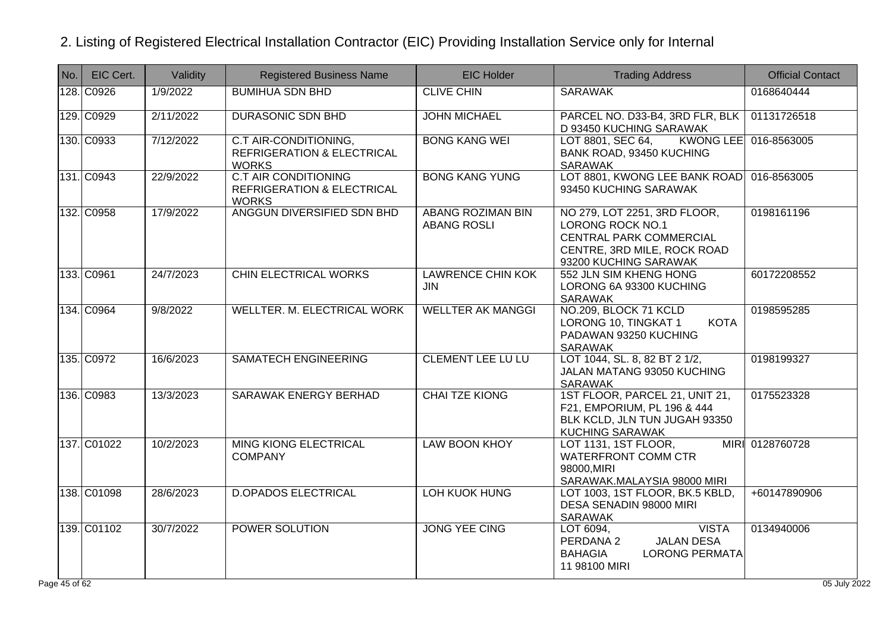| No.        | EIC Cert.   | Validity  | <b>Registered Business Name</b>                                                      | <b>EIC Holder</b>                              | <b>Trading Address</b>                                                                                                              | <b>Official Contact</b> |
|------------|-------------|-----------|--------------------------------------------------------------------------------------|------------------------------------------------|-------------------------------------------------------------------------------------------------------------------------------------|-------------------------|
|            | 128. C0926  | 1/9/2022  | <b>BUMIHUA SDN BHD</b>                                                               | <b>CLIVE CHIN</b>                              | <b>SARAWAK</b>                                                                                                                      | 0168640444              |
|            | 129. C0929  | 2/11/2022 | <b>DURASONIC SDN BHD</b>                                                             | <b>JOHN MICHAEL</b>                            | PARCEL NO. D33-B4, 3RD FLR, BLK<br>D 93450 KUCHING SARAWAK                                                                          | 01131726518             |
|            | 130. C0933  | 7/12/2022 | C.T AIR-CONDITIONING,<br><b>REFRIGERATION &amp; ELECTRICAL</b><br><b>WORKS</b>       | <b>BONG KANG WEI</b>                           | LOT 8801, SEC 64,<br><b>KWONG LEE</b><br>BANK ROAD, 93450 KUCHING<br>SARAWAK                                                        | 016-8563005             |
|            | 131. C0943  | 22/9/2022 | <b>C.T AIR CONDITIONING</b><br><b>REFRIGERATION &amp; ELECTRICAL</b><br><b>WORKS</b> | <b>BONG KANG YUNG</b>                          | LOT 8801, KWONG LEE BANK ROAD 016-8563005<br>93450 KUCHING SARAWAK                                                                  |                         |
|            | 132. C0958  | 17/9/2022 | ANGGUN DIVERSIFIED SDN BHD                                                           | <b>ABANG ROZIMAN BIN</b><br><b>ABANG ROSLI</b> | NO 279, LOT 2251, 3RD FLOOR,<br>LORONG ROCK NO.1<br>CENTRAL PARK COMMERCIAL<br>CENTRE, 3RD MILE, ROCK ROAD<br>93200 KUCHING SARAWAK | 0198161196              |
|            | 133. C0961  | 24/7/2023 | CHIN ELECTRICAL WORKS                                                                | <b>LAWRENCE CHIN KOK</b><br><b>JIN</b>         | 552 JLN SIM KHENG HONG<br>LORONG 6A 93300 KUCHING<br>SARAWAK                                                                        | 60172208552             |
|            | 134. C0964  | 9/8/2022  | <b>WELLTER. M. ELECTRICAL WORK</b>                                                   | <b>WELLTER AK MANGGI</b>                       | NO.209, BLOCK 71 KCLD<br>LORONG 10, TINGKAT 1<br><b>KOTA</b><br>PADAWAN 93250 KUCHING<br><b>SARAWAK</b>                             | 0198595285              |
|            | 135. C0972  | 16/6/2023 | <b>SAMATECH ENGINEERING</b>                                                          | <b>CLEMENT LEE LU LU</b>                       | LOT 1044, SL. 8, 82 BT 2 1/2,<br>JALAN MATANG 93050 KUCHING<br><b>SARAWAK</b>                                                       | 0198199327              |
|            | 136. C0983  | 13/3/2023 | SARAWAK ENERGY BERHAD                                                                | <b>CHAI TZE KIONG</b>                          | 1ST FLOOR, PARCEL 21, UNIT 21,<br>F21, EMPORIUM, PL 196 & 444<br>BLK KCLD, JLN TUN JUGAH 93350<br>KUCHING SARAWAK                   | 0175523328              |
|            | 137. C01022 | 10/2/2023 | <b>MING KIONG ELECTRICAL</b><br><b>COMPANY</b>                                       | <b>LAW BOON KHOY</b>                           | LOT 1131, 1ST FLOOR,<br><b>WATERFRONT COMM CTR</b><br>98000, MIRI<br>SARAWAK.MALAYSIA 98000 MIRI                                    | MIRI 0128760728         |
|            | 138. C01098 | 28/6/2023 | <b>D.OPADOS ELECTRICAL</b>                                                           | <b>LOH KUOK HUNG</b>                           | LOT 1003, 1ST FLOOR, BK.5 KBLD,<br>DESA SENADIN 98000 MIRI<br>SARAWAK                                                               | +60147890906            |
|            | 139. C01102 | 30/7/2022 | <b>POWER SOLUTION</b>                                                                | <b>JONG YEE CING</b>                           | <b>VISTA</b><br>LOT 6094,<br>PERDANA 2<br><b>JALAN DESA</b><br><b>BAHAGIA</b><br><b>LORONG PERMATA</b><br>11 98100 MIRI             | 0134940006              |
| e 45 of 62 |             |           |                                                                                      |                                                |                                                                                                                                     | 05 July 2022            |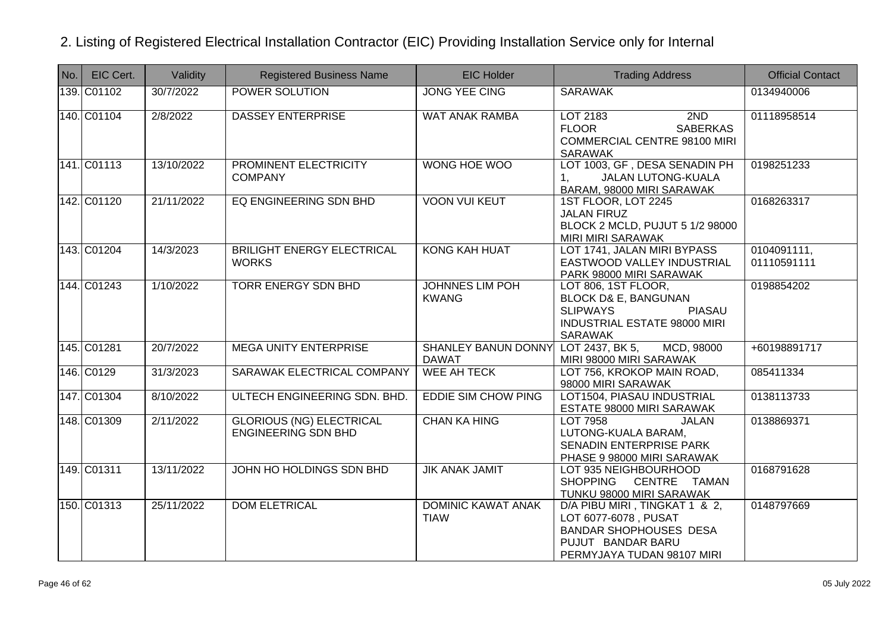| No. | EIC Cert.   | Validity   | <b>Registered Business Name</b>                               | <b>EIC Holder</b>                                   | <b>Trading Address</b>                                                                                                                              | <b>Official Contact</b>    |
|-----|-------------|------------|---------------------------------------------------------------|-----------------------------------------------------|-----------------------------------------------------------------------------------------------------------------------------------------------------|----------------------------|
|     | 139. C01102 | 30/7/2022  | POWER SOLUTION                                                | <b>JONG YEE CING</b>                                | <b>SARAWAK</b>                                                                                                                                      | 0134940006                 |
|     | 140. C01104 | 2/8/2022   | <b>DASSEY ENTERPRISE</b>                                      | <b>WAT ANAK RAMBA</b>                               | LOT 2183<br>2ND<br><b>FLOOR</b><br><b>SABERKAS</b><br><b>COMMERCIAL CENTRE 98100 MIRI</b><br><b>SARAWAK</b>                                         | 01118958514                |
|     | 141. C01113 | 13/10/2022 | PROMINENT ELECTRICITY<br><b>COMPANY</b>                       | <b>WONG HOE WOO</b>                                 | LOT 1003, GF, DESA SENADIN PH<br><b>JALAN LUTONG-KUALA</b><br>1.<br>BARAM, 98000 MIRI SARAWAK                                                       | 0198251233                 |
|     | 142. C01120 | 21/11/2022 | EQ ENGINEERING SDN BHD                                        | <b>VOON VUI KEUT</b>                                | 1ST FLOOR, LOT 2245<br><b>JALAN FIRUZ</b><br>BLOCK 2 MCLD, PUJUT 5 1/2 98000<br>MIRI MIRI SARAWAK                                                   | 0168263317                 |
|     | 143. C01204 | 14/3/2023  | <b>BRILIGHT ENERGY ELECTRICAL</b><br><b>WORKS</b>             | <b>KONG KAH HUAT</b>                                | LOT 1741, JALAN MIRI BYPASS<br>EASTWOOD VALLEY INDUSTRIAL<br>PARK 98000 MIRI SARAWAK                                                                | 0104091111,<br>01110591111 |
|     | 144. C01243 | 1/10/2022  | <b>TORR ENERGY SDN BHD</b>                                    | <b>JOHNNES LIM POH</b><br><b>KWANG</b>              | LOT 806, 1ST FLOOR,<br><b>BLOCK D&amp; E, BANGUNAN</b><br><b>SLIPWAYS</b><br><b>PIASAU</b><br><b>INDUSTRIAL ESTATE 98000 MIRI</b><br><b>SARAWAK</b> | 0198854202                 |
|     | 145. C01281 | 20/7/2022  | <b>MEGA UNITY ENTERPRISE</b>                                  | SHANLEY BANUN DONNY LOT 2437, BK 5,<br><b>DAWAT</b> | MCD, 98000<br>MIRI 98000 MIRI SARAWAK                                                                                                               | +60198891717               |
|     | 146. C0129  | 31/3/2023  | SARAWAK ELECTRICAL COMPANY                                    | <b>WEE AH TECK</b>                                  | LOT 756, KROKOP MAIN ROAD,<br>98000 MIRI SARAWAK                                                                                                    | 085411334                  |
|     | 147. C01304 | 8/10/2022  | ULTECH ENGINEERING SDN. BHD.                                  | <b>EDDIE SIM CHOW PING</b>                          | LOT1504, PIASAU INDUSTRIAL<br>ESTATE 98000 MIRI SARAWAK                                                                                             | 0138113733                 |
|     | 148. C01309 | 2/11/2022  | <b>GLORIOUS (NG) ELECTRICAL</b><br><b>ENGINEERING SDN BHD</b> | <b>CHAN KA HING</b>                                 | LOT 7958<br><b>JALAN</b><br>LUTONG-KUALA BARAM,<br><b>SENADIN ENTERPRISE PARK</b><br>PHASE 9 98000 MIRI SARAWAK                                     | 0138869371                 |
|     | 149. C01311 | 13/11/2022 | JOHN HO HOLDINGS SDN BHD                                      | <b>JIK ANAK JAMIT</b>                               | LOT 935 NEIGHBOURHOOD<br><b>SHOPPING</b><br>CENTRE TAMAN<br>TUNKU 98000 MIRI SARAWAK                                                                | 0168791628                 |
|     | 150. C01313 | 25/11/2022 | <b>DOM ELETRICAL</b>                                          | <b>DOMINIC KAWAT ANAK</b><br><b>TIAW</b>            | D/A PIBU MIRI, TINGKAT 1 & 2,<br>LOT 6077-6078, PUSAT<br><b>BANDAR SHOPHOUSES DESA</b><br>PUJUT BANDAR BARU<br>PERMYJAYA TUDAN 98107 MIRI           | 0148797669                 |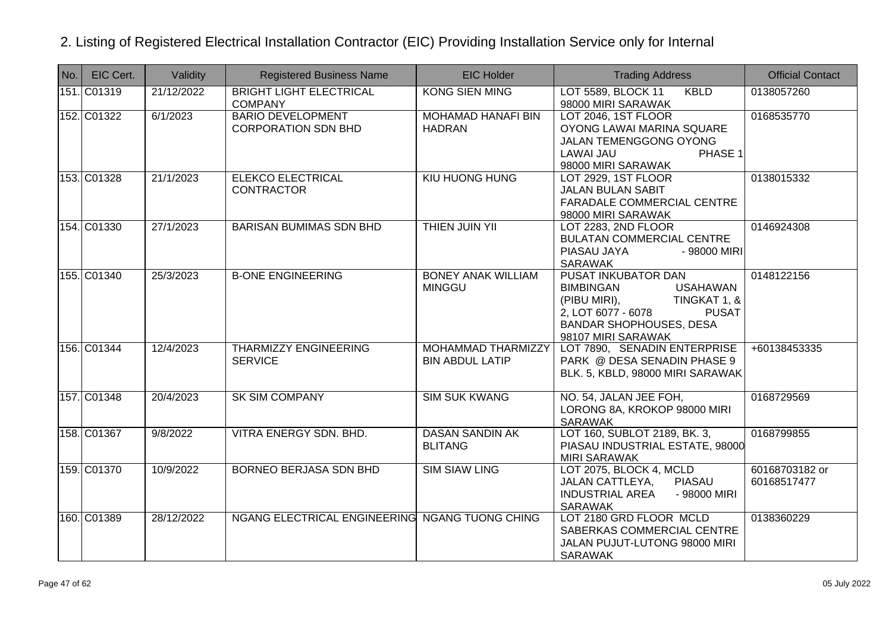| No. | EIC Cert.   | Validity   | <b>Registered Business Name</b>                        | <b>EIC Holder</b>                                   | <b>Trading Address</b>                                                                                                                                                                   | <b>Official Contact</b>       |
|-----|-------------|------------|--------------------------------------------------------|-----------------------------------------------------|------------------------------------------------------------------------------------------------------------------------------------------------------------------------------------------|-------------------------------|
|     | 151. C01319 | 21/12/2022 | <b>BRIGHT LIGHT ELECTRICAL</b><br><b>COMPANY</b>       | <b>KONG SIEN MING</b>                               | LOT 5589, BLOCK 11<br><b>KBLD</b><br>98000 MIRI SARAWAK                                                                                                                                  | 0138057260                    |
|     | 152. C01322 | 6/1/2023   | <b>BARIO DEVELOPMENT</b><br><b>CORPORATION SDN BHD</b> | <b>MOHAMAD HANAFI BIN</b><br><b>HADRAN</b>          | LOT 2046, 1ST FLOOR<br>OYONG LAWAI MARINA SQUARE<br>JALAN TEMENGGONG OYONG<br>LAWAI JAU<br>PHASE 1<br>98000 MIRI SARAWAK                                                                 | 0168535770                    |
|     | 153. C01328 | 21/1/2023  | <b>ELEKCO ELECTRICAL</b><br><b>CONTRACTOR</b>          | <b>KIU HUONG HUNG</b>                               | <b>LOT 2929, 1ST FLOOR</b><br><b>JALAN BULAN SABIT</b><br>FARADALE COMMERCIAL CENTRE<br>98000 MIRI SARAWAK                                                                               | 0138015332                    |
|     | 154. C01330 | 27/1/2023  | <b>BARISAN BUMIMAS SDN BHD</b>                         | <b>THIEN JUIN YII</b>                               | LOT 2283, 2ND FLOOR<br><b>BULATAN COMMERCIAL CENTRE</b><br>PIASAU JAYA<br>- 98000 MIRI<br>SARAWAK                                                                                        | 0146924308                    |
|     | 155. C01340 | 25/3/2023  | <b>B-ONE ENGINEERING</b>                               | <b>BONEY ANAK WILLIAM</b><br><b>MINGGU</b>          | PUSAT INKUBATOR DAN<br><b>USAHAWAN</b><br><b>BIMBINGAN</b><br>(PIBU MIRI),<br>TINGKAT 1, &<br>2, LOT 6077 - 6078<br><b>PUSAT</b><br><b>BANDAR SHOPHOUSES, DESA</b><br>98107 MIRI SARAWAK | 0148122156                    |
|     | 156. C01344 | 12/4/2023  | <b>THARMIZZY ENGINEERING</b><br><b>SERVICE</b>         | <b>MOHAMMAD THARMIZZY</b><br><b>BIN ABDUL LATIP</b> | LOT 7890, SENADIN ENTERPRISE<br>PARK @ DESA SENADIN PHASE 9<br>BLK. 5, KBLD, 98000 MIRI SARAWAK                                                                                          | +60138453335                  |
|     | 157. C01348 | 20/4/2023  | <b>SK SIM COMPANY</b>                                  | <b>SIM SUK KWANG</b>                                | NO. 54, JALAN JEE FOH,<br>LORONG 8A, KROKOP 98000 MIRI<br><b>SARAWAK</b>                                                                                                                 | 0168729569                    |
|     | 158. C01367 | 9/8/2022   | VITRA ENERGY SDN. BHD.                                 | <b>DASAN SANDIN AK</b><br><b>BLITANG</b>            | LOT 160, SUBLOT 2189, BK. 3,<br>PIASAU INDUSTRIAL ESTATE, 98000<br><b>MIRI SARAWAK</b>                                                                                                   | 0168799855                    |
|     | 159. C01370 | 10/9/2022  | <b>BORNEO BERJASA SDN BHD</b>                          | <b>SIM SIAW LING</b>                                | LOT 2075, BLOCK 4, MCLD<br><b>PIASAU</b><br>JALAN CATTLEYA,<br><b>INDUSTRIAL AREA</b><br>- 98000 MIRI<br><b>SARAWAK</b>                                                                  | 60168703182 or<br>60168517477 |
|     | 160. C01389 | 28/12/2022 | NGANG ELECTRICAL ENGINEERING NGANG TUONG CHING         |                                                     | LOT 2180 GRD FLOOR MCLD<br>SABERKAS COMMERCIAL CENTRE<br>JALAN PUJUT-LUTONG 98000 MIRI<br><b>SARAWAK</b>                                                                                 | 0138360229                    |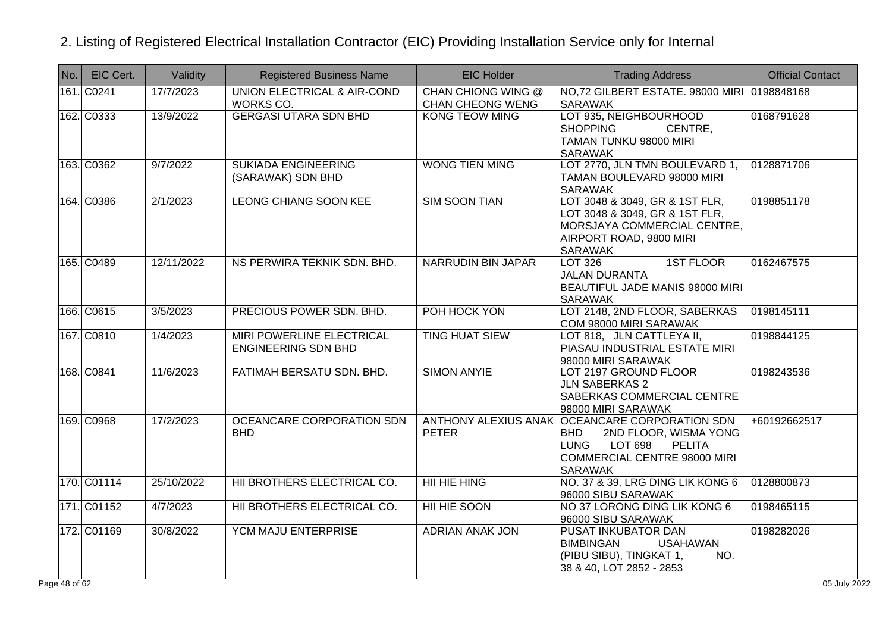| No. | EIC Cert.   | Validity   | <b>Registered Business Name</b>                                | <b>EIC Holder</b>                                    | <b>Trading Address</b>                                                                                                                                        | <b>Official Contact</b> |
|-----|-------------|------------|----------------------------------------------------------------|------------------------------------------------------|---------------------------------------------------------------------------------------------------------------------------------------------------------------|-------------------------|
|     | 161. C0241  | 17/7/2023  | UNION ELECTRICAL & AIR-COND<br>WORKS CO.                       | <b>CHAN CHIONG WING @</b><br><b>CHAN CHEONG WENG</b> | NO.72 GILBERT ESTATE. 98000 MIRI<br><b>SARAWAK</b>                                                                                                            | 0198848168              |
|     | 162. C0333  | 13/9/2022  | <b>GERGASI UTARA SDN BHD</b>                                   | <b>KONG TEOW MING</b>                                | LOT 935, NEIGHBOURHOOD<br><b>SHOPPING</b><br>CENTRE,<br>TAMAN TUNKU 98000 MIRI<br><b>SARAWAK</b>                                                              | 0168791628              |
|     | 163. C0362  | 9/7/2022   | <b>SUKIADA ENGINEERING</b><br>(SARAWAK) SDN BHD                | <b>WONG TIEN MING</b>                                | LOT 2770, JLN TMN BOULEVARD 1,<br>TAMAN BOULEVARD 98000 MIRI<br><b>SARAWAK</b>                                                                                | 0128871706              |
|     | 164. C0386  | 2/1/2023   | <b>LEONG CHIANG SOON KEE</b>                                   | <b>SIM SOON TIAN</b>                                 | LOT 3048 & 3049, GR & 1ST FLR,<br>LOT 3048 & 3049, GR & 1ST FLR,<br>MORSJAYA COMMERCIAL CENTRE,<br>AIRPORT ROAD, 9800 MIRI<br><b>SARAWAK</b>                  | 0198851178              |
|     | 165. C0489  | 12/11/2022 | NS PERWIRA TEKNIK SDN. BHD.                                    | <b>NARRUDIN BIN JAPAR</b>                            | <b>1ST FLOOR</b><br><b>LOT 326</b><br><b>JALAN DURANTA</b><br>BEAUTIFUL JADE MANIS 98000 MIRI<br><b>SARAWAK</b>                                               | 0162467575              |
|     | 166. C0615  | 3/5/2023   | PRECIOUS POWER SDN. BHD.                                       | POH HOCK YON                                         | LOT 2148, 2ND FLOOR, SABERKAS<br>COM 98000 MIRI SARAWAK                                                                                                       | 0198145111              |
|     | 167. C0810  | 1/4/2023   | <b>MIRI POWERLINE ELECTRICAL</b><br><b>ENGINEERING SDN BHD</b> | <b>TING HUAT SIEW</b>                                | LOT 818, JLN CATTLEYA II,<br>PIASAU INDUSTRIAL ESTATE MIRI<br>98000 MIRI SARAWAK                                                                              | 0198844125              |
|     | 168. C0841  | 11/6/2023  | FATIMAH BERSATU SDN. BHD.                                      | <b>SIMON ANYIE</b>                                   | LOT 2197 GROUND FLOOR<br><b>JLN SABERKAS 2</b><br>SABERKAS COMMERCIAL CENTRE<br>98000 MIRI SARAWAK                                                            | 0198243536              |
|     | 169. C0968  | 17/2/2023  | OCEANCARE CORPORATION SDN<br><b>BHD</b>                        | <b>ANTHONY ALEXIUS ANAK</b><br><b>PETER</b>          | OCEANCARE CORPORATION SDN<br>2ND FLOOR, WISMA YONG<br><b>BHD</b><br><b>LUNG</b><br>LOT 698<br><b>PELITA</b><br>COMMERCIAL CENTRE 98000 MIRI<br><b>SARAWAK</b> | +60192662517            |
|     | 170. C01114 | 25/10/2022 | HII BROTHERS ELECTRICAL CO.                                    | <b>HII HIE HING</b>                                  | NO. 37 & 39, LRG DING LIK KONG 6<br>96000 SIBU SARAWAK                                                                                                        | 0128800873              |
|     | 171. C01152 | 4/7/2023   | HII BROTHERS ELECTRICAL CO.                                    | HII HIE SOON                                         | NO 37 LORONG DING LIK KONG 6<br>96000 SIBU SARAWAK                                                                                                            | 0198465115              |
|     | 172. C01169 | 30/8/2022  | YCM MAJU ENTERPRISE                                            | <b>ADRIAN ANAK JON</b>                               | PUSAT INKUBATOR DAN<br><b>BIMBINGAN</b><br><b>USAHAWAN</b><br>(PIBU SIBU), TINGKAT 1,<br>NO.<br>38 & 40, LOT 2852 - 2853                                      | 0198282026              |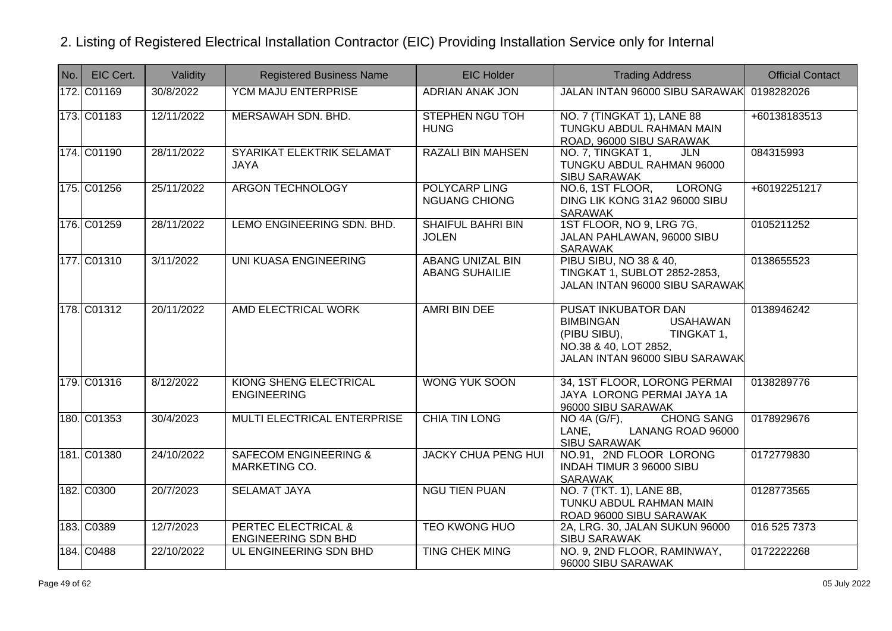| $N$ o. | EIC Cert.   | Validity   | <b>Registered Business Name</b>                              | <b>EIC Holder</b>                                | <b>Trading Address</b>                                                                                                                              | <b>Official Contact</b> |
|--------|-------------|------------|--------------------------------------------------------------|--------------------------------------------------|-----------------------------------------------------------------------------------------------------------------------------------------------------|-------------------------|
|        | 172. C01169 | 30/8/2022  | YCM MAJU ENTERPRISE                                          | <b>ADRIAN ANAK JON</b>                           | JALAN INTAN 96000 SIBU SARAWAK 0198282026                                                                                                           |                         |
|        | 173. C01183 | 12/11/2022 | MERSAWAH SDN. BHD.                                           | <b>STEPHEN NGU TOH</b><br><b>HUNG</b>            | NO. 7 (TINGKAT 1), LANE 88<br>TUNGKU ABDUL RAHMAN MAIN<br>ROAD, 96000 SIBU SARAWAK                                                                  | +60138183513            |
|        | 174. C01190 | 28/11/2022 | SYARIKAT ELEKTRIK SELAMAT<br><b>JAYA</b>                     | <b>RAZALI BIN MAHSEN</b>                         | NO. 7, TINGKAT 1,<br>JLN<br>TUNGKU ABDUL RAHMAN 96000<br>SIBU SARAWAK                                                                               | 084315993               |
|        | 175. C01256 | 25/11/2022 | ARGON TECHNOLOGY                                             | POLYCARP LING<br><b>NGUANG CHIONG</b>            | NO.6, 1ST FLOOR,<br><b>LORONG</b><br>DING LIK KONG 31A2 96000 SIBU<br>SARAWAK                                                                       | +60192251217            |
|        | 176. C01259 | 28/11/2022 | LEMO ENGINEERING SDN. BHD.                                   | <b>SHAIFUL BAHRI BIN</b><br><b>JOLEN</b>         | 1ST FLOOR, NO 9, LRG 7G,<br>JALAN PAHLAWAN, 96000 SIBU<br>SARAWAK                                                                                   | 0105211252              |
|        | 177. C01310 | 3/11/2022  | UNI KUASA ENGINEERING                                        | <b>ABANG UNIZAL BIN</b><br><b>ABANG SUHAILIE</b> | PIBU SIBU, NO 38 & 40,<br>TINGKAT 1, SUBLOT 2852-2853,<br>JALAN INTAN 96000 SIBU SARAWAK                                                            | 0138655523              |
|        | 178. C01312 | 20/11/2022 | AMD ELECTRICAL WORK                                          | <b>AMRI BIN DEE</b>                              | PUSAT INKUBATOR DAN<br><b>BIMBINGAN</b><br><b>USAHAWAN</b><br>(PIBU SIBU),<br>TINGKAT 1,<br>NO.38 & 40, LOT 2852,<br>JALAN INTAN 96000 SIBU SARAWAK | 0138946242              |
|        | 179. C01316 | 8/12/2022  | KIONG SHENG ELECTRICAL<br><b>ENGINEERING</b>                 | <b>WONG YUK SOON</b>                             | 34, 1ST FLOOR, LORONG PERMAI<br>JAYA LORONG PERMAI JAYA 1A<br>96000 SIBU SARAWAK                                                                    | 0138289776              |
|        | 180. C01353 | 30/4/2023  | MULTI ELECTRICAL ENTERPRISE                                  | <b>CHIA TIN LONG</b>                             | <b>CHONG SANG</b><br>$NO$ 4A $(G/F)$ ,<br>LANANG ROAD 96000<br>LANE.<br><b>SIBU SARAWAK</b>                                                         | 0178929676              |
|        | 181. C01380 | 24/10/2022 | <b>SAFECOM ENGINEERING &amp;</b><br>MARKETING CO.            | <b>JACKY CHUA PENG HUI</b>                       | NO.91, 2ND FLOOR LORONG<br>INDAH TIMUR 3 96000 SIBU<br>SARAWAK                                                                                      | 0172779830              |
|        | 182. C0300  | 20/7/2023  | <b>SELAMAT JAYA</b>                                          | <b>NGU TIEN PUAN</b>                             | NO. 7 (TKT. 1), LANE 8B,<br>TUNKU ABDUL RAHMAN MAIN<br>ROAD 96000 SIBU SARAWAK                                                                      | 0128773565              |
|        | 183. C0389  | 12/7/2023  | <b>PERTEC ELECTRICAL &amp;</b><br><b>ENGINEERING SDN BHD</b> | <b>TEO KWONG HUO</b>                             | 2A, LRG. 30, JALAN SUKUN 96000<br><b>SIBU SARAWAK</b>                                                                                               | 016 525 7373            |
|        | 184. C0488  | 22/10/2022 | UL ENGINEERING SDN BHD                                       | <b>TING CHEK MING</b>                            | NO. 9, 2ND FLOOR, RAMINWAY,<br>96000 SIBU SARAWAK                                                                                                   | 0172222268              |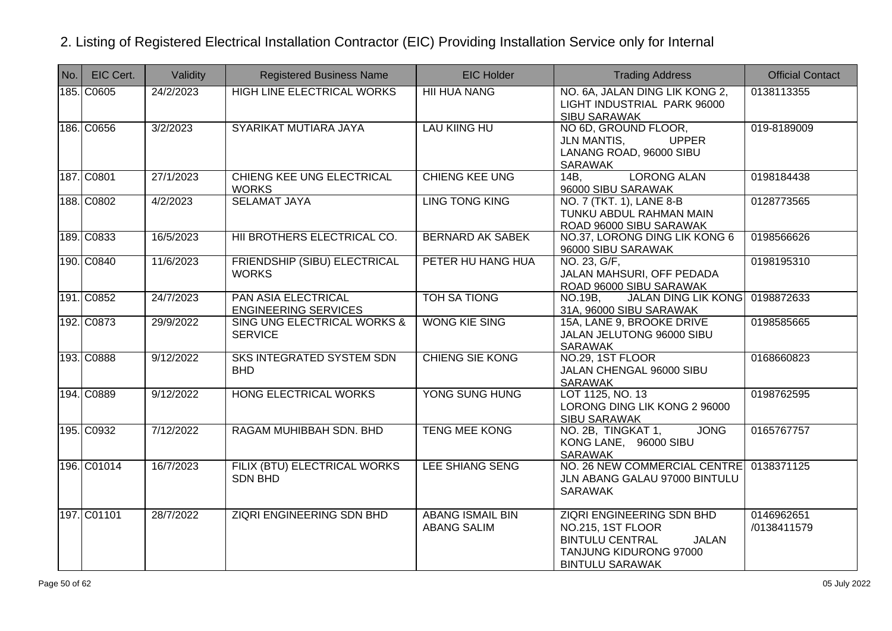| No. | EIC Cert.   | Validity  | <b>Registered Business Name</b>                           | <b>EIC Holder</b>                             | <b>Trading Address</b>                                                                                                                              | <b>Official Contact</b>   |
|-----|-------------|-----------|-----------------------------------------------------------|-----------------------------------------------|-----------------------------------------------------------------------------------------------------------------------------------------------------|---------------------------|
|     | 185. C0605  | 24/2/2023 | <b>HIGH LINE ELECTRICAL WORKS</b>                         | <b>HII HUA NANG</b>                           | NO. 6A, JALAN DING LIK KONG 2,<br>LIGHT INDUSTRIAL PARK 96000<br><b>SIBU SARAWAK</b>                                                                | 0138113355                |
|     | 186. C0656  | 3/2/2023  | SYARIKAT MUTIARA JAYA                                     | <b>LAU KIING HU</b>                           | NO 6D, GROUND FLOOR,<br><b>UPPER</b><br><b>JLN MANTIS,</b><br>LANANG ROAD, 96000 SIBU<br>SARAWAK                                                    | 019-8189009               |
|     | 187. C0801  | 27/1/2023 | <b>CHIENG KEE UNG ELECTRICAL</b><br><b>WORKS</b>          | <b>CHIENG KEE UNG</b>                         | <b>LORONG ALAN</b><br>14B<br>96000 SIBU SARAWAK                                                                                                     | 0198184438                |
|     | 188. C0802  | 4/2/2023  | <b>SELAMAT JAYA</b>                                       | <b>LING TONG KING</b>                         | NO. 7 (TKT. 1), LANE 8-B<br>TUNKU ABDUL RAHMAN MAIN<br>ROAD 96000 SIBU SARAWAK                                                                      | 0128773565                |
|     | 189. C0833  | 16/5/2023 | HII BROTHERS ELECTRICAL CO.                               | <b>BERNARD AK SABEK</b>                       | NO.37, LORONG DING LIK KONG 6<br>96000 SIBU SARAWAK                                                                                                 | 0198566626                |
|     | 190. C0840  | 11/6/2023 | FRIENDSHIP (SIBU) ELECTRICAL<br><b>WORKS</b>              | PETER HU HANG HUA                             | NO. 23, G/F,<br>JALAN MAHSURI, OFF PEDADA<br>ROAD 96000 SIBU SARAWAK                                                                                | 0198195310                |
|     | 191. C0852  | 24/7/2023 | <b>PAN ASIA ELECTRICAL</b><br><b>ENGINEERING SERVICES</b> | <b>TOH SA TIONG</b>                           | <b>JALAN DING LIK KONG</b><br>NO.19B.<br>31A, 96000 SIBU SARAWAK                                                                                    | 0198872633                |
|     | 192. C0873  | 29/9/2022 | SING UNG ELECTRICAL WORKS &<br><b>SERVICE</b>             | <b>WONG KIE SING</b>                          | 15A, LANE 9, BROOKE DRIVE<br>JALAN JELUTONG 96000 SIBU<br><b>SARAWAK</b>                                                                            | 0198585665                |
|     | 193. C0888  | 9/12/2022 | <b>SKS INTEGRATED SYSTEM SDN</b><br><b>BHD</b>            | <b>CHIENG SIE KONG</b>                        | NO.29, 1ST FLOOR<br>JALAN CHENGAL 96000 SIBU<br><b>SARAWAK</b>                                                                                      | 0168660823                |
|     | 194. C0889  | 9/12/2022 | <b>HONG ELECTRICAL WORKS</b>                              | YONG SUNG HUNG                                | LOT 1125, NO. 13<br>LORONG DING LIK KONG 2 96000<br><b>SIBU SARAWAK</b>                                                                             | 0198762595                |
|     | 195. C0932  | 7/12/2022 | RAGAM MUHIBBAH SDN. BHD                                   | <b>TENG MEE KONG</b>                          | <b>JONG</b><br>NO. 2B, TINGKAT 1,<br>KONG LANE, 96000 SIBU<br>SARAWAK                                                                               | 0165767757                |
|     | 196. C01014 | 16/7/2023 | FILIX (BTU) ELECTRICAL WORKS<br><b>SDN BHD</b>            | <b>LEE SHIANG SENG</b>                        | NO. 26 NEW COMMERCIAL CENTRE<br>JLN ABANG GALAU 97000 BINTULU<br><b>SARAWAK</b>                                                                     | 0138371125                |
|     | 197. C01101 | 28/7/2022 | <b>ZIQRI ENGINEERING SDN BHD</b>                          | <b>ABANG ISMAIL BIN</b><br><b>ABANG SALIM</b> | <b>ZIQRI ENGINEERING SDN BHD</b><br>NO.215, 1ST FLOOR<br><b>BINTULU CENTRAL</b><br><b>JALAN</b><br>TANJUNG KIDURONG 97000<br><b>BINTULU SARAWAK</b> | 0146962651<br>/0138411579 |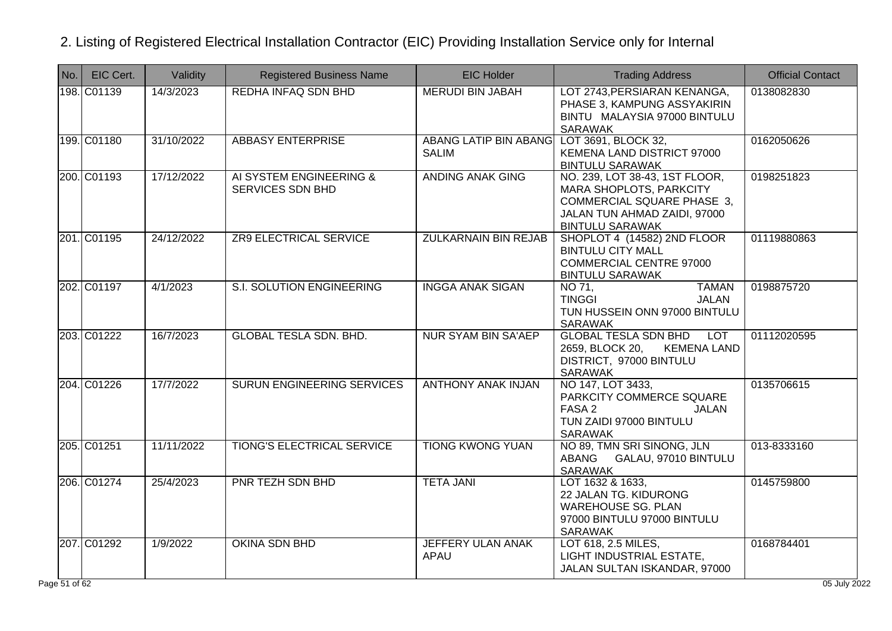| No. | EIC Cert.                 | Validity   | <b>Registered Business Name</b>             | <b>EIC Holder</b>                                         | <b>Trading Address</b>                                                                                                                                   | <b>Official Contact</b>    |
|-----|---------------------------|------------|---------------------------------------------|-----------------------------------------------------------|----------------------------------------------------------------------------------------------------------------------------------------------------------|----------------------------|
|     | 198. C01139               | 14/3/2023  | REDHA INFAQ SDN BHD                         | <b>MERUDI BIN JABAH</b>                                   | LOT 2743, PERSIARAN KENANGA,<br>PHASE 3, KAMPUNG ASSYAKIRIN<br>BINTU MALAYSIA 97000 BINTULU<br>SARAWAK                                                   | 0138082830                 |
|     | 199. C01180               | 31/10/2022 | <b>ABBASY ENTERPRISE</b>                    | ABANG LATIP BIN ABANG LOT 3691, BLOCK 32,<br><b>SALIM</b> | KEMENA LAND DISTRICT 97000<br><b>BINTULU SARAWAK</b>                                                                                                     | 0162050626                 |
|     | 200. C01193               | 17/12/2022 | AI SYSTEM ENGINEERING &<br>SERVICES SDN BHD | <b>ANDING ANAK GING</b>                                   | NO. 239, LOT 38-43, 1ST FLOOR,<br>MARA SHOPLOTS, PARKCITY<br><b>COMMERCIAL SQUARE PHASE 3,</b><br>JALAN TUN AHMAD ZAIDI, 97000<br><b>BINTULU SARAWAK</b> | 0198251823                 |
|     | 201. C01195               | 24/12/2022 | <b>ZR9 ELECTRICAL SERVICE</b>               | <b>ZULKARNAIN BIN REJAB</b>                               | SHOPLOT 4 (14582) 2ND FLOOR<br><b>BINTULU CITY MALL</b><br><b>COMMERCIAL CENTRE 97000</b><br><b>BINTULU SARAWAK</b>                                      | 01119880863                |
|     | 202. C01197               | 4/1/2023   | <b>S.I. SOLUTION ENGINEERING</b>            | <b>INGGA ANAK SIGAN</b>                                   | NO 71,<br><b>TAMAN</b><br><b>TINGGI</b><br><b>JALAN</b><br>TUN HUSSEIN ONN 97000 BINTULU<br><b>SARAWAK</b>                                               | 0198875720                 |
|     | 203. C01222               | 16/7/2023  | <b>GLOBAL TESLA SDN. BHD.</b>               | <b>NUR SYAM BIN SA'AEP</b>                                | <b>GLOBAL TESLA SDN BHD</b><br><b>LOT</b><br>2659, BLOCK 20,<br><b>KEMENA LAND</b><br>DISTRICT, 97000 BINTULU<br><b>SARAWAK</b>                          | 01112020595                |
|     | 204. C01226               | 17/7/2022  | SURUN ENGINEERING SERVICES                  | <b>ANTHONY ANAK INJAN</b>                                 | NO 147, LOT 3433,<br>PARKCITY COMMERCE SQUARE<br>FASA 2<br><b>JALAN</b><br>TUN ZAIDI 97000 BINTULU<br><b>SARAWAK</b>                                     | 0135706615                 |
|     | 205. C01251               | 11/11/2022 | TIONG'S ELECTRICAL SERVICE                  | <b>TIONG KWONG YUAN</b>                                   | NO 89, TMN SRI SINONG, JLN<br>GALAU, 97010 BINTULU<br>ABANG<br><b>SARAWAK</b>                                                                            | 013-8333160                |
|     | 206. C01274               | 25/4/2023  | <b>PNR TEZH SDN BHD</b>                     | <b>TETA JANI</b>                                          | LOT 1632 & 1633,<br>22 JALAN TG. KIDURONG<br><b>WAREHOUSE SG. PLAN</b><br>97000 BINTULU 97000 BINTULU<br><b>SARAWAK</b>                                  | 0145759800                 |
|     | 207. C01292<br>e 51 of 62 | 1/9/2022   | <b>OKINA SDN BHD</b>                        | JEFFERY ULAN ANAK<br>APAU                                 | LOT 618, 2.5 MILES,<br>LIGHT INDUSTRIAL ESTATE,<br>JALAN SULTAN ISKANDAR, 97000                                                                          | 0168784401<br>05 July 2022 |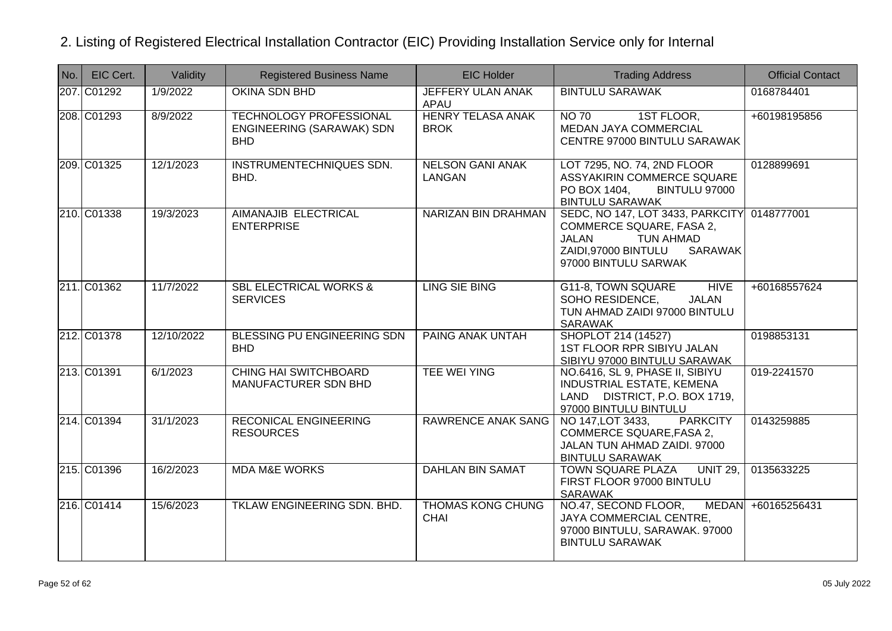| No. | EIC Cert.   | Validity   | <b>Registered Business Name</b>                                           | <b>EIC Holder</b>                       | <b>Trading Address</b>                                                                                                                                                | <b>Official Contact</b> |
|-----|-------------|------------|---------------------------------------------------------------------------|-----------------------------------------|-----------------------------------------------------------------------------------------------------------------------------------------------------------------------|-------------------------|
|     | 207. C01292 | 1/9/2022   | OKINA SDN BHD                                                             | JEFFERY ULAN ANAK<br>APAU               | <b>BINTULU SARAWAK</b>                                                                                                                                                | 0168784401              |
|     | 208. C01293 | 8/9/2022   | <b>TECHNOLOGY PROFESSIONAL</b><br>ENGINEERING (SARAWAK) SDN<br><b>BHD</b> | <b>HENRY TELASA ANAK</b><br><b>BROK</b> | <b>NO 70</b><br>1ST FLOOR,<br>MEDAN JAYA COMMERCIAL<br>CENTRE 97000 BINTULU SARAWAK                                                                                   | +60198195856            |
|     | 209. C01325 | 12/1/2023  | INSTRUMENTECHNIQUES SDN.<br>BHD.                                          | <b>NELSON GANI ANAK</b><br>LANGAN       | LOT 7295, NO. 74, 2ND FLOOR<br>ASSYAKIRIN COMMERCE SQUARE<br>PO BOX 1404,<br>BINTULU 97000<br><b>BINTULU SARAWAK</b>                                                  | 0128899691              |
|     | 210. C01338 | 19/3/2023  | AIMANAJIB ELECTRICAL<br><b>ENTERPRISE</b>                                 | NARIZAN BIN DRAHMAN                     | SEDC, NO 147, LOT 3433, PARKCITY 0148777001<br>COMMERCE SQUARE, FASA 2,<br>JALAN<br><b>TUN AHMAD</b><br>ZAIDI,97000 BINTULU<br><b>SARAWAK</b><br>97000 BINTULU SARWAK |                         |
|     | 211. C01362 | 11/7/2022  | <b>SBL ELECTRICAL WORKS &amp;</b><br><b>SERVICES</b>                      | <b>LING SIE BING</b>                    | G11-8, TOWN SQUARE<br><b>HIVE</b><br>SOHO RESIDENCE,<br><b>JALAN</b><br>TUN AHMAD ZAIDI 97000 BINTULU<br><b>SARAWAK</b>                                               | +60168557624            |
|     | 212. C01378 | 12/10/2022 | BLESSING PU ENGINEERING SDN<br><b>BHD</b>                                 | <b>PAING ANAK UNTAH</b>                 | SHOPLOT 214 (14527)<br>1ST FLOOR RPR SIBIYU JALAN<br>SIBIYU 97000 BINTULU SARAWAK                                                                                     | 0198853131              |
|     | 213. C01391 | 6/1/2023   | <b>CHING HAI SWITCHBOARD</b><br>MANUFACTURER SDN BHD                      | <b>TEE WEI YING</b>                     | NO.6416, SL 9, PHASE II, SIBIYU<br>INDUSTRIAL ESTATE, KEMENA<br>LAND DISTRICT, P.O. BOX 1719,<br>97000 BINTULU BINTULU                                                | 019-2241570             |
|     | 214. C01394 | 31/1/2023  | <b>RECONICAL ENGINEERING</b><br><b>RESOURCES</b>                          | <b>RAWRENCE ANAK SANG</b>               | NO 147, LOT 3433,<br><b>PARKCITY</b><br><b>COMMERCE SQUARE, FASA 2.</b><br>JALAN TUN AHMAD ZAIDI. 97000<br><b>BINTULU SARAWAK</b>                                     | 0143259885              |
|     | 215. C01396 | 16/2/2023  | <b>MDA M&amp;E WORKS</b>                                                  | <b>DAHLAN BIN SAMAT</b>                 | <b>UNIT 29.</b><br><b>TOWN SQUARE PLAZA</b><br>FIRST FLOOR 97000 BINTULU<br><b>SARAWAK</b>                                                                            | 0135633225              |
|     | 216. C01414 | 15/6/2023  | TKLAW ENGINEERING SDN. BHD.                                               | <b>THOMAS KONG CHUNG</b><br><b>CHAI</b> | NO.47, SECOND FLOOR,<br>JAYA COMMERCIAL CENTRE,<br>97000 BINTULU, SARAWAK. 97000<br><b>BINTULU SARAWAK</b>                                                            | MEDAN +60165256431      |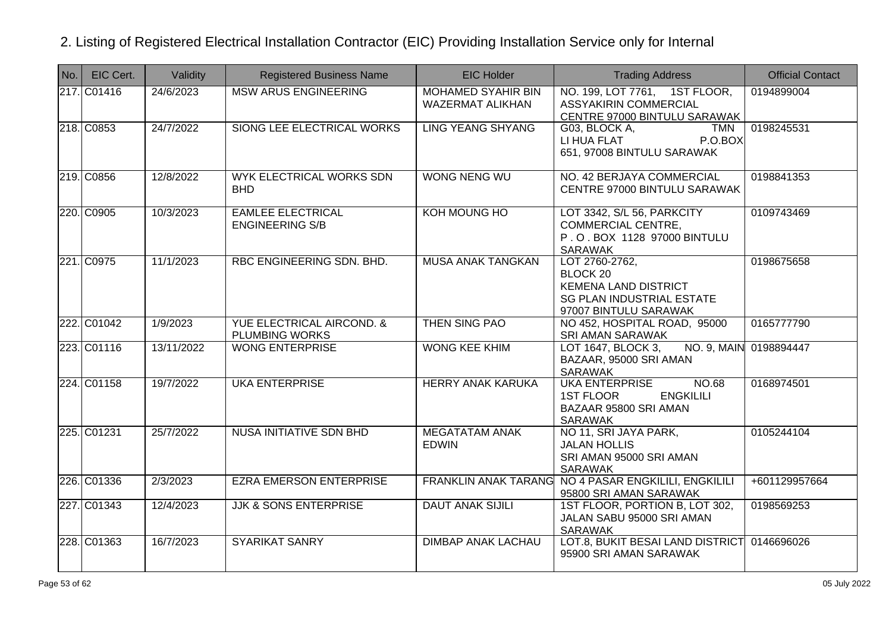| $\vert$ No. $\vert$ | EIC Cert.   | Validity   | <b>Registered Business Name</b>                               | <b>EIC Holder</b>                                    | <b>Trading Address</b>                                                                                                   | <b>Official Contact</b> |
|---------------------|-------------|------------|---------------------------------------------------------------|------------------------------------------------------|--------------------------------------------------------------------------------------------------------------------------|-------------------------|
|                     | 217. C01416 | 24/6/2023  | <b>MSW ARUS ENGINEERING</b>                                   | <b>MOHAMED SYAHIR BIN</b><br><b>WAZERMAT ALIKHAN</b> | NO. 199, LOT 7761, 1ST FLOOR,<br><b>ASSYAKIRIN COMMERCIAL</b><br>CENTRE 97000 BINTULU SARAWAK                            | 0194899004              |
|                     | 218. C0853  | 24/7/2022  | SIONG LEE ELECTRICAL WORKS                                    | <b>LING YEANG SHYANG</b>                             | G03, BLOCK A,<br>TMN<br>LI HUA FLAT<br>P.O.BOX<br>651, 97008 BINTULU SARAWAK                                             | 0198245531              |
|                     | 219. C0856  | 12/8/2022  | <b>WYK ELECTRICAL WORKS SDN</b><br><b>BHD</b>                 | <b>WONG NENG WU</b>                                  | NO. 42 BERJAYA COMMERCIAL<br>CENTRE 97000 BINTULU SARAWAK                                                                | 0198841353              |
|                     | 220. C0905  | 10/3/2023  | <b>EAMLEE ELECTRICAL</b><br><b>ENGINEERING S/B</b>            | KOH MOUNG HO                                         | LOT 3342, S/L 56, PARKCITY<br><b>COMMERCIAL CENTRE,</b><br>P.O. BOX 1128 97000 BINTULU<br>SARAWAK                        | 0109743469              |
|                     | 221. C0975  | 11/1/2023  | RBC ENGINEERING SDN. BHD.                                     | MUSA ANAK TANGKAN                                    | LOT 2760-2762,<br>BLOCK 20<br><b>KEMENA LAND DISTRICT</b><br><b>SG PLAN INDUSTRIAL ESTATE</b><br>97007 BINTULU SARAWAK   | 0198675658              |
|                     | 222. C01042 | 1/9/2023   | <b>YUE ELECTRICAL AIRCOND. &amp;</b><br><b>PLUMBING WORKS</b> | THEN SING PAO                                        | NO 452, HOSPITAL ROAD, 95000<br><b>SRI AMAN SARAWAK</b>                                                                  | 0165777790              |
|                     | 223. C01116 | 13/11/2022 | <b>WONG ENTERPRISE</b>                                        | <b>WONG KEE KHIM</b>                                 | LOT 1647, BLOCK 3,<br>BAZAAR, 95000 SRI AMAN<br>SARAWAK                                                                  | NO. 9, MAIN 0198894447  |
|                     | 224. C01158 | 19/7/2022  | <b>UKA ENTERPRISE</b>                                         | <b>HERRY ANAK KARUKA</b>                             | <b>UKA ENTERPRISE</b><br><b>NO.68</b><br><b>1ST FLOOR</b><br><b>ENGKILILI</b><br>BAZAAR 95800 SRI AMAN<br><b>SARAWAK</b> | 0168974501              |
|                     | 225. C01231 | 25/7/2022  | <b>NUSA INITIATIVE SDN BHD</b>                                | <b>MEGATATAM ANAK</b><br><b>EDWIN</b>                | NO 11, SRI JAYA PARK,<br><b>JALAN HOLLIS</b><br>SRI AMAN 95000 SRI AMAN<br><b>SARAWAK</b>                                | 0105244104              |
|                     | 226. C01336 | 2/3/2023   | <b>EZRA EMERSON ENTERPRISE</b>                                |                                                      | FRANKLIN ANAK TARANG NO 4 PASAR ENGKILILI, ENGKILILI<br>95800 SRI AMAN SARAWAK                                           | +601129957664           |
|                     | 227. C01343 | 12/4/2023  | <b>JJK &amp; SONS ENTERPRISE</b>                              | <b>DAUT ANAK SIJILI</b>                              | 1ST FLOOR, PORTION B, LOT 302,<br>JALAN SABU 95000 SRI AMAN<br><b>SARAWAK</b>                                            | 0198569253              |
|                     | 228. C01363 | 16/7/2023  | <b>SYARIKAT SANRY</b>                                         | <b>DIMBAP ANAK LACHAU</b>                            | LOT.8, BUKIT BESAI LAND DISTRICT<br>95900 SRI AMAN SARAWAK                                                               | 0146696026              |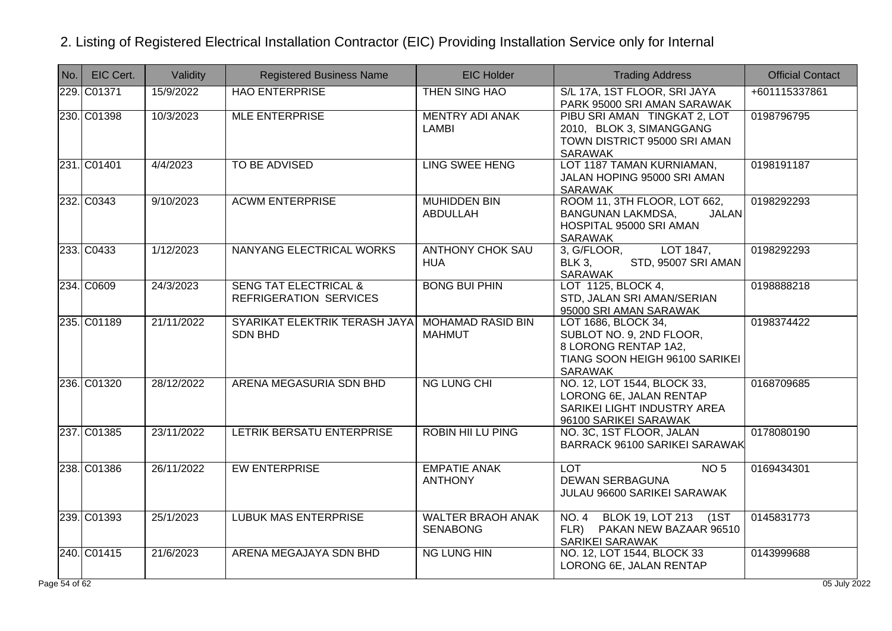| No.        | EIC Cert.   | Validity   | <b>Registered Business Name</b>                            | <b>EIC Holder</b>                           | <b>Trading Address</b>                                                                                                      | <b>Official Contact</b> |
|------------|-------------|------------|------------------------------------------------------------|---------------------------------------------|-----------------------------------------------------------------------------------------------------------------------------|-------------------------|
|            | 229. C01371 | 15/9/2022  | <b>HAO ENTERPRISE</b>                                      | THEN SING HAO                               | S/L 17A, 1ST FLOOR, SRI JAYA<br>PARK 95000 SRI AMAN SARAWAK                                                                 | +601115337861           |
|            | 230. C01398 | 10/3/2023  | <b>MLE ENTERPRISE</b>                                      | <b>MENTRY ADI ANAK</b><br><b>LAMBI</b>      | PIBU SRI AMAN TINGKAT 2, LOT<br>2010, BLOK 3, SIMANGGANG<br>TOWN DISTRICT 95000 SRI AMAN<br><b>SARAWAK</b>                  | 0198796795              |
|            | 231. C01401 | 4/4/2023   | <b>TO BE ADVISED</b>                                       | <b>LING SWEE HENG</b>                       | LOT 1187 TAMAN KURNIAMAN,<br>JALAN HOPING 95000 SRI AMAN<br><b>SARAWAK</b>                                                  | 0198191187              |
|            | 232. C0343  | 9/10/2023  | <b>ACWM ENTERPRISE</b>                                     | <b>MUHIDDEN BIN</b><br>ABDULLAH             | ROOM 11, 3TH FLOOR, LOT 662,<br><b>BANGUNAN LAKMDSA,</b><br>JALAN<br>HOSPITAL 95000 SRI AMAN<br><b>SARAWAK</b>              | 0198292293              |
|            | 233. C0433  | 1/12/2023  | NANYANG ELECTRICAL WORKS                                   | <b>ANTHONY CHOK SAU</b><br><b>HUA</b>       | LOT 1847,<br>3, G/FLOOR,<br>STD, 95007 SRI AMAN<br><b>BLK 3,</b><br><b>SARAWAK</b>                                          | 0198292293              |
|            | 234. C0609  | 24/3/2023  | <b>SENG TAT ELECTRICAL &amp;</b><br>REFRIGERATION SERVICES | <b>BONG BUI PHIN</b>                        | LOT 1125, BLOCK 4,<br>STD, JALAN SRI AMAN/SERIAN<br>95000 SRI AMAN SARAWAK                                                  | 0198888218              |
|            | 235. C01189 | 21/11/2022 | SYARIKAT ELEKTRIK TERASH JAYA<br><b>SDN BHD</b>            | <b>MOHAMAD RASID BIN</b><br><b>MAHMUT</b>   | LOT 1686, BLOCK 34,<br>SUBLOT NO. 9, 2ND FLOOR,<br>8 LORONG RENTAP 1A2,<br>TIANG SOON HEIGH 96100 SARIKEI<br><b>SARAWAK</b> | 0198374422              |
|            | 236. C01320 | 28/12/2022 | ARENA MEGASURIA SDN BHD                                    | <b>NG LUNG CHI</b>                          | NO. 12, LOT 1544, BLOCK 33,<br>LORONG 6E, JALAN RENTAP<br>SARIKEI LIGHT INDUSTRY AREA<br>96100 SARIKEI SARAWAK              | 0168709685              |
|            | 237. C01385 | 23/11/2022 | LETRIK BERSATU ENTERPRISE                                  | <b>ROBIN HII LU PING</b>                    | NO. 3C, 1ST FLOOR, JALAN<br><b>BARRACK 96100 SARIKEI SARAWAK</b>                                                            | 0178080190              |
|            | 238. C01386 | 26/11/2022 | <b>EW ENTERPRISE</b>                                       | <b>EMPATIE ANAK</b><br><b>ANTHONY</b>       | <b>LOT</b><br>NO <sub>5</sub><br><b>DEWAN SERBAGUNA</b><br>JULAU 96600 SARIKEI SARAWAK                                      | 0169434301              |
|            | 239. C01393 | 25/1/2023  | <b>LUBUK MAS ENTERPRISE</b>                                | <b>WALTER BRAOH ANAK</b><br><b>SENABONG</b> | NO. 4 BLOK 19, LOT 213 (1ST<br>FLR) PAKAN NEW BAZAAR 96510<br><b>SARIKEI SARAWAK</b>                                        | 0145831773              |
|            | 240. C01415 | 21/6/2023  | ARENA MEGAJAYA SDN BHD                                     | <b>NG LUNG HIN</b>                          | NO. 12, LOT 1544, BLOCK 33<br>LORONG 6E, JALAN RENTAP                                                                       | 0143999688              |
| e 54 of 62 |             |            |                                                            |                                             |                                                                                                                             | 05 July 2022            |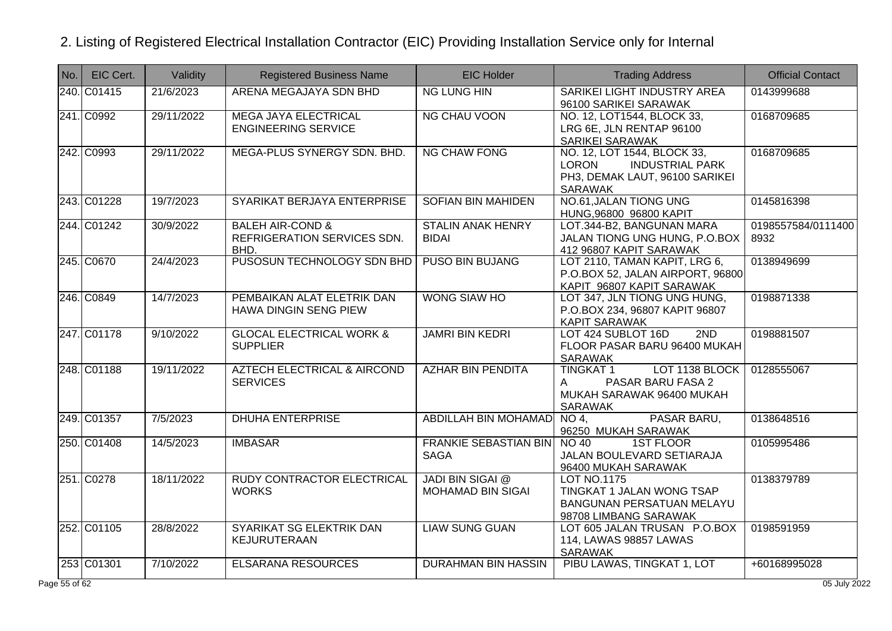| l No. l | EIC Cert.   | Validity   | <b>Registered Business Name</b>                                    | <b>EIC Holder</b>                            | <b>Trading Address</b>                                                                                                    | <b>Official Contact</b>    |
|---------|-------------|------------|--------------------------------------------------------------------|----------------------------------------------|---------------------------------------------------------------------------------------------------------------------------|----------------------------|
|         | 240. C01415 | 21/6/2023  | ARENA MEGAJAYA SDN BHD                                             | <b>NG LUNG HIN</b>                           | SARIKEI LIGHT INDUSTRY AREA<br>96100 SARIKEI SARAWAK                                                                      | 0143999688                 |
|         | 241. C0992  | 29/11/2022 | <b>MEGA JAYA ELECTRICAL</b><br><b>ENGINEERING SERVICE</b>          | <b>NG CHAU VOON</b>                          | NO. 12, LOT1544, BLOCK 33,<br>LRG 6E, JLN RENTAP 96100<br><b>SARIKEI SARAWAK</b>                                          | 0168709685                 |
|         | 242. C0993  | 29/11/2022 | MEGA-PLUS SYNERGY SDN. BHD.                                        | <b>NG CHAW FONG</b>                          | NO. 12, LOT 1544, BLOCK 33,<br><b>LORON</b><br><b>INDUSTRIAL PARK</b><br>PH3, DEMAK LAUT, 96100 SARIKEI<br><b>SARAWAK</b> | 0168709685                 |
|         | 243. C01228 | 19/7/2023  | SYARIKAT BERJAYA ENTERPRISE                                        | <b>SOFIAN BIN MAHIDEN</b>                    | NO.61, JALAN TIONG UNG<br>HUNG, 96800 96800 KAPIT                                                                         | 0145816398                 |
|         | 244. C01242 | 30/9/2022  | <b>BALEH AIR-COND &amp;</b><br>REFRIGERATION SERVICES SDN.<br>BHD. | <b>STALIN ANAK HENRY</b><br><b>BIDAI</b>     | LOT.344-B2, BANGUNAN MARA<br>JALAN TIONG UNG HUNG, P.O.BOX<br>412 96807 KAPIT SARAWAK                                     | 0198557584/0111400<br>8932 |
|         | 245. C0670  | 24/4/2023  | PUSOSUN TECHNOLOGY SDN BHD                                         | PUSO BIN BUJANG                              | LOT 2110, TAMAN KAPIT, LRG 6,<br>P.O.BOX 52, JALAN AIRPORT, 96800<br>KAPIT 96807 KAPIT SARAWAK                            | 0138949699                 |
|         | 246. C0849  | 14/7/2023  | PEMBAIKAN ALAT ELETRIK DAN<br>HAWA DINGIN SENG PIEW                | <b>WONG SIAW HO</b>                          | LOT 347, JLN TIONG UNG HUNG,<br>P.O.BOX 234, 96807 KAPIT 96807<br><b>KAPIT SARAWAK</b>                                    | 0198871338                 |
|         | 247. C01178 | 9/10/2022  | <b>GLOCAL ELECTRICAL WORK &amp;</b><br><b>SUPPLIER</b>             | <b>JAMRI BIN KEDRI</b>                       | 2ND<br>LOT 424 SUBLOT 16D<br>FLOOR PASAR BARU 96400 MUKAH<br><b>SARAWAK</b>                                               | 0198881507                 |
|         | 248. C01188 | 19/11/2022 | <b>AZTECH ELECTRICAL &amp; AIRCOND</b><br><b>SERVICES</b>          | <b>AZHAR BIN PENDITA</b>                     | <b>TINGKAT1</b><br>LOT 1138 BLOCK<br>PASAR BARU FASA 2<br>A<br>MUKAH SARAWAK 96400 MUKAH<br><b>SARAWAK</b>                | 0128555067                 |
|         | 249. C01357 | 7/5/2023   | <b>DHUHA ENTERPRISE</b>                                            | <b>ABDILLAH BIN MOHAMAD</b>                  | PASAR BARU,<br>NO 4,<br>96250 MUKAH SARAWAK                                                                               | 0138648516                 |
|         | 250. C01408 | 14/5/2023  | <b>IMBASAR</b>                                                     | FRANKIE SEBASTIAN BIN NO 40<br><b>SAGA</b>   | <b>1ST FLOOR</b><br>JALAN BOULEVARD SETIARAJA<br>96400 MUKAH SARAWAK                                                      | 0105995486                 |
|         | 251. C0278  | 18/11/2022 | <b>RUDY CONTRACTOR ELECTRICAL</b><br><b>WORKS</b>                  | <b>JADI BIN SIGAI @</b><br>MOHAMAD BIN SIGAI | <b>LOT NO.1175</b><br>TINGKAT 1 JALAN WONG TSAP<br>BANGUNAN PERSATUAN MELAYU<br>98708 LIMBANG SARAWAK                     | 0138379789                 |
|         | 252. C01105 | 28/8/2022  | SYARIKAT SG ELEKTRIK DAN<br>KEJURUTERAAN                           | <b>LIAW SUNG GUAN</b>                        | LOT 605 JALAN TRUSAN P.O.BOX<br>114, LAWAS 98857 LAWAS<br>SARAWAK                                                         | 0198591959                 |
|         | 253 C01301  | 7/10/2022  | <b>ELSARANA RESOURCES</b>                                          | <b>DURAHMAN BIN HASSIN</b>                   | PIBU LAWAS, TINGKAT 1, LOT                                                                                                | +60168995028               |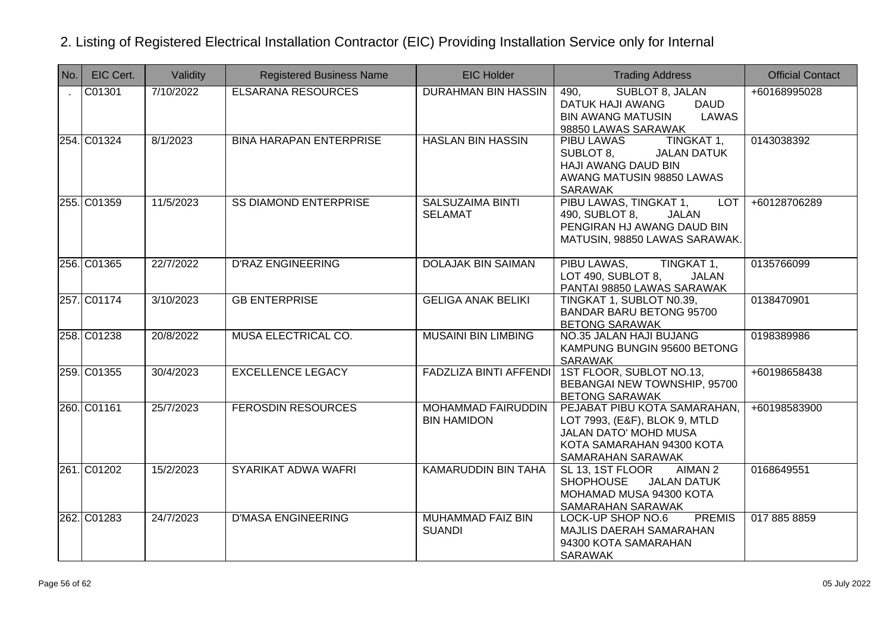| $N$ o.       | EIC Cert.   | Validity  | <b>Registered Business Name</b> | <b>EIC Holder</b>                               | <b>Trading Address</b>                                                                                                                          | <b>Official Contact</b> |
|--------------|-------------|-----------|---------------------------------|-------------------------------------------------|-------------------------------------------------------------------------------------------------------------------------------------------------|-------------------------|
| $\mathbf{r}$ | C01301      | 7/10/2022 | <b>ELSARANA RESOURCES</b>       | <b>DURAHMAN BIN HASSIN</b>                      | SUBLOT 8, JALAN<br>490,<br>DATUK HAJI AWANG<br><b>DAUD</b><br><b>BIN AWANG MATUSIN</b><br>LAWAS<br>98850 LAWAS SARAWAK                          | +60168995028            |
|              | 254. C01324 | 8/1/2023  | <b>BINA HARAPAN ENTERPRISE</b>  | <b>HASLAN BIN HASSIN</b>                        | TINGKAT 1,<br>PIBU LAWAS<br>SUBLOT 8,<br><b>JALAN DATUK</b><br>HAJI AWANG DAUD BIN<br>AWANG MATUSIN 98850 LAWAS<br><b>SARAWAK</b>               | 0143038392              |
|              | 255. C01359 | 11/5/2023 | <b>SS DIAMOND ENTERPRISE</b>    | <b>SALSUZAIMA BINTI</b><br><b>SELAMAT</b>       | PIBU LAWAS, TINGKAT 1,<br><b>LOT</b><br>490, SUBLOT 8,<br>JALAN<br>PENGIRAN HJ AWANG DAUD BIN<br>MATUSIN, 98850 LAWAS SARAWAK.                  | +60128706289            |
|              | 256. C01365 | 22/7/2022 | <b>D'RAZ ENGINEERING</b>        | <b>DOLAJAK BIN SAIMAN</b>                       | PIBU LAWAS,<br>TINGKAT 1,<br>LOT 490, SUBLOT 8,<br><b>JALAN</b><br>PANTAI 98850 LAWAS SARAWAK                                                   | 0135766099              |
|              | 257.C01174  | 3/10/2023 | <b>GB ENTERPRISE</b>            | <b>GELIGA ANAK BELIKI</b>                       | TINGKAT 1, SUBLOT N0.39,<br><b>BANDAR BARU BETONG 95700</b><br><b>BETONG SARAWAK</b>                                                            | 0138470901              |
|              | 258. C01238 | 20/8/2022 | MUSA ELECTRICAL CO.             | <b>MUSAINI BIN LIMBING</b>                      | <b>NO.35 JALAN HAJI BUJANG</b><br>KAMPUNG BUNGIN 95600 BETONG<br><b>SARAWAK</b>                                                                 | 0198389986              |
|              | 259. C01355 | 30/4/2023 | <b>EXCELLENCE LEGACY</b>        | <b>FADZLIZA BINTI AFFENDI</b>                   | 1ST FLOOR, SUBLOT NO.13,<br>BEBANGAI NEW TOWNSHIP, 95700<br><b>BETONG SARAWAK</b>                                                               | +60198658438            |
|              | 260. C01161 | 25/7/2023 | <b>FEROSDIN RESOURCES</b>       | <b>MOHAMMAD FAIRUDDIN</b><br><b>BIN HAMIDON</b> | PEJABAT PIBU KOTA SAMARAHAN,<br>LOT 7993, (E&F), BLOK 9, MTLD<br><b>JALAN DATO' MOHD MUSA</b><br>KOTA SAMARAHAN 94300 KOTA<br>SAMARAHAN SARAWAK | +60198583900            |
|              | 261. C01202 | 15/2/2023 | SYARIKAT ADWA WAFRI             | <b>KAMARUDDIN BIN TAHA</b>                      | AIMAN <sub>2</sub><br>SL 13, 1ST FLOOR<br>SHOPHOUSE JALAN DATUK<br>MOHAMAD MUSA 94300 KOTA<br>SAMARAHAN SARAWAK                                 | 0168649551              |
|              | 262. C01283 | 24/7/2023 | <b>D'MASA ENGINEERING</b>       | <b>MUHAMMAD FAIZ BIN</b><br><b>SUANDI</b>       | <b>PREMIS</b><br>LOCK-UP SHOP NO.6<br>MAJLIS DAERAH SAMARAHAN<br>94300 KOTA SAMARAHAN<br><b>SARAWAK</b>                                         | 017 885 8859            |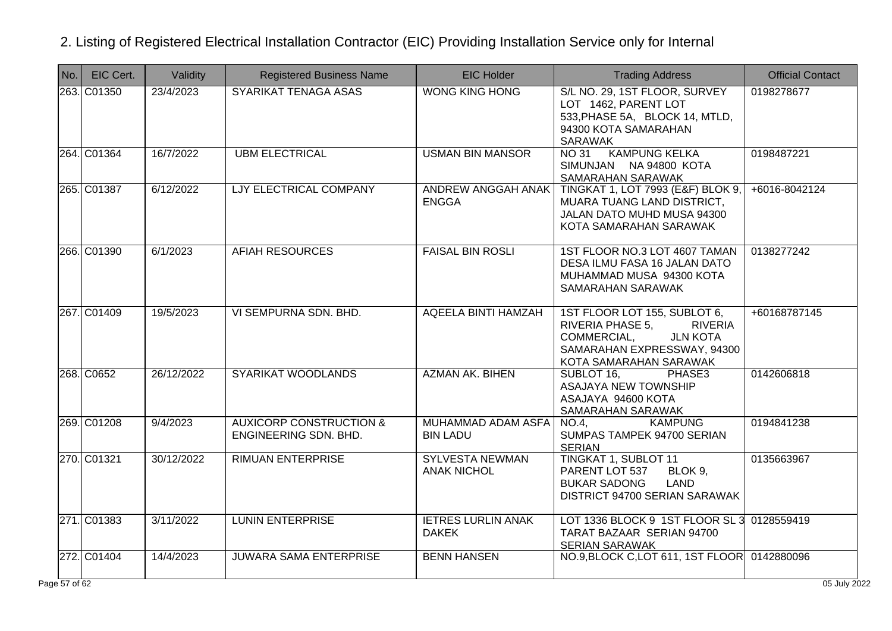| No.        | EIC Cert.   | Validity   | <b>Registered Business Name</b>                             | <b>EIC Holder</b>                            | <b>Trading Address</b>                                                                                                                                        | <b>Official Contact</b> |
|------------|-------------|------------|-------------------------------------------------------------|----------------------------------------------|---------------------------------------------------------------------------------------------------------------------------------------------------------------|-------------------------|
|            | 263. C01350 | 23/4/2023  | SYARIKAT TENAGA ASAS                                        | <b>WONG KING HONG</b>                        | S/L NO. 29, 1ST FLOOR, SURVEY<br>LOT 1462, PARENT LOT<br>533, PHASE 5A, BLOCK 14, MTLD,<br>94300 KOTA SAMARAHAN<br>SARAWAK                                    | 0198278677              |
|            | 264. C01364 | 16/7/2022  | <b>UBM ELECTRICAL</b>                                       | <b>USMAN BIN MANSOR</b>                      | <b>KAMPUNG KELKA</b><br>NO 31<br>SIMUNJAN NA 94800 KOTA<br>SAMARAHAN SARAWAK                                                                                  | 0198487221              |
|            | 265. C01387 | 6/12/2022  | LJY ELECTRICAL COMPANY                                      | ANDREW ANGGAH ANAK<br><b>ENGGA</b>           | TINGKAT 1, LOT 7993 (E&F) BLOK 9,<br>MUARA TUANG LAND DISTRICT,<br>JALAN DATO MUHD MUSA 94300<br>KOTA SAMARAHAN SARAWAK                                       | +6016-8042124           |
|            | 266. C01390 | 6/1/2023   | <b>AFIAH RESOURCES</b>                                      | <b>FAISAL BIN ROSLI</b>                      | 1ST FLOOR NO.3 LOT 4607 TAMAN<br>DESA ILMU FASA 16 JALAN DATO<br>MUHAMMAD MUSA 94300 KOTA<br>SAMARAHAN SARAWAK                                                | 0138277242              |
|            | 267.C01409  | 19/5/2023  | VI SEMPURNA SDN. BHD.                                       | AQEELA BINTI HAMZAH                          | 1ST FLOOR LOT 155, SUBLOT 6,<br>RIVERIA PHASE 5,<br><b>RIVERIA</b><br><b>JLN KOTA</b><br>COMMERCIAL,<br>SAMARAHAN EXPRESSWAY, 94300<br>KOTA SAMARAHAN SARAWAK | +60168787145            |
|            | 268. C0652  | 26/12/2022 | SYARIKAT WOODLANDS                                          | <b>AZMAN AK. BIHEN</b>                       | SUBLOT 16,<br>PHASE3<br><b>ASAJAYA NEW TOWNSHIP</b><br>ASAJAYA 94600 KOTA<br>SAMARAHAN SARAWAK                                                                | 0142606818              |
|            | 269. C01208 | 9/4/2023   | <b>AUXICORP CONSTRUCTION &amp;</b><br>ENGINEERING SDN. BHD. | MUHAMMAD ADAM ASFA<br><b>BIN LADU</b>        | <b>KAMPUNG</b><br>NO.4.<br>SUMPAS TAMPEK 94700 SERIAN<br><b>SERIAN</b>                                                                                        | 0194841238              |
|            | 270. C01321 | 30/12/2022 | <b>RIMUAN ENTERPRISE</b>                                    | <b>SYLVESTA NEWMAN</b><br><b>ANAK NICHOL</b> | TINGKAT 1, SUBLOT 11<br>PARENT LOT 537<br>BLOK 9,<br><b>BUKAR SADONG</b><br>LAND<br>DISTRICT 94700 SERIAN SARAWAK                                             | 0135663967              |
|            | 271. C01383 | 3/11/2022  | <b>LUNIN ENTERPRISE</b>                                     | <b>IETRES LURLIN ANAK</b><br><b>DAKEK</b>    | LOT 1336 BLOCK 9 1ST FLOOR SL 3<br>TARAT BAZAAR SERIAN 94700<br><b>SERIAN SARAWAK</b>                                                                         | 0128559419              |
|            | 272. C01404 | 14/4/2023  | <b>JUWARA SAMA ENTERPRISE</b>                               | <b>BENN HANSEN</b>                           | NO.9, BLOCK C, LOT 611, 1ST FLOOR 0142880096                                                                                                                  |                         |
| e 57 of 62 |             |            |                                                             |                                              |                                                                                                                                                               | 05 July 2022            |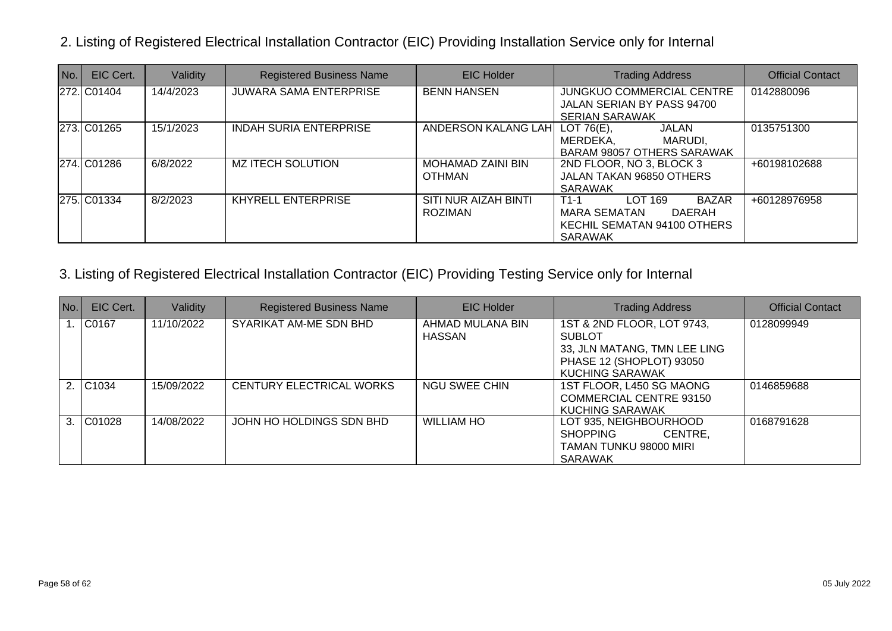| No. | EIC Cert.   | Validity  | <b>Registered Business Name</b> | <b>EIC Holder</b>                      | <b>Trading Address</b>                                                                                       | <b>Official Contact</b> |
|-----|-------------|-----------|---------------------------------|----------------------------------------|--------------------------------------------------------------------------------------------------------------|-------------------------|
|     | 272. C01404 | 14/4/2023 | <b>JUWARA SAMA ENTERPRISE</b>   | <b>BENN HANSEN</b>                     | <b>JUNGKUO COMMERCIAL CENTRE</b><br>JALAN SERIAN BY PASS 94700<br><b>SERIAN SARAWAK</b>                      | 0142880096              |
|     | 273. C01265 | 15/1/2023 | <b>INDAH SURIA ENTERPRISE</b>   | <b>ANDERSON KALANG LAH</b>             | LOT $76(E)$ ,<br>JALAN<br>MARUDI,<br>MERDEKA,<br><b>BARAM 98057 OTHERS SARAWAK</b>                           | 0135751300              |
|     | 274. C01286 | 6/8/2022  | MZ ITECH SOLUTION               | MOHAMAD ZAINI BIN<br><b>OTHMAN</b>     | 2ND FLOOR, NO 3, BLOCK 3<br>JALAN TAKAN 96850 OTHERS<br>SARAWAK                                              | +60198102688            |
|     | 275. C01334 | 8/2/2023  | <b>KHYRELL ENTERPRISE</b>       | SITI NUR AIZAH BINTI<br><b>ROZIMAN</b> | <b>LOT 169</b><br><b>BAZAR</b><br>$T1-1$<br>MARA SEMATAN<br>DAERAH<br>KECHIL SEMATAN 94100 OTHERS<br>SARAWAK | +60128976958            |

| No. | EIC Cert. | Validity   | <b>Registered Business Name</b> | <b>EIC Holder</b>                 | <b>Trading Address</b>                                                                                                     | <b>Official Contact</b> |
|-----|-----------|------------|---------------------------------|-----------------------------------|----------------------------------------------------------------------------------------------------------------------------|-------------------------|
|     | 1.  C0167 | 11/10/2022 | SYARIKAT AM-ME SDN BHD          | AHMAD MULANA BIN<br><b>HASSAN</b> | 1ST & 2ND FLOOR, LOT 9743,<br><b>SUBLOT</b><br>33, JLN MATANG, TMN LEE LING<br>PHASE 12 (SHOPLOT) 93050<br>KUCHING SARAWAK | 0128099949              |
|     | 2. C1034  | 15/09/2022 | CENTURY ELECTRICAL WORKS        | <b>NGU SWEE CHIN</b>              | 1ST FLOOR, L450 SG MAONG<br>COMMERCIAL CENTRE 93150<br><b>KUCHING SARAWAK</b>                                              | 0146859688              |
|     | 3. C01028 | 14/08/2022 | JOHN HO HOLDINGS SDN BHD        | <b>WILLIAM HO</b>                 | LOT 935, NEIGHBOURHOOD<br>CENTRE,<br><b>SHOPPING</b><br>TAMAN TUNKU 98000 MIRI<br><b>SARAWAK</b>                           | 0168791628              |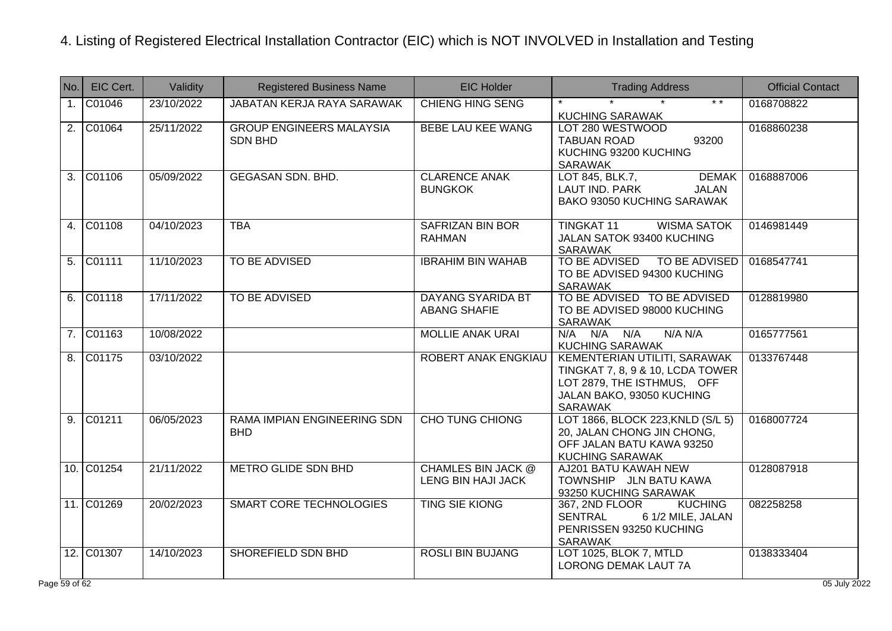| No.              | EIC Cert.           | Validity   | <b>Registered Business Name</b>                   | <b>EIC Holder</b>                               | <b>Trading Address</b>                                                                                                                        | <b>Official Contact</b> |
|------------------|---------------------|------------|---------------------------------------------------|-------------------------------------------------|-----------------------------------------------------------------------------------------------------------------------------------------------|-------------------------|
| $\mathbf{1}$ .   | C01046              | 23/10/2022 | <b>JABATAN KERJA RAYA SARAWAK</b>                 | <b>CHIENG HING SENG</b>                         | $* *$<br><b>KUCHING SARAWAK</b>                                                                                                               | 0168708822              |
| $\overline{2}$ . | C01064              | 25/11/2022 | <b>GROUP ENGINEERS MALAYSIA</b><br><b>SDN BHD</b> | <b>BEBE LAU KEE WANG</b>                        | LOT 280 WESTWOOD<br>93200<br><b>TABUAN ROAD</b><br>KUCHING 93200 KUCHING<br><b>SARAWAK</b>                                                    | 0168860238              |
| 3.               | C01106              | 05/09/2022 | <b>GEGASAN SDN. BHD.</b>                          | <b>CLARENCE ANAK</b><br><b>BUNGKOK</b>          | <b>DEMAK</b><br>LOT 845, BLK.7,<br>LAUT IND. PARK<br><b>JALAN</b><br>BAKO 93050 KUCHING SARAWAK                                               | 0168887006              |
| 4.               | C01108              | 04/10/2023 | <b>TBA</b>                                        | <b>SAFRIZAN BIN BOR</b><br><b>RAHMAN</b>        | <b>TINGKAT 11</b><br><b>WISMA SATOK</b><br>JALAN SATOK 93400 KUCHING<br><b>SARAWAK</b>                                                        | 0146981449              |
| 5.               | C01111              | 11/10/2023 | TO BE ADVISED                                     | <b>IBRAHIM BIN WAHAB</b>                        | TO BE ADVISED TO BE ADVISED<br>TO BE ADVISED 94300 KUCHING<br><b>SARAWAK</b>                                                                  | 0168547741              |
| 6.               | $\overline{C01118}$ | 17/11/2022 | <b>TO BE ADVISED</b>                              | <b>DAYANG SYARIDA BT</b><br><b>ABANG SHAFIE</b> | TO BE ADVISED TO BE ADVISED<br>TO BE ADVISED 98000 KUCHING<br><b>SARAWAK</b>                                                                  | 0128819980              |
| 7.               | C01163              | 10/08/2022 |                                                   | <b>MOLLIE ANAK URAI</b>                         | $N/A$ $N/A$ $N/A$<br>N/A N/A<br><b>KUCHING SARAWAK</b>                                                                                        | 0165777561              |
| 8.               | C01175              | 03/10/2022 |                                                   | <b>ROBERT ANAK ENGKIAU</b>                      | KEMENTERIAN UTILITI, SARAWAK<br>TINGKAT 7, 8, 9 & 10, LCDA TOWER<br>LOT 2879, THE ISTHMUS, OFF<br>JALAN BAKO, 93050 KUCHING<br><b>SARAWAK</b> | 0133767448              |
| 9.               | C01211              | 06/05/2023 | RAMA IMPIAN ENGINEERING SDN<br><b>BHD</b>         | <b>CHO TUNG CHIONG</b>                          | LOT 1866, BLOCK 223, KNLD (S/L 5)<br>20, JALAN CHONG JIN CHONG,<br>OFF JALAN BATU KAWA 93250<br><b>KUCHING SARAWAK</b>                        | 0168007724              |
|                  | 10. C01254          | 21/11/2022 | <b>METRO GLIDE SDN BHD</b>                        | <b>CHAMLES BIN JACK @</b><br>LENG BIN HAJI JACK | AJ201 BATU KAWAH NEW<br>TOWNSHIP JLN BATU KAWA<br>93250 KUCHING SARAWAK                                                                       | 0128087918              |
|                  | 11. C01269          | 20/02/2023 | <b>SMART CORE TECHNOLOGIES</b>                    | <b>TING SIE KIONG</b>                           | 367, 2ND FLOOR<br><b>KUCHING</b><br>6 1/2 MILE, JALAN<br><b>SENTRAL</b><br>PENRISSEN 93250 KUCHING<br><b>SARAWAK</b>                          | 082258258               |
|                  | 12. C01307          | 14/10/2023 | SHOREFIELD SDN BHD                                | <b>ROSLI BIN BUJANG</b>                         | LOT 1025, BLOK 7, MTLD<br>LORONG DEMAK LAUT 7A                                                                                                | 0138333404              |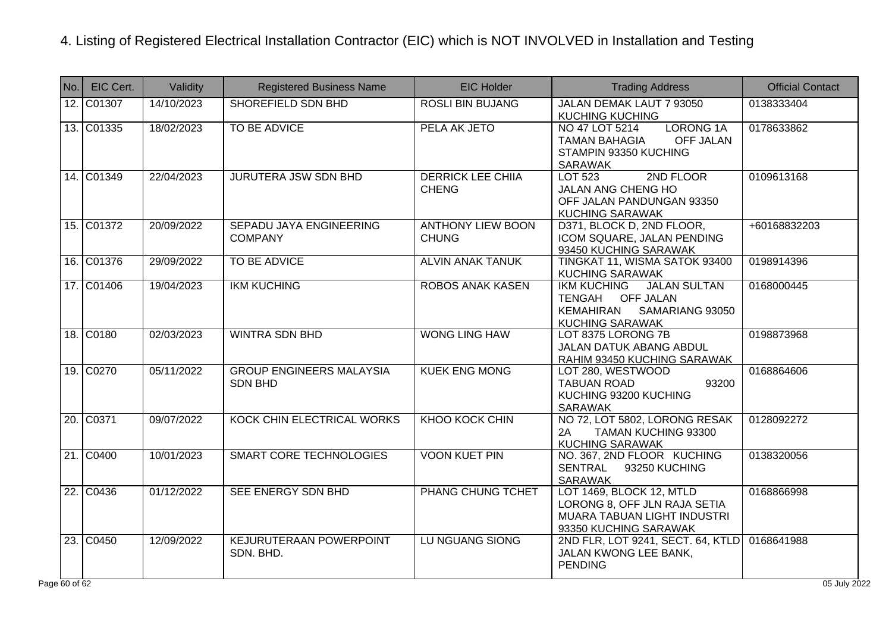| No.        | EIC Cert.  | Validity   | <b>Registered Business Name</b>                   | <b>EIC Holder</b>                        | <b>Trading Address</b>                                                                                                    | <b>Official Contact</b> |
|------------|------------|------------|---------------------------------------------------|------------------------------------------|---------------------------------------------------------------------------------------------------------------------------|-------------------------|
|            | 12. C01307 | 14/10/2023 | SHOREFIELD SDN BHD                                | <b>ROSLI BIN BUJANG</b>                  | JALAN DEMAK LAUT 7 93050<br><b>KUCHING KUCHING</b>                                                                        | 0138333404              |
|            | 13. C01335 | 18/02/2023 | TO BE ADVICE                                      | PELA AK JETO                             | <b>LORONG 1A</b><br>NO 47 LOT 5214<br><b>TAMAN BAHAGIA</b><br><b>OFF JALAN</b><br>STAMPIN 93350 KUCHING<br><b>SARAWAK</b> | 0178633862              |
|            | 14. C01349 | 22/04/2023 | <b>JURUTERA JSW SDN BHD</b>                       | <b>DERRICK LEE CHIIA</b><br><b>CHENG</b> | 2ND FLOOR<br>LOT 523<br>JALAN ANG CHENG HO<br>OFF JALAN PANDUNGAN 93350<br><b>KUCHING SARAWAK</b>                         | 0109613168              |
|            | 15. C01372 | 20/09/2022 | <b>SEPADU JAYA ENGINEERING</b><br><b>COMPANY</b>  | <b>ANTHONY LIEW BOON</b><br><b>CHUNG</b> | D371, BLOCK D, 2ND FLOOR,<br>ICOM SQUARE, JALAN PENDING<br>93450 KUCHING SARAWAK                                          | +60168832203            |
|            | 16. C01376 | 29/09/2022 | TO BE ADVICE                                      | <b>ALVIN ANAK TANUK</b>                  | TINGKAT 11, WISMA SATOK 93400<br>KUCHING SARAWAK                                                                          | 0198914396              |
|            | 17. C01406 | 19/04/2023 | <b>IKM KUCHING</b>                                | <b>ROBOS ANAK KASEN</b>                  | <b>JALAN SULTAN</b><br><b>IKM KUCHING</b><br>TENGAH OFF JALAN<br>KEMAHIRAN<br>SAMARIANG 93050<br><b>KUCHING SARAWAK</b>   | 0168000445              |
|            | 18. C0180  | 02/03/2023 | <b>WINTRA SDN BHD</b>                             | <b>WONG LING HAW</b>                     | LOT 8375 LORONG 7B<br><b>JALAN DATUK ABANG ABDUL</b><br>RAHIM 93450 KUCHING SARAWAK                                       | 0198873968              |
|            | 19. C0270  | 05/11/2022 | <b>GROUP ENGINEERS MALAYSIA</b><br><b>SDN BHD</b> | <b>KUEK ENG MONG</b>                     | LOT 280, WESTWOOD<br><b>TABUAN ROAD</b><br>93200<br>KUCHING 93200 KUCHING<br><b>SARAWAK</b>                               | 0168864606              |
|            | 20. C0371  | 09/07/2022 | KOCK CHIN ELECTRICAL WORKS                        | <b>KHOO KOCK CHIN</b>                    | NO 72, LOT 5802, LORONG RESAK<br>TAMAN KUCHING 93300<br>2A<br><b>KUCHING SARAWAK</b>                                      | 0128092272              |
|            | 21. C0400  | 10/01/2023 | SMART CORE TECHNOLOGIES                           | <b>VOON KUET PIN</b>                     | NO. 367, 2ND FLOOR KUCHING<br>SENTRAL<br>93250 KUCHING<br><b>SARAWAK</b>                                                  | 0138320056              |
|            | 22. C0436  | 01/12/2022 | SEE ENERGY SDN BHD                                | <b>PHANG CHUNG TCHET</b>                 | LOT 1469, BLOCK 12, MTLD<br>LORONG 8, OFF JLN RAJA SETIA<br>MUARA TABUAN LIGHT INDUSTRI<br>93350 KUCHING SARAWAK          | 0168866998              |
|            | 23. C0450  | 12/09/2022 | <b>KEJURUTERAAN POWERPOINT</b><br>SDN. BHD.       | <b>LU NGUANG SIONG</b>                   | 2ND FLR, LOT 9241, SECT. 64, KTLD<br>JALAN KWONG LEE BANK,<br><b>PENDING</b>                                              | 0168641988              |
| e 60 of 62 |            |            |                                                   |                                          |                                                                                                                           | 05 July 2022            |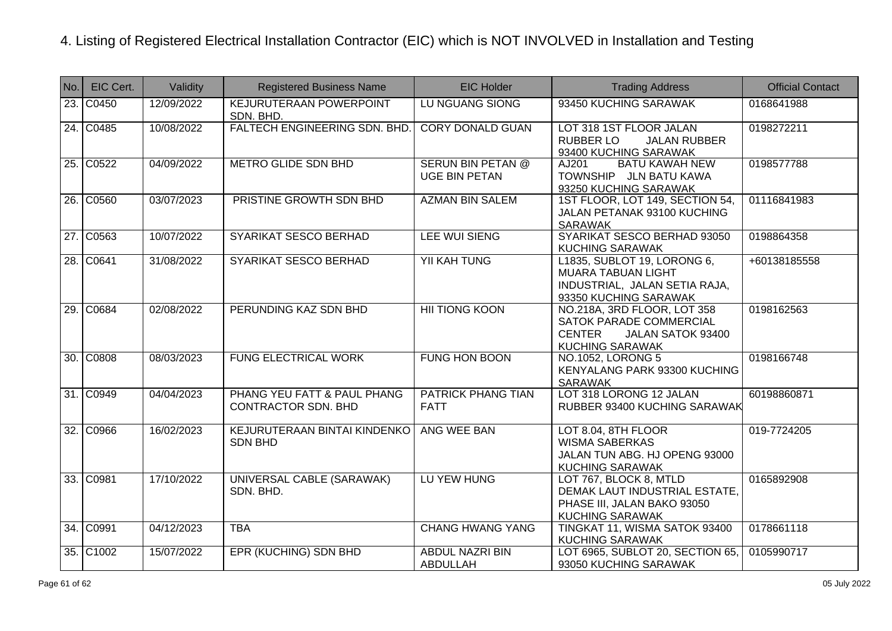| No. | EIC Cert. | Validity   | <b>Registered Business Name</b>                           | <b>EIC Holder</b>                                | <b>Trading Address</b>                                                                                                 | <b>Official Contact</b> |
|-----|-----------|------------|-----------------------------------------------------------|--------------------------------------------------|------------------------------------------------------------------------------------------------------------------------|-------------------------|
|     | 23. C0450 | 12/09/2022 | <b>KEJURUTERAAN POWERPOINT</b><br>SDN. BHD.               | <b>LU NGUANG SIONG</b>                           | 93450 KUCHING SARAWAK                                                                                                  | 0168641988              |
|     | 24. C0485 | 10/08/2022 | <b>FALTECH ENGINEERING SDN. BHD.</b>                      | <b>CORY DONALD GUAN</b>                          | LOT 318 1ST FLOOR JALAN<br>RUBBER LO<br><b>JALAN RUBBER</b><br>93400 KUCHING SARAWAK                                   | 0198272211              |
|     | 25. C0522 | 04/09/2022 | <b>METRO GLIDE SDN BHD</b>                                | <b>SERUN BIN PETAN @</b><br><b>UGE BIN PETAN</b> | <b>BATU KAWAH NEW</b><br>AJ201<br>TOWNSHIP JLN BATU KAWA<br>93250 KUCHING SARAWAK                                      | 0198577788              |
|     | 26. C0560 | 03/07/2023 | PRISTINE GROWTH SDN BHD                                   | <b>AZMAN BIN SALEM</b>                           | 1ST FLOOR, LOT 149, SECTION 54,<br>JALAN PETANAK 93100 KUCHING<br><b>SARAWAK</b>                                       | 01116841983             |
|     | 27. C0563 | 10/07/2022 | SYARIKAT SESCO BERHAD                                     | LEE WUI SIENG                                    | SYARIKAT SESCO BERHAD 93050<br>KUCHING SARAWAK                                                                         | 0198864358              |
|     | 28. C0641 | 31/08/2022 | SYARIKAT SESCO BERHAD                                     | <b>YII KAH TUNG</b>                              | L1835, SUBLOT 19, LORONG 6,<br><b>MUARA TABUAN LIGHT</b><br>INDUSTRIAL, JALAN SETIA RAJA,<br>93350 KUCHING SARAWAK     | +60138185558            |
|     | 29. C0684 | 02/08/2022 | PERUNDING KAZ SDN BHD                                     | <b>HII TIONG KOON</b>                            | NO.218A, 3RD FLOOR, LOT 358<br>SATOK PARADE COMMERCIAL<br><b>CENTER</b><br>JALAN SATOK 93400<br><b>KUCHING SARAWAK</b> | 0198162563              |
|     | 30. C0808 | 08/03/2023 | <b>FUNG ELECTRICAL WORK</b>                               | <b>FUNG HON BOON</b>                             | <b>NO.1052, LORONG 5</b><br>KENYALANG PARK 93300 KUCHING<br><b>SARAWAK</b>                                             | 0198166748              |
|     | 31. C0949 | 04/04/2023 | PHANG YEU FATT & PAUL PHANG<br><b>CONTRACTOR SDN. BHD</b> | <b>PATRICK PHANG TIAN</b><br><b>FATT</b>         | LOT 318 LORONG 12 JALAN<br>RUBBER 93400 KUCHING SARAWAK                                                                | 60198860871             |
|     | 32. C0966 | 16/02/2023 | KEJURUTERAAN BINTAI KINDENKO<br><b>SDN BHD</b>            | ANG WEE BAN                                      | LOT 8.04, 8TH FLOOR<br><b>WISMA SABERKAS</b><br>JALAN TUN ABG. HJ OPENG 93000<br><b>KUCHING SARAWAK</b>                | 019-7724205             |
|     | 33. C0981 | 17/10/2022 | UNIVERSAL CABLE (SARAWAK)<br>SDN. BHD.                    | LU YEW HUNG                                      | LOT 767, BLOCK 8, MTLD<br>DEMAK LAUT INDUSTRIAL ESTATE,<br>PHASE III, JALAN BAKO 93050<br><b>KUCHING SARAWAK</b>       | 0165892908              |
|     | 34. C0991 | 04/12/2023 | <b>TBA</b>                                                | <b>CHANG HWANG YANG</b>                          | TINGKAT 11, WISMA SATOK 93400<br>KUCHING SARAWAK                                                                       | 0178661118              |
|     | 35. C1002 | 15/07/2022 | <b>EPR (KUCHING) SDN BHD</b>                              | <b>ABDUL NAZRI BIN</b><br><b>ABDULLAH</b>        | LOT 6965, SUBLOT 20, SECTION 65,<br>93050 KUCHING SARAWAK                                                              | 0105990717              |